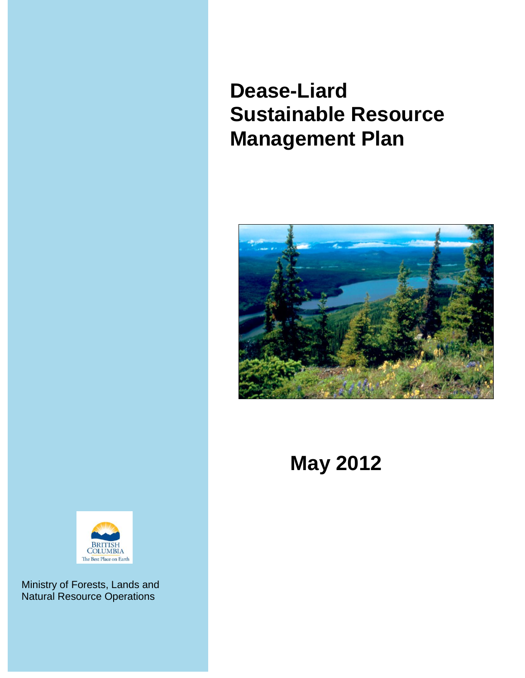# **Dease-Liard Sustainable Resource Management Plan**



**May 2012**



Ministry of Forests, Lands and Natural Resource Operations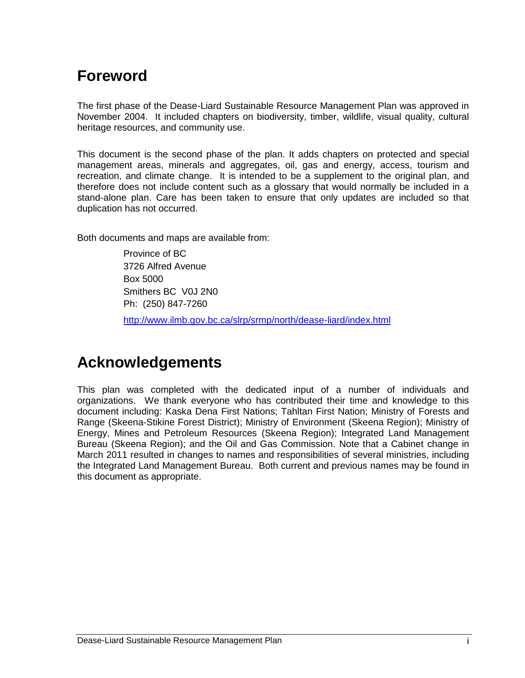## <span id="page-1-0"></span>**Foreword**

The first phase of the Dease-Liard Sustainable Resource Management Plan was approved in November 2004. It included chapters on biodiversity, timber, wildlife, visual quality, cultural heritage resources, and community use.

This document is the second phase of the plan. It adds chapters on protected and special management areas, minerals and aggregates, oil, gas and energy, access, tourism and recreation, and climate change. It is intended to be a supplement to the original plan, and therefore does not include content such as a glossary that would normally be included in a stand-alone plan. Care has been taken to ensure that only updates are included so that duplication has not occurred.

Both documents and maps are available from:

Province of BC 3726 Alfred Avenue Box 5000 Smithers BC V0J 2N0 Ph: (250) 847-7260 <http://www.ilmb.gov.bc.ca/slrp/srmp/north/dease-liard/index.html>

## <span id="page-1-1"></span>**Acknowledgements**

This plan was completed with the dedicated input of a number of individuals and organizations. We thank everyone who has contributed their time and knowledge to this document including: Kaska Dena First Nations; Tahltan First Nation; Ministry of Forests and Range (Skeena-Stikine Forest District); Ministry of Environment (Skeena Region); Ministry of Energy, Mines and Petroleum Resources (Skeena Region); Integrated Land Management Bureau (Skeena Region); and the Oil and Gas Commission. Note that a Cabinet change in March 2011 resulted in changes to names and responsibilities of several ministries, including the Integrated Land Management Bureau. Both current and previous names may be found in this document as appropriate.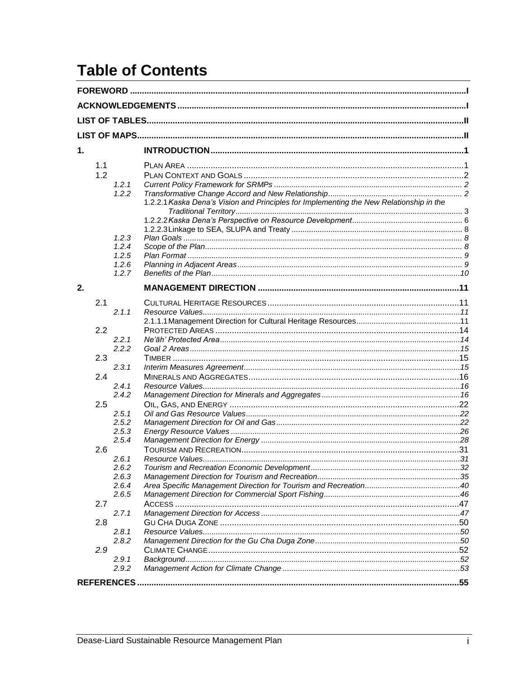## **Table of Contents**

| $\mathbf 1$ . |     |       |                                                                                         |  |  |
|---------------|-----|-------|-----------------------------------------------------------------------------------------|--|--|
|               | 1.1 |       |                                                                                         |  |  |
|               | 1.2 |       |                                                                                         |  |  |
|               |     | 1.2.1 |                                                                                         |  |  |
|               |     | 1.2.2 | 1.2.2.1 Kaska Dena's Vision and Principles for Implementing the New Relationship in the |  |  |
|               |     |       |                                                                                         |  |  |
|               |     |       |                                                                                         |  |  |
|               |     | 1.2.3 |                                                                                         |  |  |
|               |     | 1.2.4 |                                                                                         |  |  |
|               |     | 1.2.5 |                                                                                         |  |  |
|               |     | 1.2.6 |                                                                                         |  |  |
|               |     | 1.2.7 |                                                                                         |  |  |
| 2.            |     |       |                                                                                         |  |  |
|               | 2.1 |       |                                                                                         |  |  |
|               |     | 2.1.1 |                                                                                         |  |  |
|               |     |       |                                                                                         |  |  |
|               | 2.2 |       |                                                                                         |  |  |
|               |     | 2.2.1 |                                                                                         |  |  |
|               |     | 2.2.2 |                                                                                         |  |  |
|               | 2.3 |       |                                                                                         |  |  |
|               |     | 2.3.1 |                                                                                         |  |  |
|               | 2.4 |       |                                                                                         |  |  |
|               |     | 2.4.1 |                                                                                         |  |  |
|               |     | 2.4.2 |                                                                                         |  |  |
|               | 2.5 |       |                                                                                         |  |  |
|               |     | 2.5.1 |                                                                                         |  |  |
|               |     | 2.5.2 |                                                                                         |  |  |
|               |     | 2.5.3 |                                                                                         |  |  |
|               |     | 2.5.4 |                                                                                         |  |  |
|               | 2.6 |       |                                                                                         |  |  |
|               |     | 2.6.1 |                                                                                         |  |  |
|               |     | 2.6.2 |                                                                                         |  |  |
|               |     | 2.6.3 |                                                                                         |  |  |
|               |     | 2.6.4 |                                                                                         |  |  |
|               |     | 2.6.5 |                                                                                         |  |  |
|               | 2.7 |       |                                                                                         |  |  |
|               |     | 2.7.1 |                                                                                         |  |  |
|               | 2.8 |       |                                                                                         |  |  |
|               |     | 2.8.1 |                                                                                         |  |  |
|               |     | 2.8.2 |                                                                                         |  |  |
|               | 2.9 |       |                                                                                         |  |  |
|               |     | 2.9.1 |                                                                                         |  |  |
|               |     | 2.9.2 |                                                                                         |  |  |
|               |     |       |                                                                                         |  |  |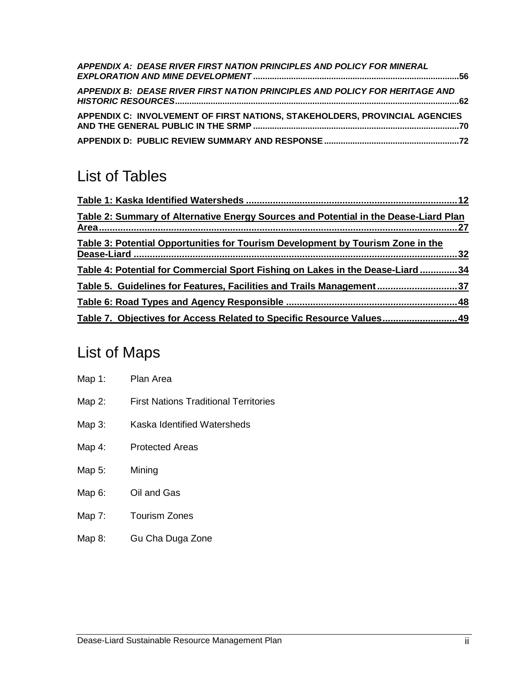| APPENDIX A: DEASE RIVER FIRST NATION PRINCIPLES AND POLICY FOR MINERAL                                                                              |  |
|-----------------------------------------------------------------------------------------------------------------------------------------------------|--|
| APPENDIX B: DEASE RIVER FIRST NATION PRINCIPLES AND POLICY FOR HERITAGE AND                                                                         |  |
| APPENDIX C: INVOLVEMENT OF FIRST NATIONS, STAKEHOLDERS, PROVINCIAL AGENCIES<br>AND THE GENERAL PUBLIC IN THE SRMP …………………………………………………………………………………70 |  |
|                                                                                                                                                     |  |

## <span id="page-3-0"></span>List of Tables

| Table 2: Summary of Alternative Energy Sources and Potential in the Dease-Liard Plan |  |
|--------------------------------------------------------------------------------------|--|
| Table 3: Potential Opportunities for Tourism Development by Tourism Zone in the      |  |
| Table 4: Potential for Commercial Sport Fishing on Lakes in the Dease-Liard34        |  |
| <u>Table 5. Guidelines for Features, Facilities and Trails Management37</u>          |  |
|                                                                                      |  |
| Table 7. Objectives for Access Related to Specific Resource Values 49                |  |

## <span id="page-3-1"></span>List of Maps

| Map 1: Plan Area |                                              |
|------------------|----------------------------------------------|
| Map 2:           | <b>First Nations Traditional Territories</b> |
| Map 3:           | Kaska Identified Watersheds                  |
| Map 4:           | <b>Protected Areas</b>                       |
| Map 5:           | Mining                                       |
| Map 6:           | Oil and Gas                                  |
| Map 7:           | <b>Tourism Zones</b>                         |

Map 8: Gu Cha Duga Zone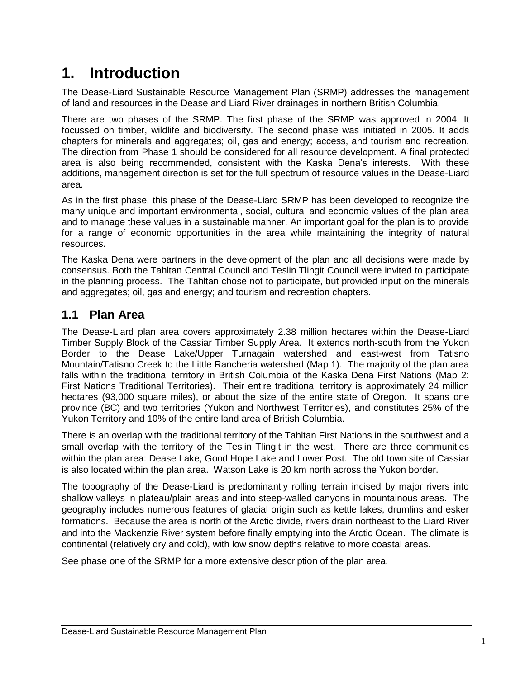## <span id="page-4-0"></span>**1. Introduction**

The Dease-Liard Sustainable Resource Management Plan (SRMP) addresses the management of land and resources in the Dease and Liard River drainages in northern British Columbia.

There are two phases of the SRMP. The first phase of the SRMP was approved in 2004. It focussed on timber, wildlife and biodiversity. The second phase was initiated in 2005. It adds chapters for minerals and aggregates; oil, gas and energy; access, and tourism and recreation. The direction from Phase 1 should be considered for all resource development. A final protected area is also being recommended, consistent with the Kaska Dena"s interests. With these additions, management direction is set for the full spectrum of resource values in the Dease-Liard area.

As in the first phase, this phase of the Dease-Liard SRMP has been developed to recognize the many unique and important environmental, social, cultural and economic values of the plan area and to manage these values in a sustainable manner. An important goal for the plan is to provide for a range of economic opportunities in the area while maintaining the integrity of natural resources.

The Kaska Dena were partners in the development of the plan and all decisions were made by consensus. Both the Tahltan Central Council and Teslin Tlingit Council were invited to participate in the planning process. The Tahltan chose not to participate, but provided input on the minerals and aggregates; oil, gas and energy; and tourism and recreation chapters.

### <span id="page-4-1"></span>**1.1 Plan Area**

The Dease-Liard plan area covers approximately 2.38 million hectares within the Dease-Liard Timber Supply Block of the Cassiar Timber Supply Area. It extends north-south from the Yukon Border to the Dease Lake/Upper Turnagain watershed and east-west from Tatisno Mountain/Tatisno Creek to the Little Rancheria watershed (Map 1). The majority of the plan area falls within the traditional territory in British Columbia of the Kaska Dena First Nations (Map 2: First Nations Traditional Territories). Their entire traditional territory is approximately 24 million hectares (93,000 square miles), or about the size of the entire state of Oregon. It spans one province (BC) and two territories (Yukon and Northwest Territories), and constitutes 25% of the Yukon Territory and 10% of the entire land area of British Columbia.

There is an overlap with the traditional territory of the Tahltan First Nations in the southwest and a small overlap with the territory of the Teslin Tlingit in the west. There are three communities within the plan area: Dease Lake, Good Hope Lake and Lower Post. The old town site of Cassiar is also located within the plan area. Watson Lake is 20 km north across the Yukon border.

The topography of the Dease-Liard is predominantly rolling terrain incised by major rivers into shallow valleys in plateau/plain areas and into steep-walled canyons in mountainous areas. The geography includes numerous features of glacial origin such as kettle lakes, drumlins and esker formations. Because the area is north of the Arctic divide, rivers drain northeast to the Liard River and into the Mackenzie River system before finally emptying into the Arctic Ocean. The climate is continental (relatively dry and cold), with low snow depths relative to more coastal areas.

See phase one of the SRMP for a more extensive description of the plan area.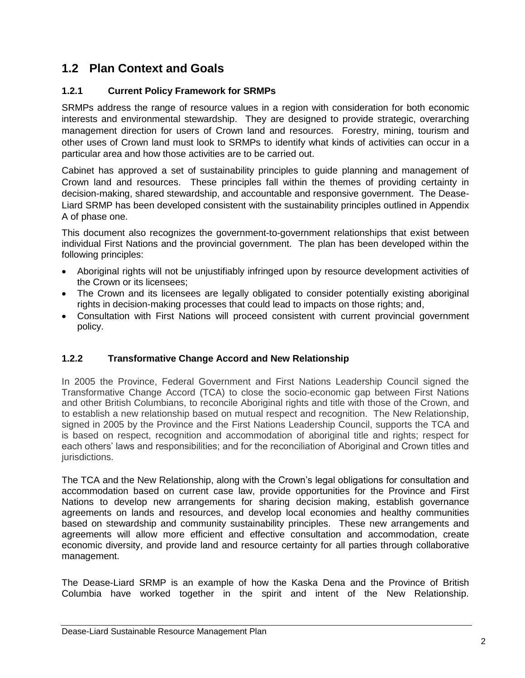## <span id="page-5-0"></span>**1.2 Plan Context and Goals**

### <span id="page-5-1"></span>**1.2.1 Current Policy Framework for SRMPs**

SRMPs address the range of resource values in a region with consideration for both economic interests and environmental stewardship. They are designed to provide strategic, overarching management direction for users of Crown land and resources. Forestry, mining, tourism and other uses of Crown land must look to SRMPs to identify what kinds of activities can occur in a particular area and how those activities are to be carried out.

Cabinet has approved a set of sustainability principles to guide planning and management of Crown land and resources. These principles fall within the themes of providing certainty in decision-making, shared stewardship, and accountable and responsive government. The Dease-Liard SRMP has been developed consistent with the sustainability principles outlined in Appendix A of phase one.

This document also recognizes the government-to-government relationships that exist between individual First Nations and the provincial government. The plan has been developed within the following principles:

- Aboriginal rights will not be unjustifiably infringed upon by resource development activities of the Crown or its licensees;
- The Crown and its licensees are legally obligated to consider potentially existing aboriginal rights in decision-making processes that could lead to impacts on those rights; and,
- Consultation with First Nations will proceed consistent with current provincial government policy.

### <span id="page-5-2"></span>**1.2.2 Transformative Change Accord and New Relationship**

In 2005 the Province, Federal Government and First Nations Leadership Council signed the Transformative Change Accord (TCA) to close the socio-economic gap between First Nations and other British Columbians, to reconcile Aboriginal rights and title with those of the Crown, and to establish a new relationship based on mutual respect and recognition. The New Relationship, signed in 2005 by the Province and the First Nations Leadership Council, supports the TCA and is based on respect, recognition and accommodation of aboriginal title and rights; respect for each others" laws and responsibilities; and for the reconciliation of Aboriginal and Crown titles and jurisdictions.

The TCA and the New Relationship, along with the Crown"s legal obligations for consultation and accommodation based on current case law, provide opportunities for the Province and First Nations to develop new arrangements for sharing decision making, establish governance agreements on lands and resources, and develop local economies and healthy communities based on stewardship and community sustainability principles. These new arrangements and agreements will allow more efficient and effective consultation and accommodation, create economic diversity, and provide land and resource certainty for all parties through collaborative management.

The Dease-Liard SRMP is an example of how the Kaska Dena and the Province of British Columbia have worked together in the spirit and intent of the New Relationship.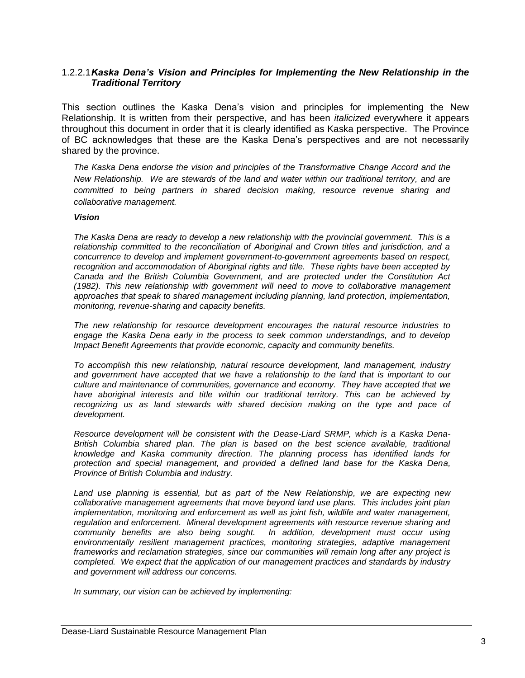### <span id="page-6-0"></span>1.2.2.1*Kaska Dena's Vision and Principles for Implementing the New Relationship in the Traditional Territory*

This section outlines the Kaska Dena"s vision and principles for implementing the New Relationship. It is written from their perspective, and has been *italicized* everywhere it appears throughout this document in order that it is clearly identified as Kaska perspective. The Province of BC acknowledges that these are the Kaska Dena"s perspectives and are not necessarily shared by the province.

*The Kaska Dena endorse the vision and principles of the Transformative Change Accord and the New Relationship. We are stewards of the land and water within our traditional territory, and are committed to being partners in shared decision making, resource revenue sharing and collaborative management.*

#### *Vision*

*The Kaska Dena are ready to develop a new relationship with the provincial government. This is a relationship committed to the reconciliation of Aboriginal and Crown titles and jurisdiction, and a concurrence to develop and implement government-to-government agreements based on respect, recognition and accommodation of Aboriginal rights and title. These rights have been accepted by Canada and the British Columbia Government, and are protected under the Constitution Act (1982). This new relationship with government will need to move to collaborative management approaches that speak to shared management including planning, land protection, implementation, monitoring, revenue-sharing and capacity benefits.* 

*The new relationship for resource development encourages the natural resource industries to engage the Kaska Dena early in the process to seek common understandings, and to develop Impact Benefit Agreements that provide economic, capacity and community benefits.* 

*To accomplish this new relationship, natural resource development, land management, industry and government have accepted that we have a relationship to the land that is important to our culture and maintenance of communities, governance and economy. They have accepted that we have aboriginal interests and title within our traditional territory. This can be achieved by recognizing us as land stewards with shared decision making on the type and pace of development.* 

*Resource development will be consistent with the Dease-Liard SRMP, which is a Kaska Dena-British Columbia shared plan. The plan is based on the best science available, traditional knowledge and Kaska community direction. The planning process has identified lands for protection and special management, and provided a defined land base for the Kaska Dena, Province of British Columbia and industry.* 

*Land use planning is essential, but as part of the New Relationship, we are expecting new collaborative management agreements that move beyond land use plans. This includes joint plan implementation, monitoring and enforcement as well as joint fish, wildlife and water management, regulation and enforcement. Mineral development agreements with resource revenue sharing and community benefits are also being sought. In addition, development must occur using environmentally resilient management practices, monitoring strategies, adaptive management frameworks and reclamation strategies, since our communities will remain long after any project is completed. We expect that the application of our management practices and standards by industry and government will address our concerns.*

*In summary, our vision can be achieved by implementing:*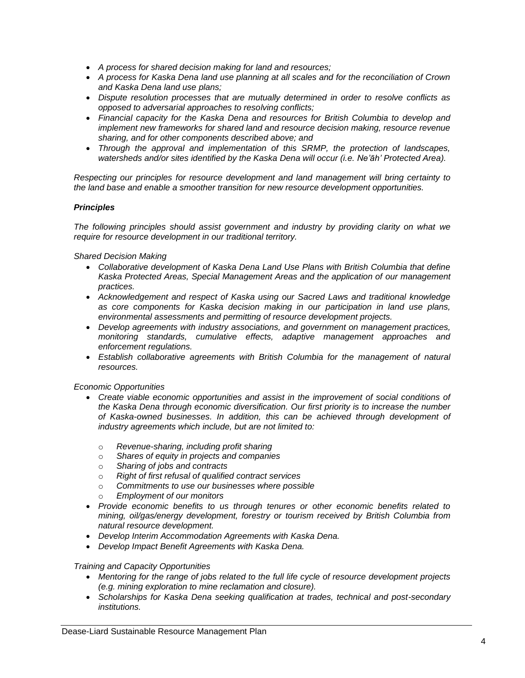- *A process for shared decision making for land and resources;*
- *A process for Kaska Dena land use planning at all scales and for the reconciliation of Crown and Kaska Dena land use plans;*
- *Dispute resolution processes that are mutually determined in order to resolve conflicts as opposed to adversarial approaches to resolving conflicts;*
- *Financial capacity for the Kaska Dena and resources for British Columbia to develop and implement new frameworks for shared land and resource decision making, resource revenue sharing, and for other components described above; and*
- *Through the approval and implementation of this SRMP, the protection of landscapes, watersheds and/or sites identified by the Kaska Dena will occur (i.e. Ne'āh' Protected Area).*

*Respecting our principles for resource development and land management will bring certainty to the land base and enable a smoother transition for new resource development opportunities.* 

### *Principles*

*The following principles should assist government and industry by providing clarity on what we require for resource development in our traditional territory.*

*Shared Decision Making*

- *Collaborative development of Kaska Dena Land Use Plans with British Columbia that define Kaska Protected Areas, Special Management Areas and the application of our management practices.*
- *Acknowledgement and respect of Kaska using our Sacred Laws and traditional knowledge as core components for Kaska decision making in our participation in land use plans, environmental assessments and permitting of resource development projects.*
- *Develop agreements with industry associations, and government on management practices, monitoring standards, cumulative effects, adaptive management approaches and enforcement regulations.*
- *Establish collaborative agreements with British Columbia for the management of natural resources.*

*Economic Opportunities*

- *Create viable economic opportunities and assist in the improvement of social conditions of the Kaska Dena through economic diversification. Our first priority is to increase the number of Kaska-owned businesses. In addition, this can be achieved through development of industry agreements which include, but are not limited to:*
	- o *Revenue-sharing, including profit sharing*
	- o *Shares of equity in projects and companies*
	- o *Sharing of jobs and contracts*
	- o *Right of first refusal of qualified contract services*
	- o *Commitments to use our businesses where possible*
	- o *Employment of our monitors*
- *Provide economic benefits to us through tenures or other economic benefits related to mining, oil/gas/energy development, forestry or tourism received by British Columbia from natural resource development.*
- *Develop Interim Accommodation Agreements with Kaska Dena.*
- *Develop Impact Benefit Agreements with Kaska Dena.*

#### *Training and Capacity Opportunities*

- *Mentoring for the range of jobs related to the full life cycle of resource development projects (e.g. mining exploration to mine reclamation and closure).*
- *Scholarships for Kaska Dena seeking qualification at trades, technical and post-secondary institutions.*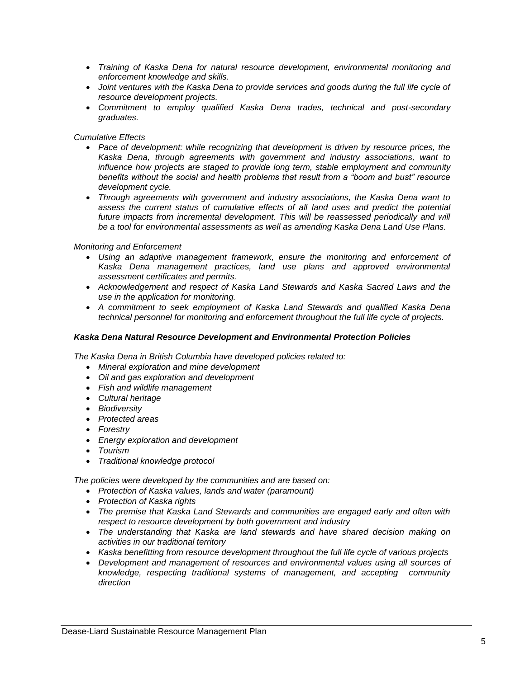- *Training of Kaska Dena for natural resource development, environmental monitoring and enforcement knowledge and skills.*
- Joint ventures with the Kaska Dena to provide services and goods during the full life cycle of *resource development projects.*
- *Commitment to employ qualified Kaska Dena trades, technical and post-secondary graduates.*

### *Cumulative Effects*

- *Pace of development: while recognizing that development is driven by resource prices, the Kaska Dena, through agreements with government and industry associations, want to influence how projects are staged to provide long term, stable employment and community benefits without the social and health problems that result from a "boom and bust" resource development cycle.*
- *Through agreements with government and industry associations, the Kaska Dena want to assess the current status of cumulative effects of all land uses and predict the potential*  future impacts from incremental development. This will be reassessed periodically and will *be a tool for environmental assessments as well as amending Kaska Dena Land Use Plans.*

#### *Monitoring and Enforcement*

- *Using an adaptive management framework, ensure the monitoring and enforcement of Kaska Dena management practices, land use plans and approved environmental assessment certificates and permits.*
- *Acknowledgement and respect of Kaska Land Stewards and Kaska Sacred Laws and the use in the application for monitoring.*
- *A commitment to seek employment of Kaska Land Stewards and qualified Kaska Dena technical personnel for monitoring and enforcement throughout the full life cycle of projects.*

#### *Kaska Dena Natural Resource Development and Environmental Protection Policies*

*The Kaska Dena in British Columbia have developed policies related to:*

- *Mineral exploration and mine development*
- *Oil and gas exploration and development*
- *Fish and wildlife management*
- *Cultural heritage*
- *Biodiversity*
- *Protected areas*
- *Forestry*
- *Energy exploration and development*
- *Tourism*
- *Traditional knowledge protocol*

*The policies were developed by the communities and are based on:*

- *Protection of Kaska values, lands and water (paramount)*
- *Protection of Kaska rights*
- *The premise that Kaska Land Stewards and communities are engaged early and often with respect to resource development by both government and industry*
- *The understanding that Kaska are land stewards and have shared decision making on activities in our traditional territory*
- *Kaska benefitting from resource development throughout the full life cycle of various projects*
- *Development and management of resources and environmental values using all sources of knowledge, respecting traditional systems of management, and accepting community direction*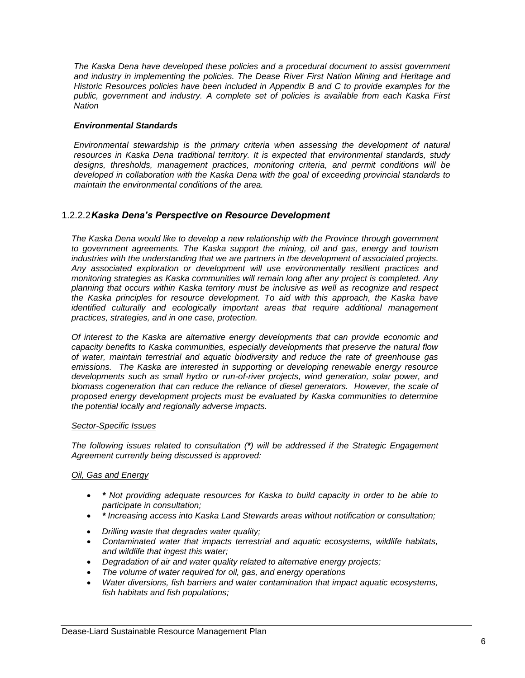*The Kaska Dena have developed these policies and a procedural document to assist government and industry in implementing the policies. The Dease River First Nation Mining and Heritage and Historic Resources policies have been included in Appendix B and C to provide examples for the public, government and industry. A complete set of policies is available from each Kaska First Nation*

### *Environmental Standards*

*Environmental stewardship is the primary criteria when assessing the development of natural resources in Kaska Dena traditional territory. It is expected that environmental standards, study designs, thresholds, management practices, monitoring criteria, and permit conditions will be developed in collaboration with the Kaska Dena with the goal of exceeding provincial standards to maintain the environmental conditions of the area.*

### <span id="page-9-0"></span>1.2.2.2*Kaska Dena's Perspective on Resource Development*

*The Kaska Dena would like to develop a new relationship with the Province through government to government agreements. The Kaska support the mining, oil and gas, energy and tourism industries with the understanding that we are partners in the development of associated projects. Any associated exploration or development will use environmentally resilient practices and monitoring strategies as Kaska communities will remain long after any project is completed. Any planning that occurs within Kaska territory must be inclusive as well as recognize and respect the Kaska principles for resource development. To aid with this approach, the Kaska have identified culturally and ecologically important areas that require additional management practices, strategies, and in one case, protection.*

*Of interest to the Kaska are alternative energy developments that can provide economic and capacity benefits to Kaska communities, especially developments that preserve the natural flow of water, maintain terrestrial and aquatic biodiversity and reduce the rate of greenhouse gas emissions. The Kaska are interested in supporting or developing renewable energy resource developments such as small hydro or run-of-river projects, wind generation, solar power, and*  biomass cogeneration that can reduce the reliance of diesel generators. However, the scale of *proposed energy development projects must be evaluated by Kaska communities to determine the potential locally and regionally adverse impacts.*

#### *Sector-Specific Issues*

*The following issues related to consultation (\*) will be addressed if the Strategic Engagement Agreement currently being discussed is approved:*

### *Oil, Gas and Energy*

- *\* Not providing adequate resources for Kaska to build capacity in order to be able to participate in consultation;*
- *\* Increasing access into Kaska Land Stewards areas without notification or consultation;*
- *Drilling waste that degrades water quality;*
- *Contaminated water that impacts terrestrial and aquatic ecosystems, wildlife habitats, and wildlife that ingest this water;*
- *Degradation of air and water quality related to alternative energy projects;*
- *The volume of water required for oil, gas, and energy operations*
- *Water diversions, fish barriers and water contamination that impact aquatic ecosystems, fish habitats and fish populations;*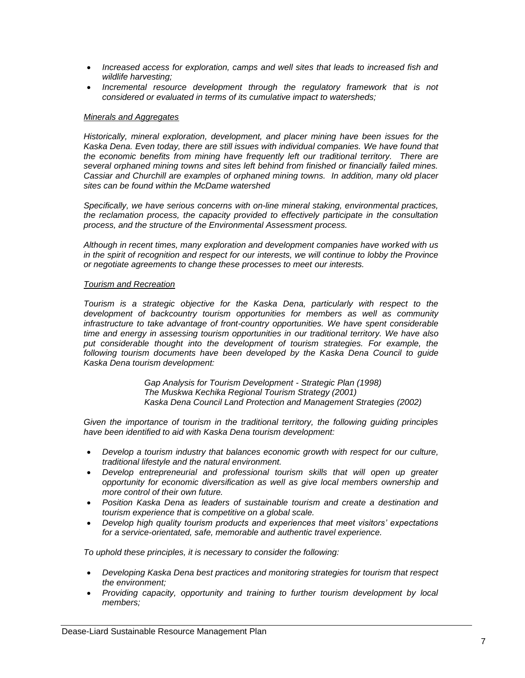- *Increased access for exploration, camps and well sites that leads to increased fish and wildlife harvesting;*
- *Incremental resource development through the regulatory framework that is not considered or evaluated in terms of its cumulative impact to watersheds;*

#### *Minerals and Aggregates*

*Historically, mineral exploration, development, and placer mining have been issues for the Kaska Dena. Even today, there are still issues with individual companies. We have found that the economic benefits from mining have frequently left our traditional territory. There are several orphaned mining towns and sites left behind from finished or financially failed mines. Cassiar and Churchill are examples of orphaned mining towns. In addition, many old placer sites can be found within the McDame watershed* 

*Specifically, we have serious concerns with on-line mineral staking, environmental practices, the reclamation process, the capacity provided to effectively participate in the consultation process, and the structure of the Environmental Assessment process.* 

*Although in recent times, many exploration and development companies have worked with us in the spirit of recognition and respect for our interests, we will continue to lobby the Province or negotiate agreements to change these processes to meet our interests.*

#### *Tourism and Recreation*

*Tourism is a strategic objective for the Kaska Dena, particularly with respect to the development of backcountry tourism opportunities for members as well as community infrastructure to take advantage of front-country opportunities. We have spent considerable time and energy in assessing tourism opportunities in our traditional territory. We have also put considerable thought into the development of tourism strategies. For example, the following tourism documents have been developed by the Kaska Dena Council to guide Kaska Dena tourism development:*

> *Gap Analysis for Tourism Development - Strategic Plan (1998) The Muskwa Kechika Regional Tourism Strategy (2001) Kaska Dena Council Land Protection and Management Strategies (2002)*

*Given the importance of tourism in the traditional territory, the following guiding principles have been identified to aid with Kaska Dena tourism development:*

- *Develop a tourism industry that balances economic growth with respect for our culture, traditional lifestyle and the natural environment.*
- *Develop entrepreneurial and professional tourism skills that will open up greater opportunity for economic diversification as well as give local members ownership and more control of their own future.*
- *Position Kaska Dena as leaders of sustainable tourism and create a destination and tourism experience that is competitive on a global scale.*
- *Develop high quality tourism products and experiences that meet visitors' expectations for a service-orientated, safe, memorable and authentic travel experience.*

*To uphold these principles, it is necessary to consider the following:*

- *Developing Kaska Dena best practices and monitoring strategies for tourism that respect the environment;*
- *Providing capacity, opportunity and training to further tourism development by local members;*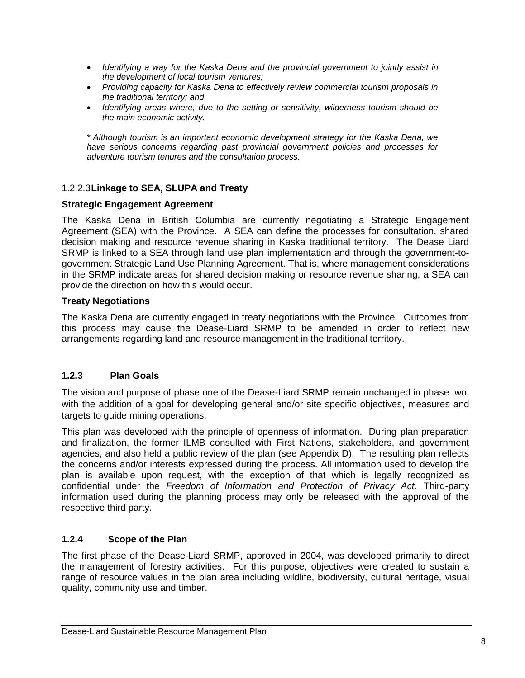- *Identifying a way for the Kaska Dena and the provincial government to jointly assist in the development of local tourism ventures;*
- *Providing capacity for Kaska Dena to effectively review commercial tourism proposals in the traditional territory; and*
- *Identifying areas where, due to the setting or sensitivity, wilderness tourism should be the main economic activity.*

*\* Although tourism is an important economic development strategy for the Kaska Dena, we have serious concerns regarding past provincial government policies and processes for adventure tourism tenures and the consultation process.*

### <span id="page-11-0"></span>1.2.2.3**Linkage to SEA, SLUPA and Treaty**

### **Strategic Engagement Agreement**

The Kaska Dena in British Columbia are currently negotiating a Strategic Engagement Agreement (SEA) with the Province. A SEA can define the processes for consultation, shared decision making and resource revenue sharing in Kaska traditional territory. The Dease Liard SRMP is linked to a SEA through land use plan implementation and through the government-togovernment Strategic Land Use Planning Agreement. That is, where management considerations in the SRMP indicate areas for shared decision making or resource revenue sharing, a SEA can provide the direction on how this would occur.

### **Treaty Negotiations**

The Kaska Dena are currently engaged in treaty negotiations with the Province. Outcomes from this process may cause the Dease-Liard SRMP to be amended in order to reflect new arrangements regarding land and resource management in the traditional territory.

### <span id="page-11-1"></span>**1.2.3 Plan Goals**

The vision and purpose of phase one of the Dease-Liard SRMP remain unchanged in phase two, with the addition of a goal for developing general and/or site specific objectives, measures and targets to quide mining operations.

This plan was developed with the principle of openness of information. During plan preparation and finalization, the former ILMB consulted with First Nations, stakeholders, and government agencies, and also held a public review of the plan (see Appendix D). The resulting plan reflects the concerns and/or interests expressed during the process. All information used to develop the plan is available upon request, with the exception of that which is legally recognized as confidential under the *Freedom of Information and Protection of Privacy Act.* Third-party information used during the planning process may only be released with the approval of the respective third party.

### <span id="page-11-2"></span>**1.2.4 Scope of the Plan**

The first phase of the Dease-Liard SRMP, approved in 2004, was developed primarily to direct the management of forestry activities. For this purpose, objectives were created to sustain a range of resource values in the plan area including wildlife, biodiversity, cultural heritage, visual quality, community use and timber.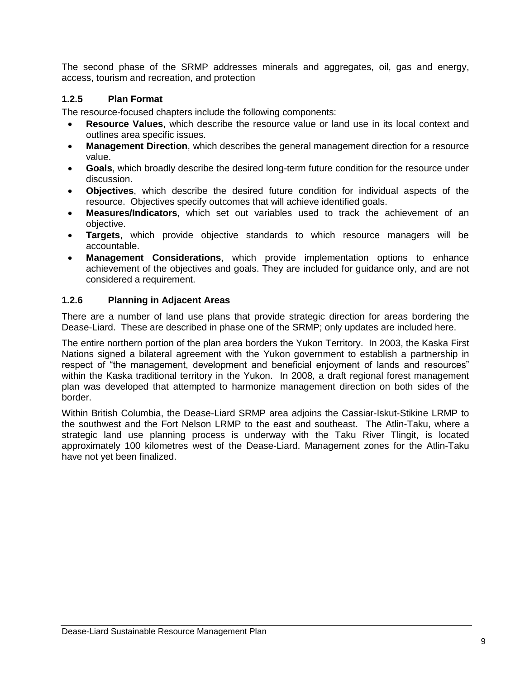The second phase of the SRMP addresses minerals and aggregates, oil, gas and energy, access, tourism and recreation, and protection

### <span id="page-12-0"></span>**1.2.5 Plan Format**

The resource-focused chapters include the following components:

- **Resource Values**, which describe the resource value or land use in its local context and outlines area specific issues.
- **Management Direction**, which describes the general management direction for a resource value.
- **Goals**, which broadly describe the desired long-term future condition for the resource under discussion.
- **Objectives**, which describe the desired future condition for individual aspects of the resource. Objectives specify outcomes that will achieve identified goals.
- **Measures/Indicators**, which set out variables used to track the achievement of an objective.
- **Targets**, which provide objective standards to which resource managers will be accountable.
- **Management Considerations**, which provide implementation options to enhance achievement of the objectives and goals. They are included for guidance only, and are not considered a requirement.

### <span id="page-12-1"></span>**1.2.6 Planning in Adjacent Areas**

There are a number of land use plans that provide strategic direction for areas bordering the Dease-Liard. These are described in phase one of the SRMP; only updates are included here.

The entire northern portion of the plan area borders the Yukon Territory. In 2003, the Kaska First Nations signed a bilateral agreement with the Yukon government to establish a partnership in respect of "the management, development and beneficial enjoyment of lands and resources" within the Kaska traditional territory in the Yukon. In 2008, a draft regional forest management plan was developed that attempted to harmonize management direction on both sides of the border.

Within British Columbia, the Dease-Liard SRMP area adjoins the Cassiar-Iskut-Stikine LRMP to the southwest and the Fort Nelson LRMP to the east and southeast. The Atlin-Taku, where a strategic land use planning process is underway with the Taku River Tlingit, is located approximately 100 kilometres west of the Dease-Liard. Management zones for the Atlin-Taku have not yet been finalized.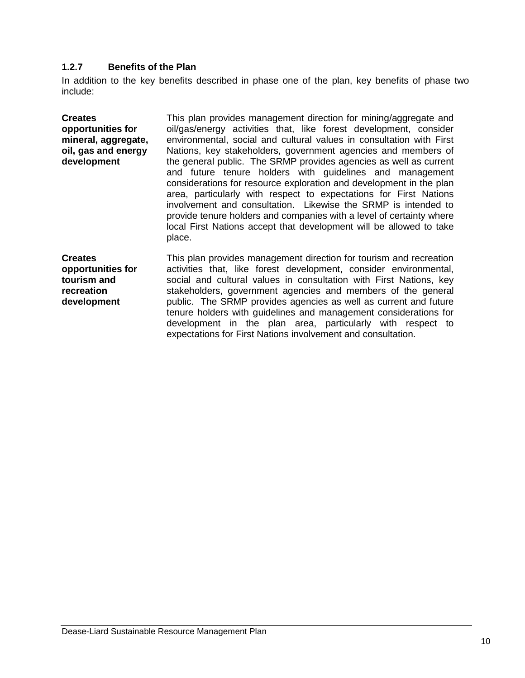### <span id="page-13-0"></span>**1.2.7 Benefits of the Plan**

In addition to the key benefits described in phase one of the plan, key benefits of phase two include:

| <b>Creates</b><br>opportunities for<br>mineral, aggregate,<br>oil, gas and energy<br>development | This plan provides management direction for mining/aggregate and<br>oil/gas/energy activities that, like forest development, consider<br>environmental, social and cultural values in consultation with First<br>Nations, key stakeholders, government agencies and members of<br>the general public. The SRMP provides agencies as well as current<br>and future tenure holders with guidelines and management<br>considerations for resource exploration and development in the plan<br>area, particularly with respect to expectations for First Nations<br>involvement and consultation. Likewise the SRMP is intended to<br>provide tenure holders and companies with a level of certainty where<br>local First Nations accept that development will be allowed to take<br>place. |
|--------------------------------------------------------------------------------------------------|----------------------------------------------------------------------------------------------------------------------------------------------------------------------------------------------------------------------------------------------------------------------------------------------------------------------------------------------------------------------------------------------------------------------------------------------------------------------------------------------------------------------------------------------------------------------------------------------------------------------------------------------------------------------------------------------------------------------------------------------------------------------------------------|
| <b>Creates</b><br>opportunities for<br>tourism and<br>recreation<br>development                  | This plan provides management direction for tourism and recreation<br>activities that, like forest development, consider environmental,<br>social and cultural values in consultation with First Nations, key<br>stakeholders, government agencies and members of the general<br>public. The SRMP provides agencies as well as current and future<br>tenure holders with guidelines and management considerations for                                                                                                                                                                                                                                                                                                                                                                  |

development in the plan area, particularly with respect to

expectations for First Nations involvement and consultation.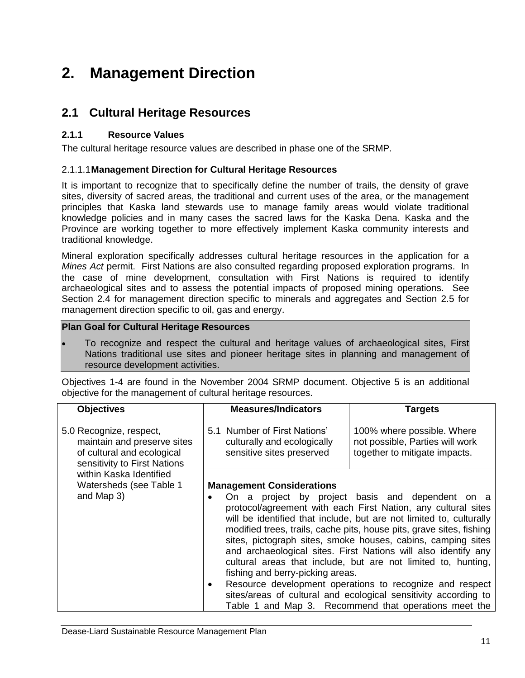## <span id="page-14-0"></span>**2. Management Direction**

### <span id="page-14-1"></span>**2.1 Cultural Heritage Resources**

### <span id="page-14-2"></span>**2.1.1 Resource Values**

The cultural heritage resource values are described in phase one of the SRMP.

### <span id="page-14-3"></span>2.1.1.1**Management Direction for Cultural Heritage Resources**

It is important to recognize that to specifically define the number of trails, the density of grave sites, diversity of sacred areas, the traditional and current uses of the area, or the management principles that Kaska land stewards use to manage family areas would violate traditional knowledge policies and in many cases the sacred laws for the Kaska Dena. Kaska and the Province are working together to more effectively implement Kaska community interests and traditional knowledge.

Mineral exploration specifically addresses cultural heritage resources in the application for a *Mines Act* permit. First Nations are also consulted regarding proposed exploration programs. In the case of mine development, consultation with First Nations is required to identify archaeological sites and to assess the potential impacts of proposed mining operations. See Section 2.4 for management direction specific to minerals and aggregates and Section 2.5 for management direction specific to oil, gas and energy.

### **Plan Goal for Cultural Heritage Resources**

 To recognize and respect the cultural and heritage values of archaeological sites, First Nations traditional use sites and pioneer heritage sites in planning and management of resource development activities.

Objectives 1-4 are found in the November 2004 SRMP document. Objective 5 is an additional objective for the management of cultural heritage resources.

| <b>Objectives</b>                                                                                                    | <b>Measures/Indicators</b>                                                               | <b>Targets</b>                                                                                                                                                                                                                                                                                                                                                                                                                                                                                                                                                                                                                                              |  |
|----------------------------------------------------------------------------------------------------------------------|------------------------------------------------------------------------------------------|-------------------------------------------------------------------------------------------------------------------------------------------------------------------------------------------------------------------------------------------------------------------------------------------------------------------------------------------------------------------------------------------------------------------------------------------------------------------------------------------------------------------------------------------------------------------------------------------------------------------------------------------------------------|--|
| 5.0 Recognize, respect,<br>maintain and preserve sites<br>of cultural and ecological<br>sensitivity to First Nations | 5.1 Number of First Nations'<br>culturally and ecologically<br>sensitive sites preserved | 100% where possible. Where<br>not possible, Parties will work<br>together to mitigate impacts.                                                                                                                                                                                                                                                                                                                                                                                                                                                                                                                                                              |  |
| within Kaska Identified                                                                                              |                                                                                          |                                                                                                                                                                                                                                                                                                                                                                                                                                                                                                                                                                                                                                                             |  |
| Watersheds (see Table 1                                                                                              | <b>Management Considerations</b>                                                         |                                                                                                                                                                                                                                                                                                                                                                                                                                                                                                                                                                                                                                                             |  |
| and Map 3)                                                                                                           | ٠<br>fishing and berry-picking areas.<br>$\bullet$                                       | On a project by project basis and dependent on a<br>protocol/agreement with each First Nation, any cultural sites<br>will be identified that include, but are not limited to, culturally<br>modified trees, trails, cache pits, house pits, grave sites, fishing<br>sites, pictograph sites, smoke houses, cabins, camping sites<br>and archaeological sites. First Nations will also identify any<br>cultural areas that include, but are not limited to, hunting,<br>Resource development operations to recognize and respect<br>sites/areas of cultural and ecological sensitivity according to<br>Table 1 and Map 3. Recommend that operations meet the |  |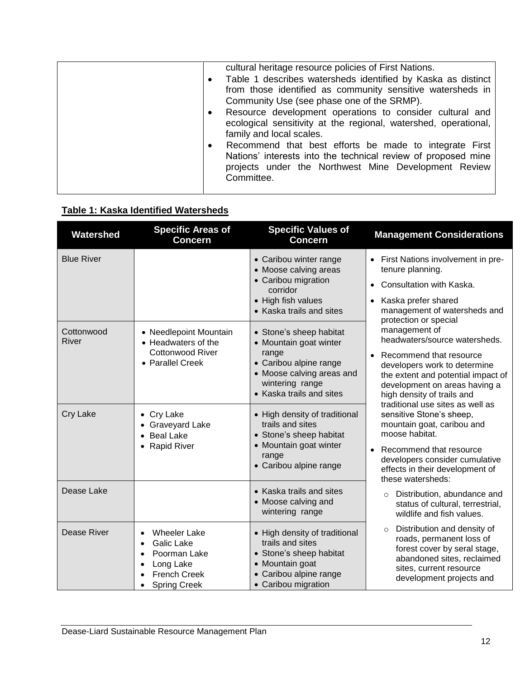| cultural heritage resource policies of First Nations.<br>Table 1 describes watersheds identified by Kaska as distinct<br>$\bullet$<br>from those identified as community sensitive watersheds in                   |
|--------------------------------------------------------------------------------------------------------------------------------------------------------------------------------------------------------------------|
| Community Use (see phase one of the SRMP).<br>Resource development operations to consider cultural and<br>$\bullet$<br>ecological sensitivity at the regional, watershed, operational,<br>family and local scales. |
| Recommend that best efforts be made to integrate First<br>$\bullet$<br>Nations' interests into the technical review of proposed mine<br>projects under the Northwest Mine Development Review<br>Committee.         |

## <span id="page-15-0"></span>**Table 1: Kaska Identified Watersheds**

| Watershed                  | <b>Specific Areas of</b><br><b>Concern</b>                                                                   | <b>Specific Values of</b><br><b>Concern</b>                                                                                                      | <b>Management Considerations</b>                                                                                                                                                                                                                                                                            |  |
|----------------------------|--------------------------------------------------------------------------------------------------------------|--------------------------------------------------------------------------------------------------------------------------------------------------|-------------------------------------------------------------------------------------------------------------------------------------------------------------------------------------------------------------------------------------------------------------------------------------------------------------|--|
| <b>Blue River</b>          |                                                                                                              | • Caribou winter range<br>• Moose calving areas<br>• Caribou migration<br>corridor<br>• High fish values                                         | • First Nations involvement in pre-<br>tenure planning.<br>Consultation with Kaska.<br>Kaska prefer shared                                                                                                                                                                                                  |  |
| Cottonwood<br><b>River</b> | • Needlepoint Mountain<br>• Headwaters of the                                                                | • Kaska trails and sites<br>• Stone's sheep habitat<br>• Mountain goat winter                                                                    | management of watersheds and<br>protection or special<br>management of<br>headwaters/source watersheds.<br>Recommend that resource<br>developers work to determine<br>the extent and potential impact of<br>development on areas having a<br>high density of trails and<br>traditional use sites as well as |  |
|                            | <b>Cottonwood River</b><br>• Parallel Creek                                                                  | range<br>• Caribou alpine range<br>• Moose calving areas and<br>wintering range<br>• Kaska trails and sites                                      |                                                                                                                                                                                                                                                                                                             |  |
| <b>Cry Lake</b>            | • Cry Lake<br>• Graveyard Lake<br>• Beal Lake                                                                | • High density of traditional<br>trails and sites<br>• Stone's sheep habitat                                                                     | sensitive Stone's sheep,<br>mountain goat, caribou and<br>moose habitat.                                                                                                                                                                                                                                    |  |
|                            | • Rapid River                                                                                                | • Mountain goat winter<br>range<br>• Caribou alpine range                                                                                        | Recommend that resource<br>$\bullet$<br>developers consider cumulative<br>effects in their development of<br>these watersheds:                                                                                                                                                                              |  |
| Dease Lake                 |                                                                                                              | • Kaska trails and sites<br>• Moose calving and<br>wintering range                                                                               | Distribution, abundance and<br>$\circ$<br>status of cultural, terrestrial,<br>wildlife and fish values.                                                                                                                                                                                                     |  |
| Dease River                | <b>Wheeler Lake</b><br>Galic Lake<br>Poorman Lake<br>Long Lake<br><b>French Creek</b><br><b>Spring Creek</b> | • High density of traditional<br>trails and sites<br>• Stone's sheep habitat<br>• Mountain goat<br>• Caribou alpine range<br>• Caribou migration | Distribution and density of<br>$\circ$<br>roads, permanent loss of<br>forest cover by seral stage,<br>abandoned sites, reclaimed<br>sites, current resource<br>development projects and                                                                                                                     |  |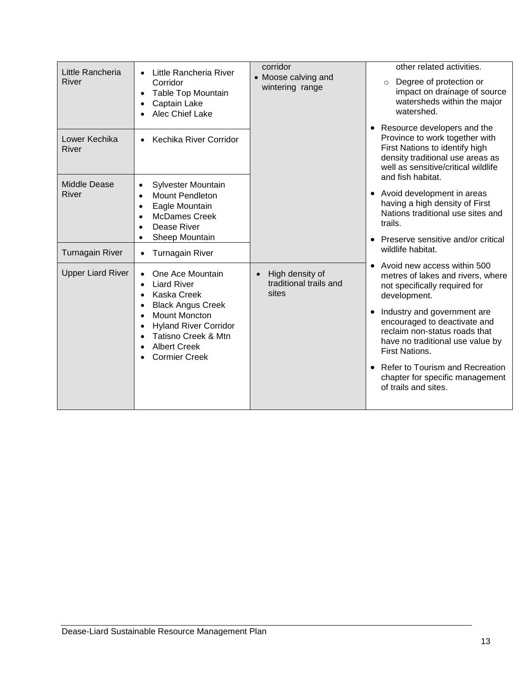| Little Rancheria<br>River    | Little Rancheria River<br>Corridor<br><b>Table Top Mountain</b><br>Captain Lake<br>Alec Chief Lake                                                                                                              | corridor<br>• Moose calving and<br>wintering range | other related activities.<br>Degree of protection or<br>$\circ$<br>impact on drainage of source<br>watersheds within the major<br>watershed.                                                                                                                                                                                                                                   |
|------------------------------|-----------------------------------------------------------------------------------------------------------------------------------------------------------------------------------------------------------------|----------------------------------------------------|--------------------------------------------------------------------------------------------------------------------------------------------------------------------------------------------------------------------------------------------------------------------------------------------------------------------------------------------------------------------------------|
| Lower Kechika<br>River       | Kechika River Corridor                                                                                                                                                                                          |                                                    | • Resource developers and the<br>Province to work together with<br>First Nations to identify high<br>density traditional use areas as<br>well as sensitive/critical wildlife                                                                                                                                                                                                   |
| <b>Middle Dease</b><br>River | Sylvester Mountain<br><b>Mount Pendleton</b><br>Eagle Mountain<br>$\bullet$<br><b>McDames Creek</b><br>$\bullet$<br>Dease River                                                                                 |                                                    | and fish habitat.<br>• Avoid development in areas<br>having a high density of First<br>Nations traditional use sites and<br>trails.                                                                                                                                                                                                                                            |
| <b>Turnagain River</b>       | Sheep Mountain<br><b>Turnagain River</b><br>$\bullet$                                                                                                                                                           |                                                    | • Preserve sensitive and/or critical<br>wildlife habitat.                                                                                                                                                                                                                                                                                                                      |
| <b>Upper Liard River</b>     | One Ace Mountain<br><b>Liard River</b><br>Kaska Creek<br><b>Black Angus Creek</b><br><b>Mount Moncton</b><br><b>Hyland River Corridor</b><br>Tatisno Creek & Mtn<br><b>Albert Creek</b><br><b>Cormier Creek</b> | High density of<br>traditional trails and<br>sites | Avoid new access within 500<br>metres of lakes and rivers, where<br>not specifically required for<br>development.<br>Industry and government are<br>encouraged to deactivate and<br>reclaim non-status roads that<br>have no traditional use value by<br><b>First Nations.</b><br>• Refer to Tourism and Recreation<br>chapter for specific management<br>of trails and sites. |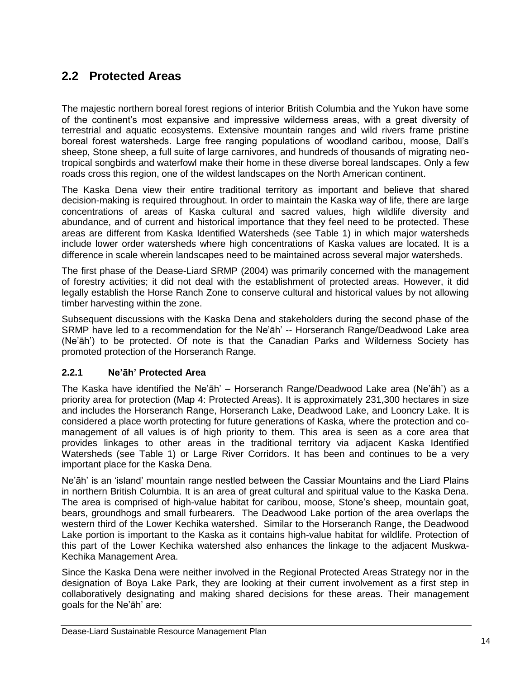## <span id="page-17-0"></span>**2.2 Protected Areas**

The majestic northern boreal forest regions of interior British Columbia and the Yukon have some of the continent"s most expansive and impressive wilderness areas, with a great diversity of terrestrial and aquatic ecosystems. Extensive mountain ranges and wild rivers frame pristine boreal forest watersheds. Large free ranging populations of woodland caribou, moose, Dall"s sheep, Stone sheep, a full suite of large carnivores, and hundreds of thousands of migrating neotropical songbirds and waterfowl make their home in these diverse boreal landscapes. Only a few roads cross this region, one of the wildest landscapes on the North American continent.

The Kaska Dena view their entire traditional territory as important and believe that shared decision-making is required throughout. In order to maintain the Kaska way of life, there are large concentrations of areas of Kaska cultural and sacred values, high wildlife diversity and abundance, and of current and historical importance that they feel need to be protected. These areas are different from Kaska Identified Watersheds (see Table 1) in which major watersheds include lower order watersheds where high concentrations of Kaska values are located. It is a difference in scale wherein landscapes need to be maintained across several major watersheds.

The first phase of the Dease-Liard SRMP (2004) was primarily concerned with the management of forestry activities; it did not deal with the establishment of protected areas. However, it did legally establish the Horse Ranch Zone to conserve cultural and historical values by not allowing timber harvesting within the zone.

Subsequent discussions with the Kaska Dena and stakeholders during the second phase of the SRMP have led to a recommendation for the Ne"āh" -- Horseranch Range/Deadwood Lake area (Ne"āh") to be protected. Of note is that the Canadian Parks and Wilderness Society has promoted protection of the Horseranch Range.

### <span id="page-17-1"></span>**2.2.1 Ne'āh' Protected Area**

The Kaska have identified the Ne"āh" – Horseranch Range/Deadwood Lake area (Ne"āh") as a priority area for protection (Map 4: Protected Areas). It is approximately 231,300 hectares in size and includes the Horseranch Range, Horseranch Lake, Deadwood Lake, and Looncry Lake. It is considered a place worth protecting for future generations of Kaska, where the protection and comanagement of all values is of high priority to them. This area is seen as a core area that provides linkages to other areas in the traditional territory via adjacent Kaska Identified Watersheds (see Table 1) or Large River Corridors. It has been and continues to be a very important place for the Kaska Dena.

Ne"āh" is an "island" mountain range nestled between the Cassiar Mountains and the Liard Plains in northern British Columbia. It is an area of great cultural and spiritual value to the Kaska Dena. The area is comprised of high-value habitat for caribou, moose, Stone's sheep, mountain goat, bears, groundhogs and small furbearers. The Deadwood Lake portion of the area overlaps the western third of the Lower Kechika watershed. Similar to the Horseranch Range, the Deadwood Lake portion is important to the Kaska as it contains high-value habitat for wildlife. Protection of this part of the Lower Kechika watershed also enhances the linkage to the adjacent Muskwa-Kechika Management Area.

Since the Kaska Dena were neither involved in the Regional Protected Areas Strategy nor in the designation of Boya Lake Park, they are looking at their current involvement as a first step in collaboratively designating and making shared decisions for these areas. Their management goals for the Ne"āh" are: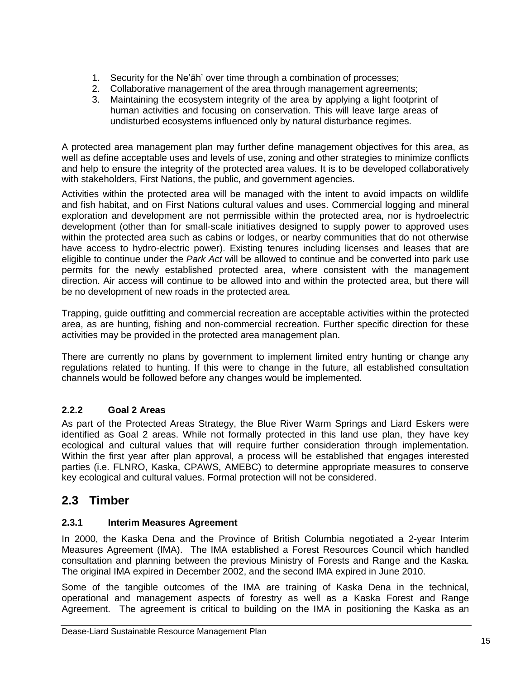- 1. Security for the Ne"āh" over time through a combination of processes;
- 2. Collaborative management of the area through management agreements;
- 3. Maintaining the ecosystem integrity of the area by applying a light footprint of human activities and focusing on conservation. This will leave large areas of undisturbed ecosystems influenced only by natural disturbance regimes.

A protected area management plan may further define management objectives for this area, as well as define acceptable uses and levels of use, zoning and other strategies to minimize conflicts and help to ensure the integrity of the protected area values. It is to be developed collaboratively with stakeholders, First Nations, the public, and government agencies.

Activities within the protected area will be managed with the intent to avoid impacts on wildlife and fish habitat, and on First Nations cultural values and uses. Commercial logging and mineral exploration and development are not permissible within the protected area, nor is hydroelectric development (other than for small-scale initiatives designed to supply power to approved uses within the protected area such as cabins or lodges, or nearby communities that do not otherwise have access to hydro-electric power). Existing tenures including licenses and leases that are eligible to continue under the *Park Act* will be allowed to continue and be converted into park use permits for the newly established protected area, where consistent with the management direction. Air access will continue to be allowed into and within the protected area, but there will be no development of new roads in the protected area.

Trapping, guide outfitting and commercial recreation are acceptable activities within the protected area, as are hunting, fishing and non-commercial recreation. Further specific direction for these activities may be provided in the protected area management plan.

There are currently no plans by government to implement limited entry hunting or change any regulations related to hunting. If this were to change in the future, all established consultation channels would be followed before any changes would be implemented.

### <span id="page-18-0"></span>**2.2.2 Goal 2 Areas**

As part of the Protected Areas Strategy, the Blue River Warm Springs and Liard Eskers were identified as Goal 2 areas. While not formally protected in this land use plan, they have key ecological and cultural values that will require further consideration through implementation. Within the first year after plan approval, a process will be established that engages interested parties (i.e. FLNRO, Kaska, CPAWS, AMEBC) to determine appropriate measures to conserve key ecological and cultural values. Formal protection will not be considered.

## <span id="page-18-1"></span>**2.3 Timber**

### <span id="page-18-2"></span>**2.3.1 Interim Measures Agreement**

In 2000, the Kaska Dena and the Province of British Columbia negotiated a 2-year Interim Measures Agreement (IMA). The IMA established a Forest Resources Council which handled consultation and planning between the previous Ministry of Forests and Range and the Kaska. The original IMA expired in December 2002, and the second IMA expired in June 2010.

Some of the tangible outcomes of the IMA are training of Kaska Dena in the technical, operational and management aspects of forestry as well as a Kaska Forest and Range Agreement. The agreement is critical to building on the IMA in positioning the Kaska as an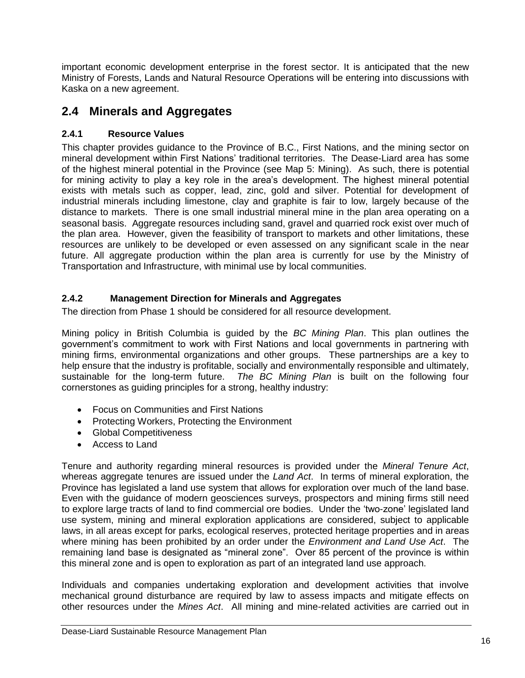important economic development enterprise in the forest sector. It is anticipated that the new Ministry of Forests, Lands and Natural Resource Operations will be entering into discussions with Kaska on a new agreement.

### <span id="page-19-0"></span>**2.4 Minerals and Aggregates**

### <span id="page-19-1"></span>**2.4.1 Resource Values**

This chapter provides guidance to the Province of B.C., First Nations, and the mining sector on mineral development within First Nations" traditional territories. The Dease-Liard area has some of the highest mineral potential in the Province (see Map 5: Mining). As such, there is potential for mining activity to play a key role in the area's development. The highest mineral potential exists with metals such as copper, lead, zinc, gold and silver. Potential for development of industrial minerals including limestone, clay and graphite is fair to low, largely because of the distance to markets. There is one small industrial mineral mine in the plan area operating on a seasonal basis. Aggregate resources including sand, gravel and quarried rock exist over much of the plan area. However, given the feasibility of transport to markets and other limitations, these resources are unlikely to be developed or even assessed on any significant scale in the near future. All aggregate production within the plan area is currently for use by the Ministry of Transportation and Infrastructure, with minimal use by local communities.

### <span id="page-19-2"></span>**2.4.2 Management Direction for Minerals and Aggregates**

The direction from Phase 1 should be considered for all resource development.

Mining policy in British Columbia is guided by the *BC Mining Plan*. This plan outlines the government"s commitment to work with First Nations and local governments in partnering with mining firms, environmental organizations and other groups. These partnerships are a key to help ensure that the industry is profitable, socially and environmentally responsible and ultimately, sustainable for the long-term future. *The BC Mining Plan* is built on the following four cornerstones as guiding principles for a strong, healthy industry:

- Focus on Communities and First Nations
- Protecting Workers, Protecting the Environment
- Global Competitiveness
- Access to Land

Tenure and authority regarding mineral resources is provided under the *Mineral Tenure Act*, whereas aggregate tenures are issued under the *Land Act*. In terms of mineral exploration, the Province has legislated a land use system that allows for exploration over much of the land base. Even with the guidance of modern geosciences surveys, prospectors and mining firms still need to explore large tracts of land to find commercial ore bodies. Under the "two-zone" legislated land use system, mining and mineral exploration applications are considered, subject to applicable laws, in all areas except for parks, ecological reserves, protected heritage properties and in areas where mining has been prohibited by an order under the *Environment and Land Use Act*. The remaining land base is designated as "mineral zone". Over 85 percent of the province is within this mineral zone and is open to exploration as part of an integrated land use approach.

Individuals and companies undertaking exploration and development activities that involve mechanical ground disturbance are required by law to assess impacts and mitigate effects on other resources under the *Mines Act*. All mining and mine-related activities are carried out in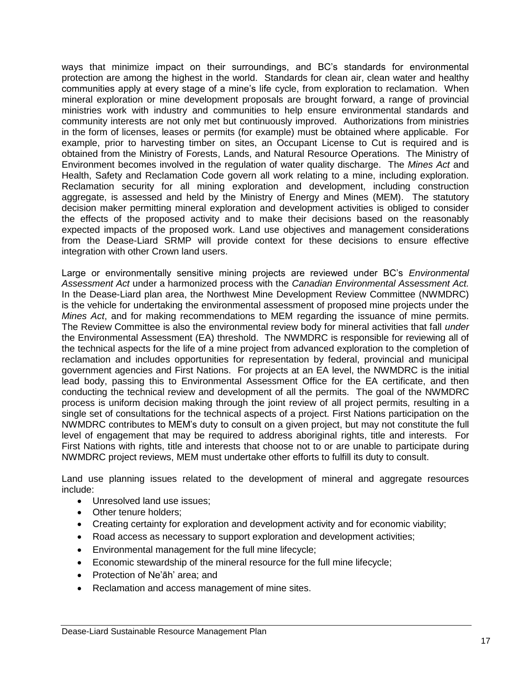ways that minimize impact on their surroundings, and BC"s standards for environmental protection are among the highest in the world. Standards for clean air, clean water and healthy communities apply at every stage of a mine"s life cycle, from exploration to reclamation. When mineral exploration or mine development proposals are brought forward, a range of provincial ministries work with industry and communities to help ensure environmental standards and community interests are not only met but continuously improved. Authorizations from ministries in the form of licenses, leases or permits (for example) must be obtained where applicable. For example, prior to harvesting timber on sites, an Occupant License to Cut is required and is obtained from the Ministry of Forests, Lands, and Natural Resource Operations. The Ministry of Environment becomes involved in the regulation of water quality discharge. The *Mines Act* and Health, Safety and Reclamation Code govern all work relating to a mine, including exploration. Reclamation security for all mining exploration and development, including construction aggregate, is assessed and held by the Ministry of Energy and Mines (MEM). The statutory decision maker permitting mineral exploration and development activities is obliged to consider the effects of the proposed activity and to make their decisions based on the reasonably expected impacts of the proposed work. Land use objectives and management considerations from the Dease-Liard SRMP will provide context for these decisions to ensure effective integration with other Crown land users.

Large or environmentally sensitive mining projects are reviewed under BC"s *Environmental Assessment Act* under a harmonized process with the *Canadian Environmental Assessment Act.*  In the Dease-Liard plan area, the Northwest Mine Development Review Committee (NWMDRC) is the vehicle for undertaking the environmental assessment of proposed mine projects under the *Mines Act*, and for making recommendations to MEM regarding the issuance of mine permits. The Review Committee is also the environmental review body for mineral activities that fall *under*  the Environmental Assessment (EA) threshold. The NWMDRC is responsible for reviewing all of the technical aspects for the life of a mine project from advanced exploration to the completion of reclamation and includes opportunities for representation by federal, provincial and municipal government agencies and First Nations. For projects at an EA level, the NWMDRC is the initial lead body, passing this to Environmental Assessment Office for the EA certificate, and then conducting the technical review and development of all the permits. The goal of the NWMDRC process is uniform decision making through the joint review of all project permits, resulting in a single set of consultations for the technical aspects of a project. First Nations participation on the NWMDRC contributes to MEM"s duty to consult on a given project, but may not constitute the full level of engagement that may be required to address aboriginal rights, title and interests. For First Nations with rights, title and interests that choose not to or are unable to participate during NWMDRC project reviews, MEM must undertake other efforts to fulfill its duty to consult.

Land use planning issues related to the development of mineral and aggregate resources include:

- Unresolved land use issues:
- Other tenure holders:
- Creating certainty for exploration and development activity and for economic viability;
- Road access as necessary to support exploration and development activities;
- Environmental management for the full mine lifecycle;
- Economic stewardship of the mineral resource for the full mine lifecycle;
- Protection of Ne'ah' area; and
- Reclamation and access management of mine sites.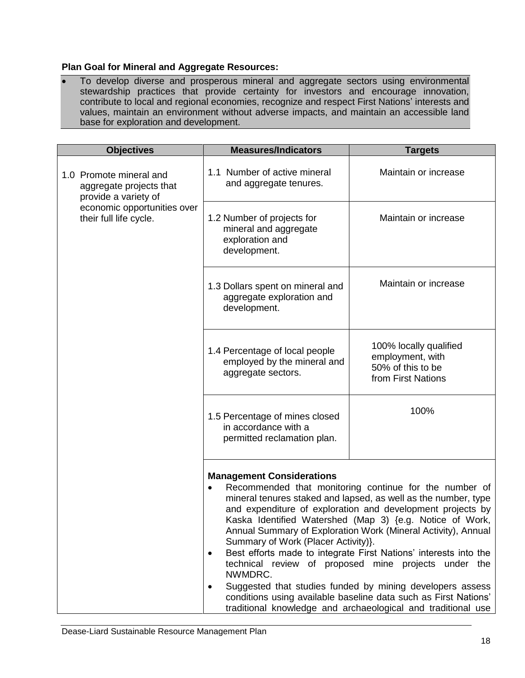### **Plan Goal for Mineral and Aggregate Resources:**

 To develop diverse and prosperous mineral and aggregate sectors using environmental stewardship practices that provide certainty for investors and encourage innovation, contribute to local and regional economies, recognize and respect First Nations" interests and values, maintain an environment without adverse impacts, and maintain an accessible land base for exploration and development.

| <b>Objectives</b>                                                          | <b>Measures/Indicators</b><br><b>Targets</b>                                            |                                                                                                                                                                                                                                                                                                                                                                                                                                                                                                                                                                                                                                                 |
|----------------------------------------------------------------------------|-----------------------------------------------------------------------------------------|-------------------------------------------------------------------------------------------------------------------------------------------------------------------------------------------------------------------------------------------------------------------------------------------------------------------------------------------------------------------------------------------------------------------------------------------------------------------------------------------------------------------------------------------------------------------------------------------------------------------------------------------------|
| 1.0 Promote mineral and<br>aggregate projects that<br>provide a variety of | 1.1 Number of active mineral<br>and aggregate tenures.                                  | Maintain or increase                                                                                                                                                                                                                                                                                                                                                                                                                                                                                                                                                                                                                            |
| economic opportunities over<br>their full life cycle.                      | 1.2 Number of projects for<br>mineral and aggregate<br>exploration and<br>development.  | Maintain or increase                                                                                                                                                                                                                                                                                                                                                                                                                                                                                                                                                                                                                            |
|                                                                            | 1.3 Dollars spent on mineral and<br>aggregate exploration and<br>development.           | Maintain or increase                                                                                                                                                                                                                                                                                                                                                                                                                                                                                                                                                                                                                            |
|                                                                            | 1.4 Percentage of local people<br>employed by the mineral and<br>aggregate sectors.     | 100% locally qualified<br>employment, with<br>50% of this to be<br>from First Nations                                                                                                                                                                                                                                                                                                                                                                                                                                                                                                                                                           |
|                                                                            | 1.5 Percentage of mines closed<br>in accordance with a<br>permitted reclamation plan.   | 100%                                                                                                                                                                                                                                                                                                                                                                                                                                                                                                                                                                                                                                            |
|                                                                            | <b>Management Considerations</b><br>Summary of Work (Placer Activity)}.<br>٠<br>NWMDRC. | Recommended that monitoring continue for the number of<br>mineral tenures staked and lapsed, as well as the number, type<br>and expenditure of exploration and development projects by<br>Kaska Identified Watershed (Map 3) {e.g. Notice of Work,<br>Annual Summary of Exploration Work (Mineral Activity), Annual<br>Best efforts made to integrate First Nations' interests into the<br>technical review of proposed mine projects under the<br>Suggested that studies funded by mining developers assess<br>conditions using available baseline data such as First Nations'<br>traditional knowledge and archaeological and traditional use |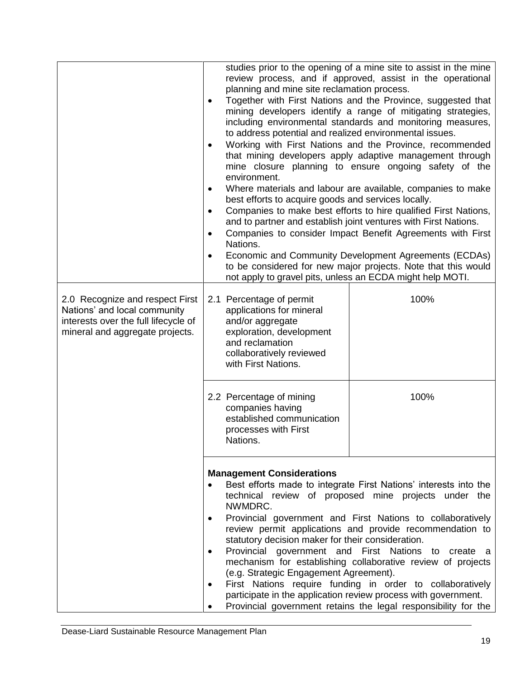| studies prior to the opening of a mine site to assist in the mine<br>review process, and if approved, assist in the operational<br>planning and mine site reclamation process.<br>Together with First Nations and the Province, suggested that<br>$\bullet$<br>mining developers identify a range of mitigating strategies,<br>including environmental standards and monitoring measures,<br>to address potential and realized environmental issues.<br>Working with First Nations and the Province, recommended<br>$\bullet$<br>that mining developers apply adaptive management through<br>mine closure planning to ensure ongoing safety of the<br>environment.<br>Where materials and labour are available, companies to make<br>$\bullet$<br>best efforts to acquire goods and services locally.<br>Companies to make best efforts to hire qualified First Nations,<br>$\bullet$<br>and to partner and establish joint ventures with First Nations. |                                                                                                                                                                                                | Companies to consider Impact Benefit Agreements with First                                                                                                                                                                                                                                                                                                                                                                                                                                                                                                                |
|----------------------------------------------------------------------------------------------------------------------------------------------------------------------------------------------------------------------------------------------------------------------------------------------------------------------------------------------------------------------------------------------------------------------------------------------------------------------------------------------------------------------------------------------------------------------------------------------------------------------------------------------------------------------------------------------------------------------------------------------------------------------------------------------------------------------------------------------------------------------------------------------------------------------------------------------------------|------------------------------------------------------------------------------------------------------------------------------------------------------------------------------------------------|---------------------------------------------------------------------------------------------------------------------------------------------------------------------------------------------------------------------------------------------------------------------------------------------------------------------------------------------------------------------------------------------------------------------------------------------------------------------------------------------------------------------------------------------------------------------------|
|                                                                                                                                                                                                                                                                                                                                                                                                                                                                                                                                                                                                                                                                                                                                                                                                                                                                                                                                                          | $\bullet$                                                                                                                                                                                      |                                                                                                                                                                                                                                                                                                                                                                                                                                                                                                                                                                           |
|                                                                                                                                                                                                                                                                                                                                                                                                                                                                                                                                                                                                                                                                                                                                                                                                                                                                                                                                                          | Nations.<br>$\bullet$                                                                                                                                                                          | Economic and Community Development Agreements (ECDAs)<br>to be considered for new major projects. Note that this would<br>not apply to gravel pits, unless an ECDA might help MOTI.                                                                                                                                                                                                                                                                                                                                                                                       |
| 2.0 Recognize and respect First<br>Nations' and local community<br>interests over the full lifecycle of<br>mineral and aggregate projects.                                                                                                                                                                                                                                                                                                                                                                                                                                                                                                                                                                                                                                                                                                                                                                                                               | 2.1 Percentage of permit<br>applications for mineral<br>and/or aggregate<br>exploration, development<br>and reclamation<br>collaboratively reviewed<br>with First Nations.                     | 100%                                                                                                                                                                                                                                                                                                                                                                                                                                                                                                                                                                      |
|                                                                                                                                                                                                                                                                                                                                                                                                                                                                                                                                                                                                                                                                                                                                                                                                                                                                                                                                                          | 2.2 Percentage of mining<br>companies having<br>established communication<br>processes with First<br>Nations.                                                                                  | 100%                                                                                                                                                                                                                                                                                                                                                                                                                                                                                                                                                                      |
|                                                                                                                                                                                                                                                                                                                                                                                                                                                                                                                                                                                                                                                                                                                                                                                                                                                                                                                                                          | <b>Management Considerations</b><br>$\bullet$<br>NWMDRC.<br>$\bullet$<br>statutory decision maker for their consideration.<br>$\bullet$<br>(e.g. Strategic Engagement Agreement).<br>$\bullet$ | Best efforts made to integrate First Nations' interests into the<br>technical review of proposed mine projects under the<br>Provincial government and First Nations to collaboratively<br>review permit applications and provide recommendation to<br>Provincial government and First Nations to create a<br>mechanism for establishing collaborative review of projects<br>First Nations require funding in order to collaboratively<br>participate in the application review process with government.<br>Provincial government retains the legal responsibility for the |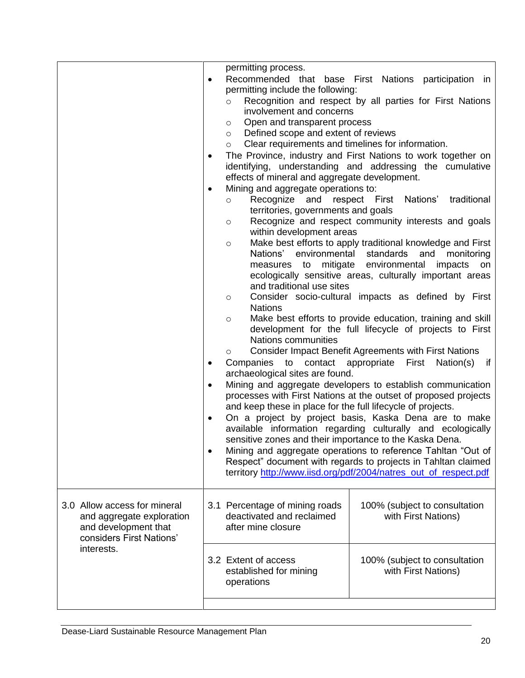|                              |           | permitting process.                                          |                                                                  |
|------------------------------|-----------|--------------------------------------------------------------|------------------------------------------------------------------|
|                              | $\bullet$ |                                                              | Recommended that base First Nations participation in             |
|                              |           | permitting include the following:                            |                                                                  |
|                              |           | $\circ$                                                      | Recognition and respect by all parties for First Nations         |
|                              |           | involvement and concerns                                     |                                                                  |
|                              |           | Open and transparent process<br>$\circ$                      |                                                                  |
|                              |           | Defined scope and extent of reviews<br>$\circ$               |                                                                  |
|                              |           | Clear requirements and timelines for information.<br>$\circ$ |                                                                  |
|                              | $\bullet$ |                                                              | The Province, industry and First Nations to work together on     |
|                              |           |                                                              | identifying, understanding and addressing the cumulative         |
|                              |           | effects of mineral and aggregate development.                |                                                                  |
|                              | $\bullet$ | Mining and aggregate operations to:                          |                                                                  |
|                              |           | Recognize and respect First<br>$\circ$                       | traditional<br>Nations'                                          |
|                              |           | territories, governments and goals                           |                                                                  |
|                              |           | $\circ$                                                      | Recognize and respect community interests and goals              |
|                              |           | within development areas                                     | Make best efforts to apply traditional knowledge and First       |
|                              |           | $\circ$<br>Nations' environmental standards                  | and<br>monitoring                                                |
|                              |           | measures to mitigate environmental                           | impacts<br>on                                                    |
|                              |           |                                                              | ecologically sensitive areas, culturally important areas         |
|                              |           | and traditional use sites                                    |                                                                  |
|                              |           | $\circ$                                                      | Consider socio-cultural impacts as defined by First              |
|                              |           | <b>Nations</b>                                               |                                                                  |
|                              |           | $\circ$                                                      | Make best efforts to provide education, training and skill       |
|                              |           |                                                              | development for the full lifecycle of projects to First          |
|                              |           | Nations communities                                          |                                                                  |
|                              |           | $\circ$                                                      | <b>Consider Impact Benefit Agreements with First Nations</b>     |
|                              |           |                                                              | Companies to contact appropriate First Nation(s)<br>if           |
|                              |           | archaeological sites are found.                              |                                                                  |
|                              |           |                                                              | Mining and aggregate developers to establish communication       |
|                              |           |                                                              | processes with First Nations at the outset of proposed projects  |
|                              |           | and keep these in place for the full lifecycle of projects.  |                                                                  |
|                              | $\bullet$ |                                                              | On a project by project basis, Kaska Dena are to make            |
|                              |           | sensitive zones and their importance to the Kaska Dena.      | available information regarding culturally and ecologically      |
|                              |           |                                                              | Mining and aggregate operations to reference Tahltan "Out of     |
|                              |           |                                                              | Respect" document with regards to projects in Tahltan claimed    |
|                              |           |                                                              | territory http://www.iisd.org/pdf/2004/natres_out_of_respect.pdf |
|                              |           |                                                              |                                                                  |
|                              |           |                                                              |                                                                  |
| 3.0 Allow access for mineral |           | 3.1 Percentage of mining roads                               | 100% (subject to consultation                                    |
| and aggregate exploration    |           | deactivated and reclaimed                                    | with First Nations)                                              |
| and development that         |           | after mine closure                                           |                                                                  |
| considers First Nations'     |           |                                                              |                                                                  |
| interests.                   |           |                                                              |                                                                  |
|                              |           | 3.2 Extent of access                                         | 100% (subject to consultation                                    |
|                              |           | established for mining                                       | with First Nations)                                              |
|                              |           | operations                                                   |                                                                  |
|                              |           |                                                              |                                                                  |
|                              |           |                                                              |                                                                  |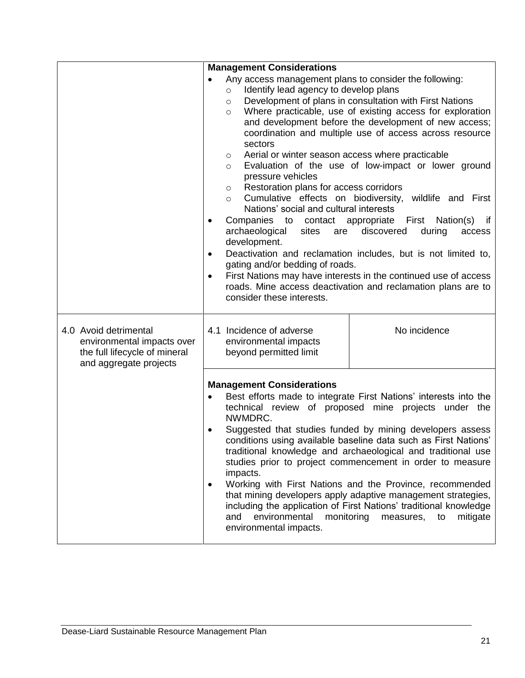|                                                                                                                | <b>Management Considerations</b>                                                                                                                                                                                                                                                                                                                                                                                                                                                                                                                                                      |                                                                                                                                                                                                                                                                                                                                                                                                                                                                                                                                                                                                                       |
|----------------------------------------------------------------------------------------------------------------|---------------------------------------------------------------------------------------------------------------------------------------------------------------------------------------------------------------------------------------------------------------------------------------------------------------------------------------------------------------------------------------------------------------------------------------------------------------------------------------------------------------------------------------------------------------------------------------|-----------------------------------------------------------------------------------------------------------------------------------------------------------------------------------------------------------------------------------------------------------------------------------------------------------------------------------------------------------------------------------------------------------------------------------------------------------------------------------------------------------------------------------------------------------------------------------------------------------------------|
|                                                                                                                | Any access management plans to consider the following:<br>Identify lead agency to develop plans<br>$\circ$<br>$\circ$<br>$\circ$<br>sectors<br>Aerial or winter season access where practicable<br>$\circ$<br>$\circ$<br>pressure vehicles<br>Restoration plans for access corridors<br>O<br>Cumulative effects on biodiversity,<br>$\circ$<br>Nations' social and cultural interests<br>Companies<br>to contact appropriate<br>$\bullet$<br>archaeological<br>sites<br>are<br>development.<br>$\bullet$<br>gating and/or bedding of roads.<br>$\bullet$<br>consider these interests. | Development of plans in consultation with First Nations<br>Where practicable, use of existing access for exploration<br>and development before the development of new access;<br>coordination and multiple use of access across resource<br>Evaluation of the use of low-impact or lower ground<br>wildlife and First<br>First<br>Nation(s)<br>if<br>discovered<br>during<br>access<br>Deactivation and reclamation includes, but is not limited to,<br>First Nations may have interests in the continued use of access<br>roads. Mine access deactivation and reclamation plans are to                               |
| 4.0 Avoid detrimental<br>environmental impacts over<br>the full lifecycle of mineral<br>and aggregate projects | 4.1 Incidence of adverse<br>environmental impacts<br>beyond permitted limit                                                                                                                                                                                                                                                                                                                                                                                                                                                                                                           | No incidence                                                                                                                                                                                                                                                                                                                                                                                                                                                                                                                                                                                                          |
|                                                                                                                | <b>Management Considerations</b><br>NWMDRC.<br>impacts.<br>$\bullet$<br>environmental<br>monitoring<br>and<br>environmental impacts.                                                                                                                                                                                                                                                                                                                                                                                                                                                  | Best efforts made to integrate First Nations' interests into the<br>technical review of proposed mine projects under the<br>Suggested that studies funded by mining developers assess<br>conditions using available baseline data such as First Nations'<br>traditional knowledge and archaeological and traditional use<br>studies prior to project commencement in order to measure<br>Working with First Nations and the Province, recommended<br>that mining developers apply adaptive management strategies,<br>including the application of First Nations' traditional knowledge<br>measures,<br>mitigate<br>to |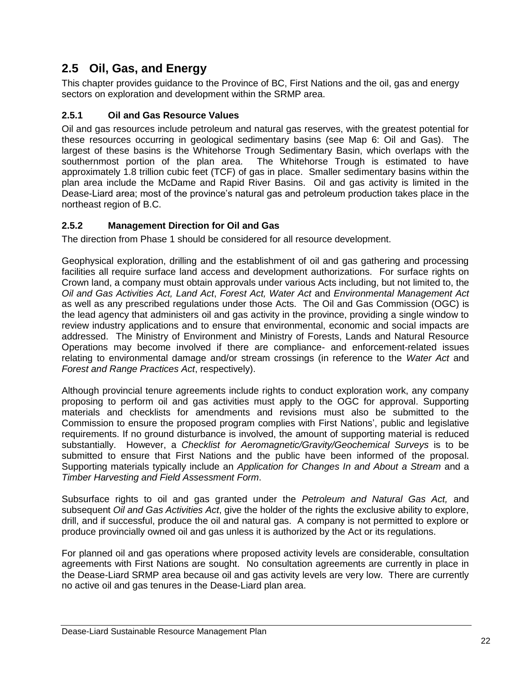## <span id="page-25-0"></span>**2.5 Oil, Gas, and Energy**

This chapter provides guidance to the Province of BC, First Nations and the oil, gas and energy sectors on exploration and development within the SRMP area.

### <span id="page-25-1"></span>**2.5.1 Oil and Gas Resource Values**

Oil and gas resources include petroleum and natural gas reserves, with the greatest potential for these resources occurring in geological sedimentary basins (see Map 6: Oil and Gas). The largest of these basins is the Whitehorse Trough Sedimentary Basin, which overlaps with the southernmost portion of the plan area. The Whitehorse Trough is estimated to have approximately 1.8 trillion cubic feet (TCF) of gas in place. Smaller sedimentary basins within the plan area include the McDame and Rapid River Basins. Oil and gas activity is limited in the Dease-Liard area; most of the province"s natural gas and petroleum production takes place in the northeast region of B.C.

### <span id="page-25-2"></span>**2.5.2 Management Direction for Oil and Gas**

The direction from Phase 1 should be considered for all resource development.

Geophysical exploration, drilling and the establishment of oil and gas gathering and processing facilities all require surface land access and development authorizations. For surface rights on Crown land, a company must obtain approvals under various Acts including, but not limited to, the *Oil and Gas Activities Act, Land Act*, *Forest Act, Water Act* and *Environmental Management Act* as well as any prescribed regulations under those Acts. The Oil and Gas Commission (OGC) is the lead agency that administers oil and gas activity in the province, providing a single window to review industry applications and to ensure that environmental, economic and social impacts are addressed. The Ministry of Environment and Ministry of Forests, Lands and Natural Resource Operations may become involved if there are compliance- and enforcement-related issues relating to environmental damage and/or stream crossings (in reference to the *Water Act* and *Forest and Range Practices Act*, respectively).

Although provincial tenure agreements include rights to conduct exploration work, any company proposing to perform oil and gas activities must apply to the OGC for approval. Supporting materials and checklists for amendments and revisions must also be submitted to the Commission to ensure the proposed program complies with First Nations", public and legislative requirements. If no ground disturbance is involved, the amount of supporting material is reduced substantially. However, a *Checklist for Aeromagnetic/Gravity/Geochemical Surveys* is to be submitted to ensure that First Nations and the public have been informed of the proposal. Supporting materials typically include an *Application for Changes In and About a Stream* and a *Timber Harvesting and Field Assessment Form*.

Subsurface rights to oil and gas granted under the *Petroleum and Natural Gas Act,* and subsequent *Oil and Gas Activities Act*, give the holder of the rights the exclusive ability to explore, drill, and if successful, produce the oil and natural gas. A company is not permitted to explore or produce provincially owned oil and gas unless it is authorized by the Act or its regulations.

For planned oil and gas operations where proposed activity levels are considerable, consultation agreements with First Nations are sought. No consultation agreements are currently in place in the Dease-Liard SRMP area because oil and gas activity levels are very low. There are currently no active oil and gas tenures in the Dease-Liard plan area.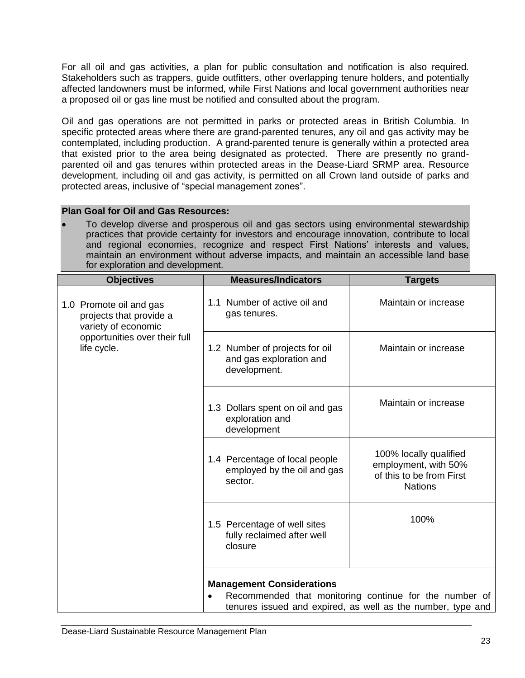For all oil and gas activities, a plan for public consultation and notification is also required*.* Stakeholders such as trappers, guide outfitters, other overlapping tenure holders, and potentially affected landowners must be informed, while First Nations and local government authorities near a proposed oil or gas line must be notified and consulted about the program.

Oil and gas operations are not permitted in parks or protected areas in British Columbia. In specific protected areas where there are grand-parented tenures, any oil and gas activity may be contemplated, including production. A grand-parented tenure is generally within a protected area that existed prior to the area being designated as protected. There are presently no grandparented oil and gas tenures within protected areas in the Dease-Liard SRMP area. Resource development, including oil and gas activity, is permitted on all Crown land outside of parks and protected areas, inclusive of "special management zones".

### **Plan Goal for Oil and Gas Resources:**

 To develop diverse and prosperous oil and gas sectors using environmental stewardship practices that provide certainty for investors and encourage innovation, contribute to local and regional economies, recognize and respect First Nations" interests and values, maintain an environment without adverse impacts, and maintain an accessible land base for exploration and development.

| <b>Objectives</b>                                                                                                         | <b>Measures/Indicators</b>                                                                                            | <b>Targets</b>                                                                               |  |
|---------------------------------------------------------------------------------------------------------------------------|-----------------------------------------------------------------------------------------------------------------------|----------------------------------------------------------------------------------------------|--|
| 1.0 Promote oil and gas<br>projects that provide a<br>variety of economic<br>opportunities over their full<br>life cycle. | 1.1 Number of active oil and<br>gas tenures.                                                                          | Maintain or increase                                                                         |  |
|                                                                                                                           | 1.2 Number of projects for oil<br>and gas exploration and<br>development.                                             | Maintain or increase                                                                         |  |
|                                                                                                                           | 1.3 Dollars spent on oil and gas<br>exploration and<br>development                                                    | Maintain or increase                                                                         |  |
|                                                                                                                           | 1.4 Percentage of local people<br>employed by the oil and gas<br>sector.                                              | 100% locally qualified<br>employment, with 50%<br>of this to be from First<br><b>Nations</b> |  |
|                                                                                                                           | 1.5 Percentage of well sites<br>fully reclaimed after well<br>closure                                                 | 100%                                                                                         |  |
|                                                                                                                           |                                                                                                                       |                                                                                              |  |
|                                                                                                                           | <b>Management Considerations</b>                                                                                      |                                                                                              |  |
|                                                                                                                           | Recommended that monitoring continue for the number of<br>tenures issued and expired, as well as the number, type and |                                                                                              |  |
|                                                                                                                           |                                                                                                                       |                                                                                              |  |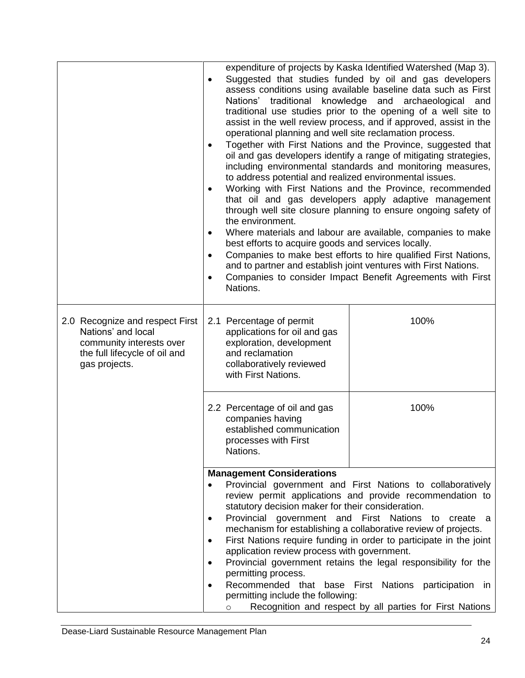|                                                                                                                                     | traditional knowledge and<br>Nations'<br>operational planning and well site reclamation process.<br>$\bullet$<br>to address potential and realized environmental issues.<br>$\bullet$<br>the environment.<br>$\bullet$<br>best efforts to acquire goods and services locally.<br>$\bullet$<br>$\bullet$<br>Nations. | expenditure of projects by Kaska Identified Watershed (Map 3).<br>Suggested that studies funded by oil and gas developers<br>assess conditions using available baseline data such as First<br>archaeological<br>and<br>traditional use studies prior to the opening of a well site to<br>assist in the well review process, and if approved, assist in the<br>Together with First Nations and the Province, suggested that<br>oil and gas developers identify a range of mitigating strategies,<br>including environmental standards and monitoring measures,<br>Working with First Nations and the Province, recommended<br>that oil and gas developers apply adaptive management<br>through well site closure planning to ensure ongoing safety of<br>Where materials and labour are available, companies to make<br>Companies to make best efforts to hire qualified First Nations,<br>and to partner and establish joint ventures with First Nations.<br>Companies to consider Impact Benefit Agreements with First |
|-------------------------------------------------------------------------------------------------------------------------------------|---------------------------------------------------------------------------------------------------------------------------------------------------------------------------------------------------------------------------------------------------------------------------------------------------------------------|-------------------------------------------------------------------------------------------------------------------------------------------------------------------------------------------------------------------------------------------------------------------------------------------------------------------------------------------------------------------------------------------------------------------------------------------------------------------------------------------------------------------------------------------------------------------------------------------------------------------------------------------------------------------------------------------------------------------------------------------------------------------------------------------------------------------------------------------------------------------------------------------------------------------------------------------------------------------------------------------------------------------------|
| 2.0 Recognize and respect First<br>Nations' and local<br>community interests over<br>the full lifecycle of oil and<br>gas projects. | 2.1 Percentage of permit<br>applications for oil and gas<br>exploration, development<br>and reclamation<br>collaboratively reviewed<br>with First Nations.                                                                                                                                                          | 100%                                                                                                                                                                                                                                                                                                                                                                                                                                                                                                                                                                                                                                                                                                                                                                                                                                                                                                                                                                                                                    |
|                                                                                                                                     | 2.2 Percentage of oil and gas<br>companies having<br>established communication<br>processes with First<br>Nations.                                                                                                                                                                                                  | 100%                                                                                                                                                                                                                                                                                                                                                                                                                                                                                                                                                                                                                                                                                                                                                                                                                                                                                                                                                                                                                    |
|                                                                                                                                     | <b>Management Considerations</b><br>statutory decision maker for their consideration.<br>Provincial government and First Nations<br>$\bullet$<br>$\bullet$<br>application review process with government.<br>permitting process.<br>permitting include the following:<br>$\circ$                                    | Provincial government and First Nations to collaboratively<br>review permit applications and provide recommendation to<br>to create a<br>mechanism for establishing a collaborative review of projects.<br>First Nations require funding in order to participate in the joint<br>Provincial government retains the legal responsibility for the<br>Recommended that base First Nations participation<br>in<br>Recognition and respect by all parties for First Nations                                                                                                                                                                                                                                                                                                                                                                                                                                                                                                                                                  |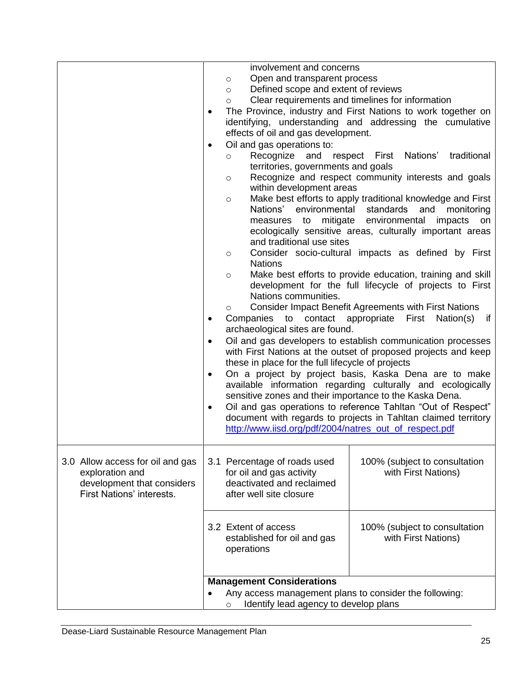|                                                         |           | involvement and concerns                                |                                                                                                                               |
|---------------------------------------------------------|-----------|---------------------------------------------------------|-------------------------------------------------------------------------------------------------------------------------------|
|                                                         |           | Open and transparent process<br>$\circ$                 |                                                                                                                               |
|                                                         |           | Defined scope and extent of reviews<br>$\circ$          |                                                                                                                               |
|                                                         |           | $\circ$                                                 | Clear requirements and timelines for information                                                                              |
|                                                         | ٠         |                                                         | The Province, industry and First Nations to work together on                                                                  |
|                                                         |           |                                                         | identifying, understanding and addressing the cumulative                                                                      |
|                                                         |           | effects of oil and gas development.                     |                                                                                                                               |
|                                                         | $\bullet$ | Oil and gas operations to:                              |                                                                                                                               |
|                                                         |           | Recognize<br>and<br>$\circ$                             | respect First Nations'<br>traditional                                                                                         |
|                                                         |           | territories, governments and goals                      |                                                                                                                               |
|                                                         |           | $\circ$                                                 | Recognize and respect community interests and goals                                                                           |
|                                                         |           | within development areas                                |                                                                                                                               |
|                                                         |           | $\circ$                                                 | Make best efforts to apply traditional knowledge and First                                                                    |
|                                                         |           | Nations' environmental standards and                    | monitoring                                                                                                                    |
|                                                         |           | measures to mitigate environmental                      | impacts<br>on<br>ecologically sensitive areas, culturally important areas                                                     |
|                                                         |           | and traditional use sites                               |                                                                                                                               |
|                                                         |           | $\circ$                                                 | Consider socio-cultural impacts as defined by First                                                                           |
|                                                         |           | <b>Nations</b>                                          |                                                                                                                               |
|                                                         |           | $\circ$                                                 | Make best efforts to provide education, training and skill                                                                    |
|                                                         |           |                                                         | development for the full lifecycle of projects to First                                                                       |
|                                                         |           | Nations communities.                                    |                                                                                                                               |
|                                                         |           | $\circ$                                                 | <b>Consider Impact Benefit Agreements with First Nations</b>                                                                  |
|                                                         | $\bullet$ | Companies<br>to                                         | First<br>contact appropriate<br>Nation(s)<br>if                                                                               |
|                                                         |           | archaeological sites are found.                         |                                                                                                                               |
|                                                         | $\bullet$ |                                                         | Oil and gas developers to establish communication processes<br>with First Nations at the outset of proposed projects and keep |
|                                                         |           | these in place for the full lifecycle of projects       |                                                                                                                               |
|                                                         | $\bullet$ |                                                         | On a project by project basis, Kaska Dena are to make                                                                         |
|                                                         |           |                                                         | available information regarding culturally and ecologically                                                                   |
|                                                         |           | sensitive zones and their importance to the Kaska Dena. |                                                                                                                               |
|                                                         | $\bullet$ |                                                         | Oil and gas operations to reference Tahltan "Out of Respect"                                                                  |
|                                                         |           |                                                         | document with regards to projects in Tahltan claimed territory                                                                |
|                                                         |           | http://www.iisd.org/pdf/2004/natres_out_of_respect.pdf  |                                                                                                                               |
|                                                         |           |                                                         |                                                                                                                               |
|                                                         |           |                                                         |                                                                                                                               |
| 3.0 Allow access for oil and gas                        |           | 3.1 Percentage of roads used                            | 100% (subject to consultation                                                                                                 |
| exploration and                                         |           | for oil and gas activity<br>deactivated and reclaimed   | with First Nations)                                                                                                           |
| development that considers<br>First Nations' interests. |           | after well site closure                                 |                                                                                                                               |
|                                                         |           |                                                         |                                                                                                                               |
|                                                         |           |                                                         |                                                                                                                               |
|                                                         |           | 3.2 Extent of access                                    | 100% (subject to consultation                                                                                                 |
|                                                         |           | established for oil and gas                             | with First Nations)                                                                                                           |
|                                                         |           | operations                                              |                                                                                                                               |
|                                                         |           |                                                         |                                                                                                                               |
|                                                         |           | <b>Management Considerations</b>                        |                                                                                                                               |
|                                                         |           | Any access management plans to consider the following:  |                                                                                                                               |
|                                                         |           | Identify lead agency to develop plans<br>$\circ$        |                                                                                                                               |
|                                                         |           |                                                         |                                                                                                                               |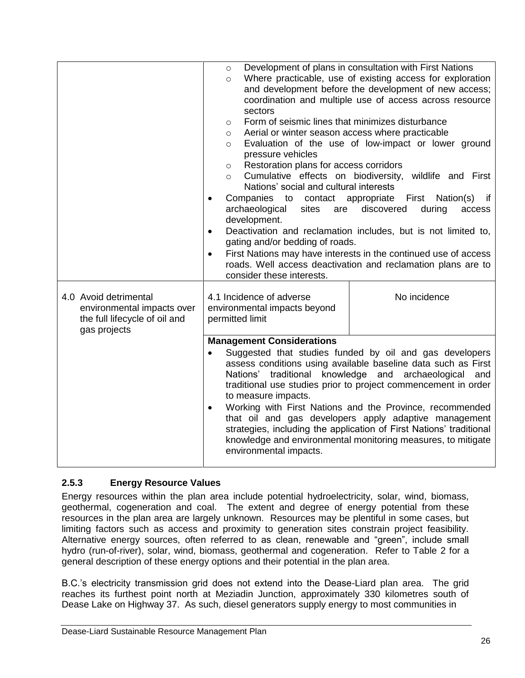|                                                                                                      | $\circ$<br>$\circ$<br>sectors<br>Form of seismic lines that minimizes disturbance<br>$\circ$<br>Aerial or winter season access where practicable<br>$\circ$<br>$\circ$<br>pressure vehicles<br>Restoration plans for access corridors<br>$\circ$<br>Cumulative effects on biodiversity,<br>$\circ$<br>Nations' social and cultural interests<br>Companies<br>to<br>$\bullet$<br>archaeological<br>sites<br>are<br>development.<br>$\bullet$<br>gating and/or bedding of roads.<br>$\bullet$<br>consider these interests.                                                                                                          | Development of plans in consultation with First Nations<br>Where practicable, use of existing access for exploration<br>and development before the development of new access;<br>coordination and multiple use of access across resource<br>Evaluation of the use of low-impact or lower ground<br>wildlife and First<br>contact appropriate<br>Nation(s)<br>First<br>if<br>discovered<br>during<br>access<br>Deactivation and reclamation includes, but is not limited to,<br>First Nations may have interests in the continued use of access<br>roads. Well access deactivation and reclamation plans are to |
|------------------------------------------------------------------------------------------------------|-----------------------------------------------------------------------------------------------------------------------------------------------------------------------------------------------------------------------------------------------------------------------------------------------------------------------------------------------------------------------------------------------------------------------------------------------------------------------------------------------------------------------------------------------------------------------------------------------------------------------------------|----------------------------------------------------------------------------------------------------------------------------------------------------------------------------------------------------------------------------------------------------------------------------------------------------------------------------------------------------------------------------------------------------------------------------------------------------------------------------------------------------------------------------------------------------------------------------------------------------------------|
| 4.0 Avoid detrimental<br>environmental impacts over<br>the full lifecycle of oil and<br>gas projects | 4.1 Incidence of adverse<br>environmental impacts beyond<br>permitted limit                                                                                                                                                                                                                                                                                                                                                                                                                                                                                                                                                       | No incidence                                                                                                                                                                                                                                                                                                                                                                                                                                                                                                                                                                                                   |
|                                                                                                      | <b>Management Considerations</b><br>Suggested that studies funded by oil and gas developers<br>$\bullet$<br>assess conditions using available baseline data such as First<br>Nations' traditional knowledge and archaeological<br>and<br>traditional use studies prior to project commencement in order<br>to measure impacts.<br>Working with First Nations and the Province, recommended<br>$\bullet$<br>that oil and gas developers apply adaptive management<br>strategies, including the application of First Nations' traditional<br>knowledge and environmental monitoring measures, to mitigate<br>environmental impacts. |                                                                                                                                                                                                                                                                                                                                                                                                                                                                                                                                                                                                                |

### <span id="page-29-0"></span>**2.5.3 Energy Resource Values**

Energy resources within the plan area include potential hydroelectricity, solar, wind, biomass, geothermal, cogeneration and coal. The extent and degree of energy potential from these resources in the plan area are largely unknown. Resources may be plentiful in some cases, but limiting factors such as access and proximity to generation sites constrain project feasibility. Alternative energy sources, often referred to as clean, renewable and "green", include small hydro (run-of-river), solar, wind, biomass, geothermal and cogeneration. Refer to Table 2 for a general description of these energy options and their potential in the plan area.

B.C."s electricity transmission grid does not extend into the Dease-Liard plan area. The grid reaches its furthest point north at Meziadin Junction, approximately 330 kilometres south of Dease Lake on Highway 37. As such, diesel generators supply energy to most communities in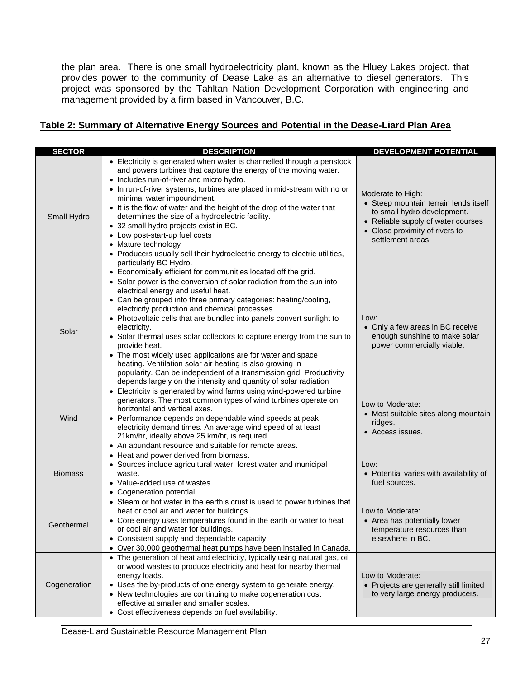the plan area. There is one small hydroelectricity plant, known as the Hluey Lakes project, that provides power to the community of Dease Lake as an alternative to diesel generators. This project was sponsored by the Tahltan Nation Development Corporation with engineering and management provided by a firm based in Vancouver, B.C.

### <span id="page-30-0"></span>**Table 2: Summary of Alternative Energy Sources and Potential in the Dease-Liard Plan Area**

| <b>SECTOR</b>  | <b>DESCRIPTION</b>                                                                                                                                                                                                                                                                                                                                                                                                                                                                                                                                                                                                                                                                                         | <b>DEVELOPMENT POTENTIAL</b>                                                                                                                                                           |
|----------------|------------------------------------------------------------------------------------------------------------------------------------------------------------------------------------------------------------------------------------------------------------------------------------------------------------------------------------------------------------------------------------------------------------------------------------------------------------------------------------------------------------------------------------------------------------------------------------------------------------------------------------------------------------------------------------------------------------|----------------------------------------------------------------------------------------------------------------------------------------------------------------------------------------|
| Small Hydro    | • Electricity is generated when water is channelled through a penstock<br>and powers turbines that capture the energy of the moving water.<br>• Includes run-of-river and micro hydro.<br>• In run-of-river systems, turbines are placed in mid-stream with no or<br>minimal water impoundment.<br>• It is the flow of water and the height of the drop of the water that<br>determines the size of a hydroelectric facility.<br>• 32 small hydro projects exist in BC.<br>• Low post-start-up fuel costs<br>• Mature technology<br>• Producers usually sell their hydroelectric energy to electric utilities,<br>particularly BC Hydro.<br>• Economically efficient for communities located off the grid. | Moderate to High:<br>• Steep mountain terrain lends itself<br>to small hydro development.<br>• Reliable supply of water courses<br>• Close proximity of rivers to<br>settlement areas. |
| Solar          | • Solar power is the conversion of solar radiation from the sun into<br>electrical energy and useful heat.<br>• Can be grouped into three primary categories: heating/cooling,<br>electricity production and chemical processes.<br>• Photovoltaic cells that are bundled into panels convert sunlight to<br>electricity.<br>• Solar thermal uses solar collectors to capture energy from the sun to<br>provide heat.<br>• The most widely used applications are for water and space<br>heating. Ventilation solar air heating is also growing in<br>popularity. Can be independent of a transmission grid. Productivity<br>depends largely on the intensity and quantity of solar radiation               | Low:<br>• Only a few areas in BC receive<br>enough sunshine to make solar<br>power commercially viable.                                                                                |
| Wind           | • Electricity is generated by wind farms using wind-powered turbine<br>generators. The most common types of wind turbines operate on<br>horizontal and vertical axes.<br>• Performance depends on dependable wind speeds at peak<br>electricity demand times. An average wind speed of at least<br>21km/hr, ideally above 25 km/hr, is required.<br>• An abundant resource and suitable for remote areas.                                                                                                                                                                                                                                                                                                  | Low to Moderate:<br>• Most suitable sites along mountain<br>ridges.<br>• Access issues.                                                                                                |
| <b>Biomass</b> | • Heat and power derived from biomass.<br>• Sources include agricultural water, forest water and municipal<br>waste.<br>• Value-added use of wastes.<br>• Cogeneration potential.                                                                                                                                                                                                                                                                                                                                                                                                                                                                                                                          | Low:<br>• Potential varies with availability of<br>fuel sources.                                                                                                                       |
| Geothermal     | • Steam or hot water in the earth's crust is used to power turbines that<br>heat or cool air and water for buildings.<br>• Core energy uses temperatures found in the earth or water to heat<br>or cool air and water for buildings.<br>• Consistent supply and dependable capacity.<br>• Over 30,000 geothermal heat pumps have been installed in Canada.                                                                                                                                                                                                                                                                                                                                                 | Low to Moderate:<br>• Area has potentially lower<br>temperature resources than<br>elsewhere in BC.                                                                                     |
| Cogeneration   | • The generation of heat and electricity, typically using natural gas, oil<br>or wood wastes to produce electricity and heat for nearby thermal<br>energy loads.<br>• Uses the by-products of one energy system to generate energy.<br>• New technologies are continuing to make cogeneration cost<br>effective at smaller and smaller scales.<br>• Cost effectiveness depends on fuel availability.                                                                                                                                                                                                                                                                                                       | Low to Moderate:<br>• Projects are generally still limited<br>to very large energy producers.                                                                                          |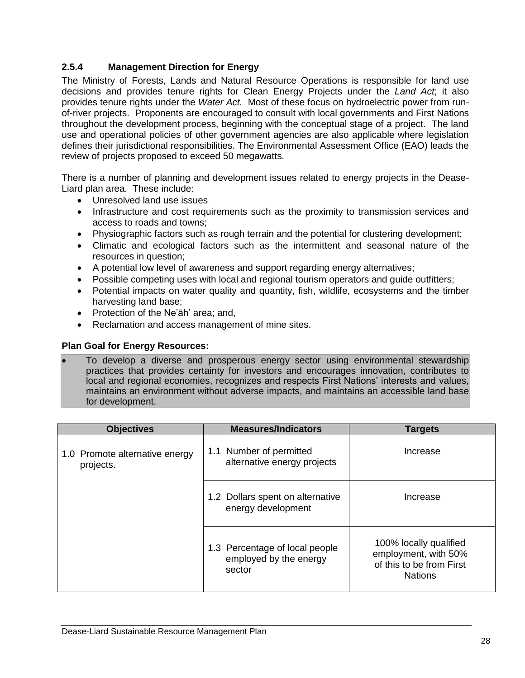### <span id="page-31-0"></span>**2.5.4 Management Direction for Energy**

The Ministry of Forests, Lands and Natural Resource Operations is responsible for land use decisions and provides tenure rights for Clean Energy Projects under the *Land Act*; it also provides tenure rights under the *Water Act.* Most of these focus on hydroelectric power from runof-river projects. Proponents are encouraged to consult with local governments and First Nations throughout the development process, beginning with the conceptual stage of a project. The land use and operational policies of other government agencies are also applicable where legislation defines their jurisdictional responsibilities. The Environmental Assessment Office (EAO) leads the review of projects proposed to exceed 50 megawatts.

There is a number of planning and development issues related to energy projects in the Dease-Liard plan area. These include:

- Unresolved land use issues
- Infrastructure and cost requirements such as the proximity to transmission services and access to roads and towns;
- Physiographic factors such as rough terrain and the potential for clustering development;
- Climatic and ecological factors such as the intermittent and seasonal nature of the resources in question;
- A potential low level of awareness and support regarding energy alternatives;
- Possible competing uses with local and regional tourism operators and guide outfitters;
- Potential impacts on water quality and quantity, fish, wildlife, ecosystems and the timber harvesting land base;
- Protection of the Ne'āh' area; and,
- Reclamation and access management of mine sites.

### **Plan Goal for Energy Resources:**

 To develop a diverse and prosperous energy sector using environmental stewardship practices that provides certainty for investors and encourages innovation, contributes to local and regional economies, recognizes and respects First Nations' interests and values, maintains an environment without adverse impacts, and maintains an accessible land base for development.

| <b>Objectives</b>                           | <b>Measures/Indicators</b>                                         | <b>Targets</b>                                                                               |
|---------------------------------------------|--------------------------------------------------------------------|----------------------------------------------------------------------------------------------|
| 1.0 Promote alternative energy<br>projects. | 1.1 Number of permitted<br>alternative energy projects             | Increase                                                                                     |
|                                             | 1.2 Dollars spent on alternative<br>energy development             | Increase                                                                                     |
|                                             | 1.3 Percentage of local people<br>employed by the energy<br>sector | 100% locally qualified<br>employment, with 50%<br>of this to be from First<br><b>Nations</b> |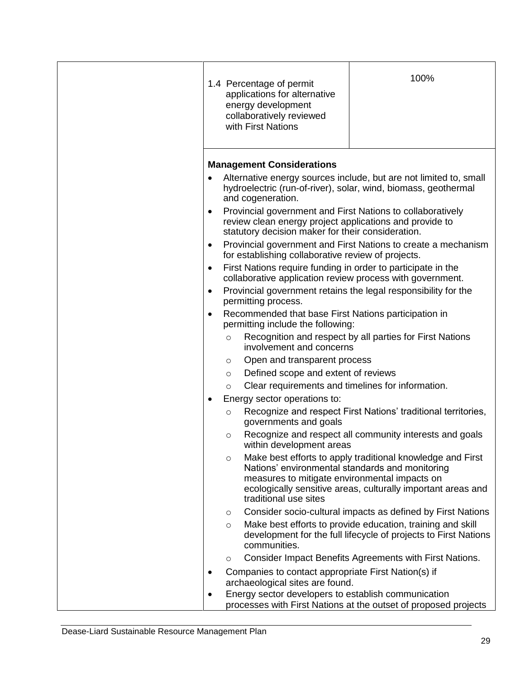|         |                                                                                                                           | 100%                                                                                                                                                                                                                                                                                                                                                                                                                                                                                                                                                                                                                                                                                                                                                                                                                                                                                                                                                                                                                                                                                                                                    |
|---------|---------------------------------------------------------------------------------------------------------------------------|-----------------------------------------------------------------------------------------------------------------------------------------------------------------------------------------------------------------------------------------------------------------------------------------------------------------------------------------------------------------------------------------------------------------------------------------------------------------------------------------------------------------------------------------------------------------------------------------------------------------------------------------------------------------------------------------------------------------------------------------------------------------------------------------------------------------------------------------------------------------------------------------------------------------------------------------------------------------------------------------------------------------------------------------------------------------------------------------------------------------------------------------|
|         |                                                                                                                           | Alternative energy sources include, but are not limited to, small                                                                                                                                                                                                                                                                                                                                                                                                                                                                                                                                                                                                                                                                                                                                                                                                                                                                                                                                                                                                                                                                       |
|         |                                                                                                                           |                                                                                                                                                                                                                                                                                                                                                                                                                                                                                                                                                                                                                                                                                                                                                                                                                                                                                                                                                                                                                                                                                                                                         |
|         |                                                                                                                           | Provincial government and First Nations to create a mechanism                                                                                                                                                                                                                                                                                                                                                                                                                                                                                                                                                                                                                                                                                                                                                                                                                                                                                                                                                                                                                                                                           |
|         |                                                                                                                           |                                                                                                                                                                                                                                                                                                                                                                                                                                                                                                                                                                                                                                                                                                                                                                                                                                                                                                                                                                                                                                                                                                                                         |
|         |                                                                                                                           |                                                                                                                                                                                                                                                                                                                                                                                                                                                                                                                                                                                                                                                                                                                                                                                                                                                                                                                                                                                                                                                                                                                                         |
|         |                                                                                                                           |                                                                                                                                                                                                                                                                                                                                                                                                                                                                                                                                                                                                                                                                                                                                                                                                                                                                                                                                                                                                                                                                                                                                         |
| $\circ$ | involvement and concerns                                                                                                  | Recognition and respect by all parties for First Nations                                                                                                                                                                                                                                                                                                                                                                                                                                                                                                                                                                                                                                                                                                                                                                                                                                                                                                                                                                                                                                                                                |
| $\circ$ | Open and transparent process                                                                                              |                                                                                                                                                                                                                                                                                                                                                                                                                                                                                                                                                                                                                                                                                                                                                                                                                                                                                                                                                                                                                                                                                                                                         |
| $\circ$ | Defined scope and extent of reviews                                                                                       |                                                                                                                                                                                                                                                                                                                                                                                                                                                                                                                                                                                                                                                                                                                                                                                                                                                                                                                                                                                                                                                                                                                                         |
| $\circ$ | Clear requirements and timelines for information.                                                                         |                                                                                                                                                                                                                                                                                                                                                                                                                                                                                                                                                                                                                                                                                                                                                                                                                                                                                                                                                                                                                                                                                                                                         |
|         |                                                                                                                           |                                                                                                                                                                                                                                                                                                                                                                                                                                                                                                                                                                                                                                                                                                                                                                                                                                                                                                                                                                                                                                                                                                                                         |
| $\circ$ | governments and goals                                                                                                     |                                                                                                                                                                                                                                                                                                                                                                                                                                                                                                                                                                                                                                                                                                                                                                                                                                                                                                                                                                                                                                                                                                                                         |
| $\circ$ | within development areas                                                                                                  | Recognize and respect all community interests and goals                                                                                                                                                                                                                                                                                                                                                                                                                                                                                                                                                                                                                                                                                                                                                                                                                                                                                                                                                                                                                                                                                 |
| $\circ$ | Nations' environmental standards and monitoring<br>measures to mitigate environmental impacts on<br>traditional use sites | Make best efforts to apply traditional knowledge and First<br>ecologically sensitive areas, culturally important areas and                                                                                                                                                                                                                                                                                                                                                                                                                                                                                                                                                                                                                                                                                                                                                                                                                                                                                                                                                                                                              |
| $\circ$ |                                                                                                                           | Consider socio-cultural impacts as defined by First Nations                                                                                                                                                                                                                                                                                                                                                                                                                                                                                                                                                                                                                                                                                                                                                                                                                                                                                                                                                                                                                                                                             |
| $\circ$ | communities.                                                                                                              | Make best efforts to provide education, training and skill<br>development for the full lifecycle of projects to First Nations                                                                                                                                                                                                                                                                                                                                                                                                                                                                                                                                                                                                                                                                                                                                                                                                                                                                                                                                                                                                           |
| $\circ$ |                                                                                                                           | Consider Impact Benefits Agreements with First Nations.                                                                                                                                                                                                                                                                                                                                                                                                                                                                                                                                                                                                                                                                                                                                                                                                                                                                                                                                                                                                                                                                                 |
|         |                                                                                                                           |                                                                                                                                                                                                                                                                                                                                                                                                                                                                                                                                                                                                                                                                                                                                                                                                                                                                                                                                                                                                                                                                                                                                         |
|         |                                                                                                                           |                                                                                                                                                                                                                                                                                                                                                                                                                                                                                                                                                                                                                                                                                                                                                                                                                                                                                                                                                                                                                                                                                                                                         |
|         |                                                                                                                           |                                                                                                                                                                                                                                                                                                                                                                                                                                                                                                                                                                                                                                                                                                                                                                                                                                                                                                                                                                                                                                                                                                                                         |
|         |                                                                                                                           | 1.4 Percentage of permit<br>applications for alternative<br>energy development<br>collaboratively reviewed<br>with First Nations<br><b>Management Considerations</b><br>hydroelectric (run-of-river), solar, wind, biomass, geothermal<br>and cogeneration.<br>Provincial government and First Nations to collaboratively<br>review clean energy project applications and provide to<br>statutory decision maker for their consideration.<br>for establishing collaborative review of projects.<br>First Nations require funding in order to participate in the<br>collaborative application review process with government.<br>Provincial government retains the legal responsibility for the<br>permitting process.<br>Recommended that base First Nations participation in<br>permitting include the following:<br>Energy sector operations to:<br>Recognize and respect First Nations' traditional territories,<br>Companies to contact appropriate First Nation(s) if<br>archaeological sites are found.<br>Energy sector developers to establish communication<br>processes with First Nations at the outset of proposed projects |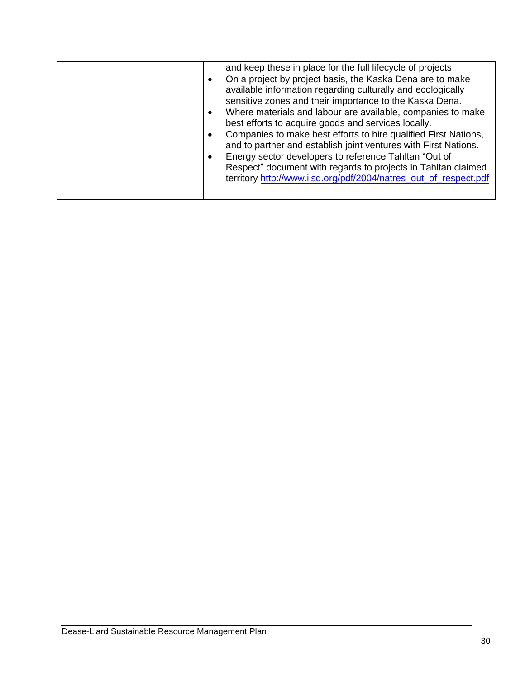| and keep these in place for the full lifecycle of projects<br>On a project by project basis, the Kaska Dena are to make<br>available information regarding culturally and ecologically<br>sensitive zones and their importance to the Kaska Dena.<br>Where materials and labour are available, companies to make<br>٠<br>best efforts to acquire goods and services locally.<br>Companies to make best efforts to hire qualified First Nations,<br>and to partner and establish joint ventures with First Nations.<br>Energy sector developers to reference Tahltan "Out of<br>Respect" document with regards to projects in Tahltan claimed<br>territory http://www.iisd.org/pdf/2004/natres_out_of_respect.pdf |
|------------------------------------------------------------------------------------------------------------------------------------------------------------------------------------------------------------------------------------------------------------------------------------------------------------------------------------------------------------------------------------------------------------------------------------------------------------------------------------------------------------------------------------------------------------------------------------------------------------------------------------------------------------------------------------------------------------------|
|------------------------------------------------------------------------------------------------------------------------------------------------------------------------------------------------------------------------------------------------------------------------------------------------------------------------------------------------------------------------------------------------------------------------------------------------------------------------------------------------------------------------------------------------------------------------------------------------------------------------------------------------------------------------------------------------------------------|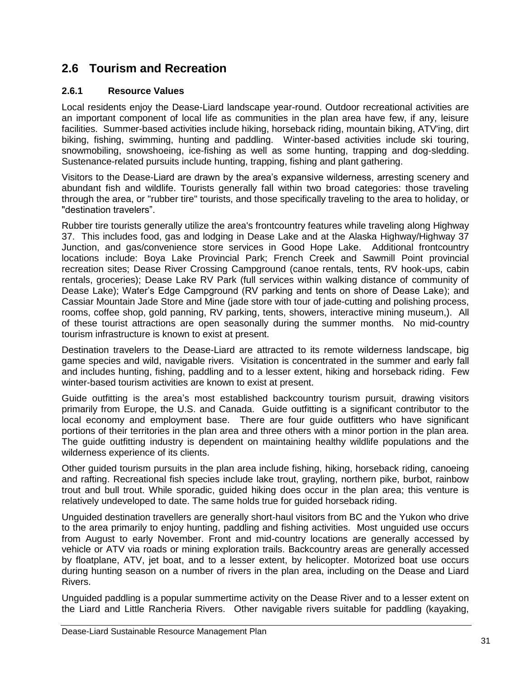### <span id="page-34-0"></span>**2.6 Tourism and Recreation**

### <span id="page-34-1"></span>**2.6.1 Resource Values**

Local residents enjoy the Dease-Liard landscape year-round. Outdoor recreational activities are an important component of local life as communities in the plan area have few, if any, leisure facilities. Summer-based activities include hiking, horseback riding, mountain biking, ATV'ing, dirt biking, fishing, swimming, hunting and paddling. Winter-based activities include ski touring, snowmobiling, snowshoeing, ice-fishing as well as some hunting, trapping and dog-sledding. Sustenance-related pursuits include hunting, trapping, fishing and plant gathering.

Visitors to the Dease-Liard are drawn by the area"s expansive wilderness, arresting scenery and abundant fish and wildlife. Tourists generally fall within two broad categories: those traveling through the area, or "rubber tire" tourists, and those specifically traveling to the area to holiday, or "destination travelers".

Rubber tire tourists generally utilize the area's frontcountry features while traveling along Highway 37. This includes food, gas and lodging in Dease Lake and at the Alaska Highway/Highway 37 Junction, and gas/convenience store services in Good Hope Lake. Additional frontcountry locations include: Boya Lake Provincial Park; French Creek and Sawmill Point provincial recreation sites; Dease River Crossing Campground (canoe rentals, tents, RV hook-ups, cabin rentals, groceries); Dease Lake RV Park (full services within walking distance of community of Dease Lake); Water"s Edge Campground (RV parking and tents on shore of Dease Lake); and Cassiar Mountain Jade Store and Mine (jade store with tour of jade-cutting and polishing process, rooms, coffee shop, gold panning, RV parking, tents, showers, interactive mining museum,). All of these tourist attractions are open seasonally during the summer months. No mid-country tourism infrastructure is known to exist at present.

Destination travelers to the Dease-Liard are attracted to its remote wilderness landscape, big game species and wild, navigable rivers. Visitation is concentrated in the summer and early fall and includes hunting, fishing, paddling and to a lesser extent, hiking and horseback riding. Few winter-based tourism activities are known to exist at present.

Guide outfitting is the area"s most established backcountry tourism pursuit, drawing visitors primarily from Europe, the U.S. and Canada. Guide outfitting is a significant contributor to the local economy and employment base. There are four guide outfitters who have significant portions of their territories in the plan area and three others with a minor portion in the plan area. The guide outfitting industry is dependent on maintaining healthy wildlife populations and the wilderness experience of its clients.

Other guided tourism pursuits in the plan area include fishing, hiking, horseback riding, canoeing and rafting. Recreational fish species include lake trout, grayling, northern pike, burbot, rainbow trout and bull trout. While sporadic, guided hiking does occur in the plan area; this venture is relatively undeveloped to date. The same holds true for guided horseback riding.

Unguided destination travellers are generally short-haul visitors from BC and the Yukon who drive to the area primarily to enjoy hunting, paddling and fishing activities. Most unguided use occurs from August to early November. Front and mid-country locations are generally accessed by vehicle or ATV via roads or mining exploration trails. Backcountry areas are generally accessed by floatplane, ATV, jet boat, and to a lesser extent, by helicopter. Motorized boat use occurs during hunting season on a number of rivers in the plan area, including on the Dease and Liard Rivers.

Unguided paddling is a popular summertime activity on the Dease River and to a lesser extent on the Liard and Little Rancheria Rivers. Other navigable rivers suitable for paddling (kayaking,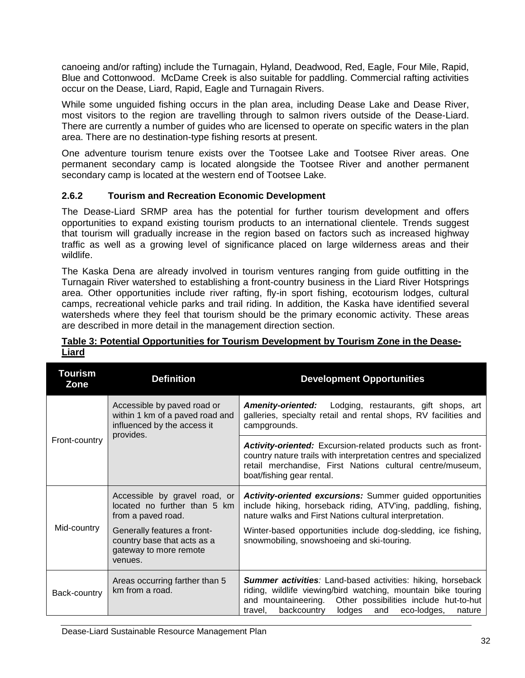canoeing and/or rafting) include the Turnagain, Hyland, Deadwood, Red, Eagle, Four Mile, Rapid, Blue and Cottonwood. McDame Creek is also suitable for paddling. Commercial rafting activities occur on the Dease, Liard, Rapid, Eagle and Turnagain Rivers.

While some unguided fishing occurs in the plan area, including Dease Lake and Dease River, most visitors to the region are travelling through to salmon rivers outside of the Dease-Liard. There are currently a number of guides who are licensed to operate on specific waters in the plan area. There are no destination-type fishing resorts at present.

One adventure tourism tenure exists over the Tootsee Lake and Tootsee River areas. One permanent secondary camp is located alongside the Tootsee River and another permanent secondary camp is located at the western end of Tootsee Lake.

### <span id="page-35-0"></span>**2.6.2 Tourism and Recreation Economic Development**

The Dease-Liard SRMP area has the potential for further tourism development and offers opportunities to expand existing tourism products to an international clientele. Trends suggest that tourism will gradually increase in the region based on factors such as increased highway traffic as well as a growing level of significance placed on large wilderness areas and their wildlife.

The Kaska Dena are already involved in tourism ventures ranging from guide outfitting in the Turnagain River watershed to establishing a front-country business in the Liard River Hotsprings area. Other opportunities include river rafting, fly-in sport fishing, ecotourism lodges, cultural camps, recreational vehicle parks and trail riding. In addition, the Kaska have identified several watersheds where they feel that tourism should be the primary economic activity. These areas are described in more detail in the management direction section.

| Tourism<br>Zone | <b>Definition</b>                                                                                          | <b>Development Opportunities</b>                                                                                                                                                                                                                                      |
|-----------------|------------------------------------------------------------------------------------------------------------|-----------------------------------------------------------------------------------------------------------------------------------------------------------------------------------------------------------------------------------------------------------------------|
|                 | Accessible by paved road or<br>within 1 km of a paved road and<br>influenced by the access it<br>provides. | <b>Amenity-oriented:</b><br>Lodging, restaurants, gift shops, art<br>galleries, specialty retail and rental shops, RV facilities and<br>campgrounds.                                                                                                                  |
| Front-country   |                                                                                                            | <b>Activity-oriented:</b> Excursion-related products such as front-<br>country nature trails with interpretation centres and specialized<br>retail merchandise, First Nations cultural centre/museum,<br>boat/fishing gear rental.                                    |
|                 | Accessible by gravel road, or<br>located no further than 5 km<br>from a paved road.                        | <b>Activity-oriented excursions:</b> Summer guided opportunities<br>include hiking, horseback riding, ATV'ing, paddling, fishing,<br>nature walks and First Nations cultural interpretation.                                                                          |
| Mid-country     | Generally features a front-<br>country base that acts as a<br>gateway to more remote<br>venues.            | Winter-based opportunities include dog-sledding, ice fishing,<br>snowmobiling, snowshoeing and ski-touring.                                                                                                                                                           |
| Back-country    | Areas occurring farther than 5<br>km from a road.                                                          | <b>Summer activities:</b> Land-based activities: hiking, horseback<br>riding, wildlife viewing/bird watching, mountain bike touring<br>and mountaineering. Other possibilities include hut-to-hut<br>backcountry<br>lodges<br>and<br>eco-lodges,<br>nature<br>travel, |

### <span id="page-35-1"></span>**Table 3: Potential Opportunities for Tourism Development by Tourism Zone in the Dease-Liard**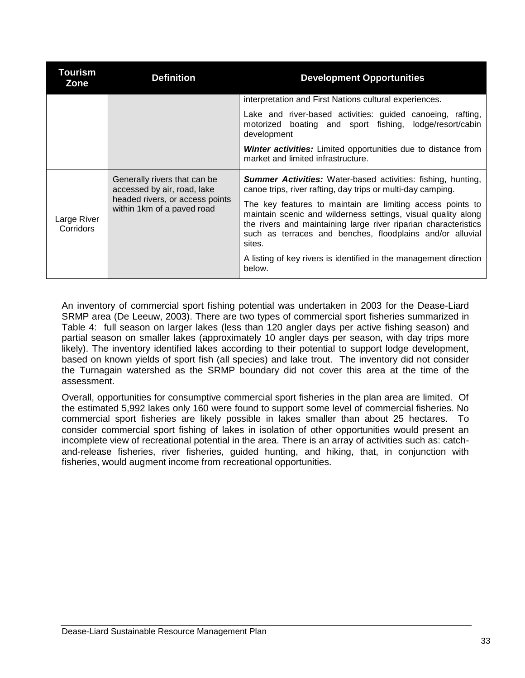| <b>Tourism</b><br>Zone   | <b>Definition</b>                                             | <b>Development Opportunities</b>                                                                                                                                                                                                                                      |
|--------------------------|---------------------------------------------------------------|-----------------------------------------------------------------------------------------------------------------------------------------------------------------------------------------------------------------------------------------------------------------------|
|                          |                                                               | interpretation and First Nations cultural experiences.                                                                                                                                                                                                                |
|                          |                                                               | Lake and river-based activities: guided canoeing, rafting,<br>motorized boating and sport fishing, lodge/resort/cabin<br>development                                                                                                                                  |
|                          |                                                               | <b>Winter activities:</b> Limited opportunities due to distance from<br>market and limited infrastructure.                                                                                                                                                            |
|                          | Generally rivers that can be<br>accessed by air, road, lake   | <b>Summer Activities:</b> Water-based activities: fishing, hunting,<br>canoe trips, river rafting, day trips or multi-day camping.                                                                                                                                    |
| Large River<br>Corridors | headed rivers, or access points<br>within 1km of a paved road | The key features to maintain are limiting access points to<br>maintain scenic and wilderness settings, visual quality along<br>the rivers and maintaining large river riparian characteristics<br>such as terraces and benches, floodplains and/or alluvial<br>sites. |
|                          |                                                               | A listing of key rivers is identified in the management direction<br>below.                                                                                                                                                                                           |

An inventory of commercial sport fishing potential was undertaken in 2003 for the Dease-Liard SRMP area (De Leeuw, 2003). There are two types of commercial sport fisheries summarized in Table 4: full season on larger lakes (less than 120 angler days per active fishing season) and partial season on smaller lakes (approximately 10 angler days per season, with day trips more likely). The inventory identified lakes according to their potential to support lodge development, based on known yields of sport fish (all species) and lake trout. The inventory did not consider the Turnagain watershed as the SRMP boundary did not cover this area at the time of the assessment.

Overall, opportunities for consumptive commercial sport fisheries in the plan area are limited. Of the estimated 5,992 lakes only 160 were found to support some level of commercial fisheries. No commercial sport fisheries are likely possible in lakes smaller than about 25 hectares. To consider commercial sport fishing of lakes in isolation of other opportunities would present an incomplete view of recreational potential in the area. There is an array of activities such as: catchand-release fisheries, river fisheries, guided hunting, and hiking, that, in conjunction with fisheries, would augment income from recreational opportunities.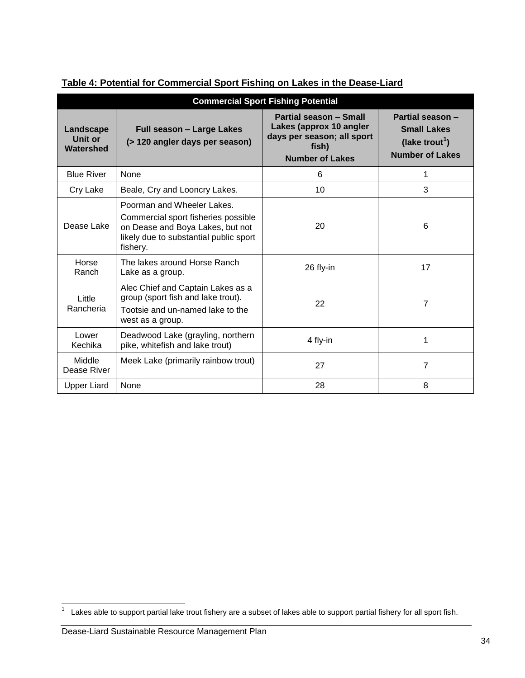| <b>Commercial Sport Fishing Potential</b> |                                                                                                                                                             |                                                                                                                    |                                                                                                |
|-------------------------------------------|-------------------------------------------------------------------------------------------------------------------------------------------------------------|--------------------------------------------------------------------------------------------------------------------|------------------------------------------------------------------------------------------------|
| Landscape<br>Unit or<br>Watershed         | Full season - Large Lakes<br>(> 120 angler days per season)                                                                                                 | Partial season - Small<br>Lakes (approx 10 angler<br>days per season; all sport<br>fish)<br><b>Number of Lakes</b> | Partial season -<br><b>Small Lakes</b><br>(lake trout <sup>1</sup> )<br><b>Number of Lakes</b> |
| <b>Blue River</b>                         | None                                                                                                                                                        | 6                                                                                                                  | 1                                                                                              |
| Cry Lake                                  | Beale, Cry and Looncry Lakes.                                                                                                                               | 10                                                                                                                 | 3                                                                                              |
| Dease Lake                                | Poorman and Wheeler Lakes.<br>Commercial sport fisheries possible<br>on Dease and Boya Lakes, but not<br>likely due to substantial public sport<br>fishery. | 20                                                                                                                 | 6                                                                                              |
| Horse<br>Ranch                            | The lakes around Horse Ranch<br>Lake as a group.                                                                                                            | 26 fly-in                                                                                                          | 17                                                                                             |
| Little<br>Rancheria                       | Alec Chief and Captain Lakes as a<br>group (sport fish and lake trout).<br>Tootsie and un-named lake to the<br>west as a group.                             | 22                                                                                                                 | 7                                                                                              |
| Lower<br>Kechika                          | Deadwood Lake (grayling, northern<br>pike, whitefish and lake trout)                                                                                        | 4 fly-in                                                                                                           | 1                                                                                              |
| Middle<br>Dease River                     | Meek Lake (primarily rainbow trout)                                                                                                                         | 27                                                                                                                 | 7                                                                                              |
| <b>Upper Liard</b>                        | None                                                                                                                                                        | 28                                                                                                                 | 8                                                                                              |

# **Table 4: Potential for Commercial Sport Fishing on Lakes in the Dease-Liard**

 $\frac{1}{1}$ Lakes able to support partial lake trout fishery are a subset of lakes able to support partial fishery for all sport fish.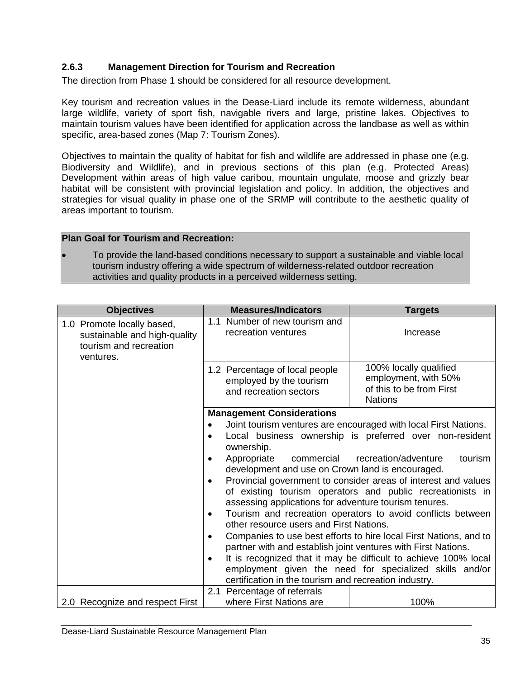# **2.6.3 Management Direction for Tourism and Recreation**

The direction from Phase 1 should be considered for all resource development.

Key tourism and recreation values in the Dease-Liard include its remote wilderness, abundant large wildlife, variety of sport fish, navigable rivers and large, pristine lakes. Objectives to maintain tourism values have been identified for application across the landbase as well as within specific, area-based zones (Map 7: Tourism Zones).

Objectives to maintain the quality of habitat for fish and wildlife are addressed in phase one (e.g. Biodiversity and Wildlife), and in previous sections of this plan (e.g. Protected Areas) Development within areas of high value caribou, mountain ungulate, moose and grizzly bear habitat will be consistent with provincial legislation and policy. In addition, the objectives and strategies for visual quality in phase one of the SRMP will contribute to the aesthetic quality of areas important to tourism.

## **Plan Goal for Tourism and Recreation:**

 To provide the land-based conditions necessary to support a sustainable and viable local tourism industry offering a wide spectrum of wilderness-related outdoor recreation activities and quality products in a perceived wilderness setting.

| <b>Objectives</b>                                                                                 | <b>Measures/Indicators</b>                                                                                                                                                                         | <b>Targets</b>                                                                               |  |  |
|---------------------------------------------------------------------------------------------------|----------------------------------------------------------------------------------------------------------------------------------------------------------------------------------------------------|----------------------------------------------------------------------------------------------|--|--|
| 1.0 Promote locally based,<br>sustainable and high-quality<br>tourism and recreation<br>ventures. | 1.1 Number of new tourism and<br>recreation ventures                                                                                                                                               | Increase                                                                                     |  |  |
|                                                                                                   | 1.2 Percentage of local people<br>employed by the tourism<br>and recreation sectors                                                                                                                | 100% locally qualified<br>employment, with 50%<br>of this to be from First<br><b>Nations</b> |  |  |
|                                                                                                   | <b>Management Considerations</b>                                                                                                                                                                   |                                                                                              |  |  |
|                                                                                                   |                                                                                                                                                                                                    | Joint tourism ventures are encouraged with local First Nations.                              |  |  |
|                                                                                                   | ownership.                                                                                                                                                                                         | Local business ownership is preferred over non-resident                                      |  |  |
|                                                                                                   | tourism<br>Appropriate<br>commercial<br>recreation/adventure<br>development and use on Crown land is encouraged.                                                                                   |                                                                                              |  |  |
|                                                                                                   | Provincial government to consider areas of interest and values<br>$\bullet$<br>of existing tourism operators and public recreationists in<br>assessing applications for adventure tourism tenures. |                                                                                              |  |  |
|                                                                                                   | ٠<br>other resource users and First Nations.                                                                                                                                                       | Tourism and recreation operators to avoid conflicts between                                  |  |  |
|                                                                                                   | $\bullet$<br>partner with and establish joint ventures with First Nations.                                                                                                                         | Companies to use best efforts to hire local First Nations, and to                            |  |  |
|                                                                                                   |                                                                                                                                                                                                    | It is recognized that it may be difficult to achieve 100% local                              |  |  |
|                                                                                                   |                                                                                                                                                                                                    | employment given the need for specialized skills and/or                                      |  |  |
|                                                                                                   | certification in the tourism and recreation industry.                                                                                                                                              |                                                                                              |  |  |
| 2.0 Recognize and respect First                                                                   | 2.1 Percentage of referrals<br>where First Nations are                                                                                                                                             | 100%                                                                                         |  |  |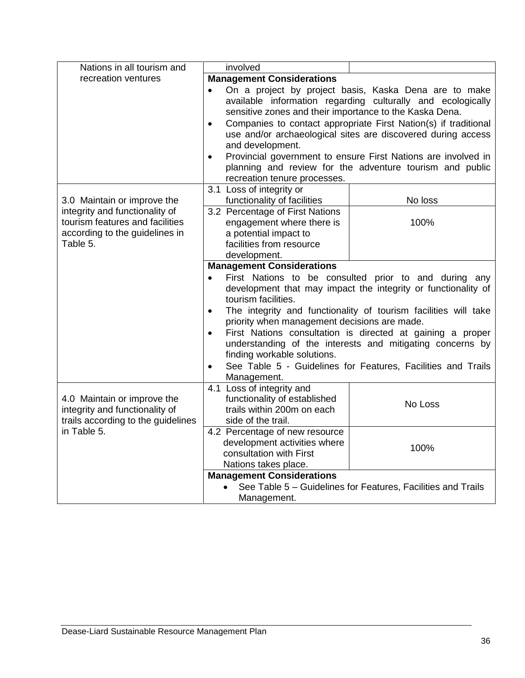| Nations in all tourism and                                                                                      | involved                                                                                                                                                                        |                                                              |  |  |
|-----------------------------------------------------------------------------------------------------------------|---------------------------------------------------------------------------------------------------------------------------------------------------------------------------------|--------------------------------------------------------------|--|--|
| recreation ventures                                                                                             | <b>Management Considerations</b>                                                                                                                                                |                                                              |  |  |
|                                                                                                                 | On a project by project basis, Kaska Dena are to make<br>available information regarding culturally and ecologically<br>sensitive zones and their importance to the Kaska Dena. |                                                              |  |  |
|                                                                                                                 | Companies to contact appropriate First Nation(s) if traditional<br>$\bullet$<br>use and/or archaeological sites are discovered during access<br>and development.                |                                                              |  |  |
|                                                                                                                 | Provincial government to ensure First Nations are involved in<br>planning and review for the adventure tourism and public                                                       |                                                              |  |  |
| 3.0 Maintain or improve the                                                                                     | 3.1 Loss of integrity or<br>functionality of facilities                                                                                                                         | No loss                                                      |  |  |
| integrity and functionality of<br>tourism features and facilities<br>according to the guidelines in<br>Table 5. | 3.2 Percentage of First Nations<br>engagement where there is<br>a potential impact to<br>facilities from resource<br>development.                                               | 100%                                                         |  |  |
|                                                                                                                 | <b>Management Considerations</b>                                                                                                                                                |                                                              |  |  |
|                                                                                                                 | First Nations to be consulted prior to and during any<br>$\bullet$<br>development that may impact the integrity or functionality of<br>tourism facilities.                      |                                                              |  |  |
|                                                                                                                 | The integrity and functionality of tourism facilities will take<br>$\bullet$<br>priority when management decisions are made.                                                    |                                                              |  |  |
|                                                                                                                 | First Nations consultation is directed at gaining a proper<br>$\bullet$<br>understanding of the interests and mitigating concerns by<br>finding workable solutions.             |                                                              |  |  |
|                                                                                                                 | $\bullet$<br>Management.                                                                                                                                                        | See Table 5 - Guidelines for Features, Facilities and Trails |  |  |
| 4.0 Maintain or improve the<br>integrity and functionality of<br>trails according to the guidelines             | 4.1 Loss of integrity and<br>functionality of established<br>trails within 200m on each<br>side of the trail.                                                                   | No Loss                                                      |  |  |
| in Table 5.                                                                                                     | 4.2 Percentage of new resource<br>development activities where<br>consultation with First<br>Nations takes place.                                                               | 100%                                                         |  |  |
|                                                                                                                 | <b>Management Considerations</b>                                                                                                                                                |                                                              |  |  |
|                                                                                                                 | See Table 5 - Guidelines for Features, Facilities and Trails<br>Management.                                                                                                     |                                                              |  |  |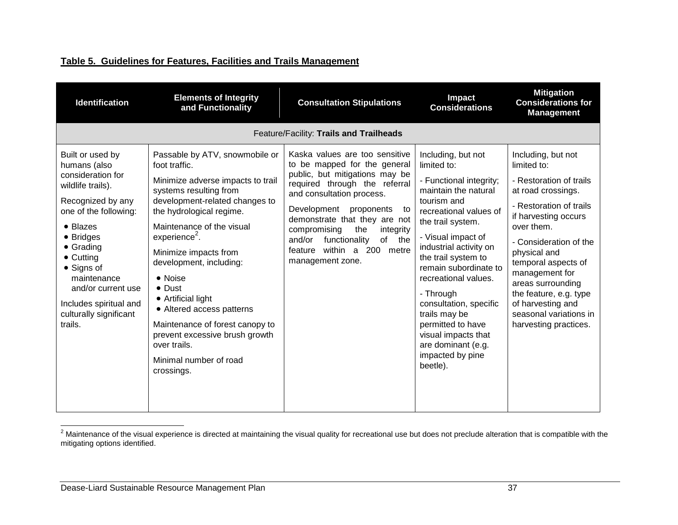# **Table 5. Guidelines for Features, Facilities and Trails Management**

| <b>Identification</b>                                                                                                                                                                                                                                                                                 | <b>Elements of Integrity</b><br>and Functionality                                                                                                                                                                                                                                                                                                                                                                                                                                             | <b>Consultation Stipulations</b>                                                                                                                                                                                                                                                                                                                                       | Impact<br><b>Considerations</b>                                                                                                                                                                                                                                                                                                                                                                                                      | <b>Mitigation</b><br><b>Considerations for</b><br><b>Management</b>                                                                                                                                                                                                                                                                                           |
|-------------------------------------------------------------------------------------------------------------------------------------------------------------------------------------------------------------------------------------------------------------------------------------------------------|-----------------------------------------------------------------------------------------------------------------------------------------------------------------------------------------------------------------------------------------------------------------------------------------------------------------------------------------------------------------------------------------------------------------------------------------------------------------------------------------------|------------------------------------------------------------------------------------------------------------------------------------------------------------------------------------------------------------------------------------------------------------------------------------------------------------------------------------------------------------------------|--------------------------------------------------------------------------------------------------------------------------------------------------------------------------------------------------------------------------------------------------------------------------------------------------------------------------------------------------------------------------------------------------------------------------------------|---------------------------------------------------------------------------------------------------------------------------------------------------------------------------------------------------------------------------------------------------------------------------------------------------------------------------------------------------------------|
|                                                                                                                                                                                                                                                                                                       |                                                                                                                                                                                                                                                                                                                                                                                                                                                                                               | Feature/Facility: Trails and Trailheads                                                                                                                                                                                                                                                                                                                                |                                                                                                                                                                                                                                                                                                                                                                                                                                      |                                                                                                                                                                                                                                                                                                                                                               |
| Built or used by<br>humans (also<br>consideration for<br>wildlife trails).<br>Recognized by any<br>one of the following:<br>• Blazes<br>• Bridges<br>• Grading<br>$\bullet$ Cutting<br>• Signs of<br>maintenance<br>and/or current use<br>Includes spiritual and<br>culturally significant<br>trails. | Passable by ATV, snowmobile or<br>foot traffic.<br>Minimize adverse impacts to trail<br>systems resulting from<br>development-related changes to<br>the hydrological regime.<br>Maintenance of the visual<br>$experience2$ .<br>Minimize impacts from<br>development, including:<br>• Noise<br>$\bullet$ Dust<br>• Artificial light<br>• Altered access patterns<br>Maintenance of forest canopy to<br>prevent excessive brush growth<br>over trails.<br>Minimal number of road<br>crossings. | Kaska values are too sensitive<br>to be mapped for the general<br>public, but mitigations may be<br>required through the referral<br>and consultation process.<br>Development<br>proponents<br>to<br>demonstrate that they are not<br>compromising<br>the<br>integrity<br>functionality<br>of the<br>and/or<br>within a<br>200<br>feature<br>metre<br>management zone. | Including, but not<br>limited to:<br>- Functional integrity;<br>maintain the natural<br>tourism and<br>recreational values of<br>the trail system.<br>- Visual impact of<br>industrial activity on<br>the trail system to<br>remain subordinate to<br>recreational values.<br>- Through<br>consultation, specific<br>trails may be<br>permitted to have<br>visual impacts that<br>are dominant (e.g.<br>impacted by pine<br>beetle). | Including, but not<br>limited to:<br>- Restoration of trails<br>at road crossings.<br>- Restoration of trails<br>if harvesting occurs<br>over them.<br>- Consideration of the<br>physical and<br>temporal aspects of<br>management for<br>areas surrounding<br>the feature, e.g. type<br>of harvesting and<br>seasonal variations in<br>harvesting practices. |

 $^2$  Maintenance of the visual experience is directed at maintaining the visual quality for recreational use but does not preclude alteration that is compatible with the mitigating options identified.

 $\overline{a}$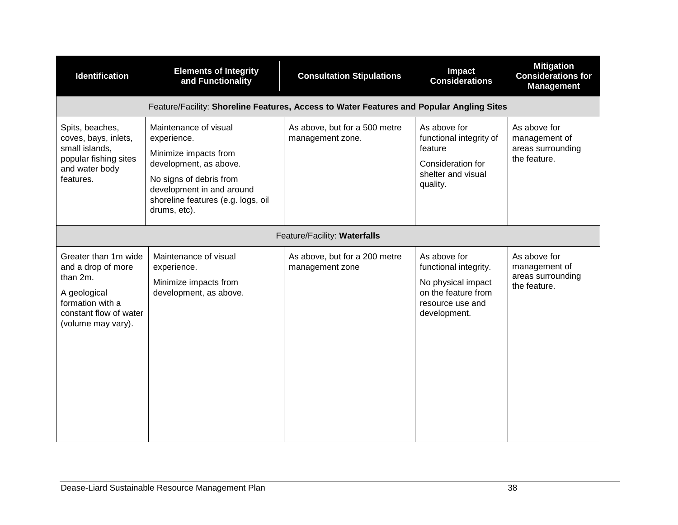| <b>Identification</b>                                                                                                                      | <b>Elements of Integrity</b><br>and Functionality                                                                                                                                                     | <b>Consultation Stipulations</b>                  | Impact<br><b>Considerations</b>                                                                                        | <b>Mitigation</b><br><b>Considerations for</b><br><b>Management</b> |
|--------------------------------------------------------------------------------------------------------------------------------------------|-------------------------------------------------------------------------------------------------------------------------------------------------------------------------------------------------------|---------------------------------------------------|------------------------------------------------------------------------------------------------------------------------|---------------------------------------------------------------------|
|                                                                                                                                            | Feature/Facility: Shoreline Features, Access to Water Features and Popular Angling Sites                                                                                                              |                                                   |                                                                                                                        |                                                                     |
| Spits, beaches,<br>coves, bays, inlets,<br>small islands,<br>popular fishing sites<br>and water body<br>features.                          | Maintenance of visual<br>experience.<br>Minimize impacts from<br>development, as above.<br>No signs of debris from<br>development in and around<br>shoreline features (e.g. logs, oil<br>drums, etc). | As above, but for a 500 metre<br>management zone. | As above for<br>functional integrity of<br>feature<br>Consideration for<br>shelter and visual<br>quality.              | As above for<br>management of<br>areas surrounding<br>the feature.  |
|                                                                                                                                            |                                                                                                                                                                                                       | Feature/Facility: Waterfalls                      |                                                                                                                        |                                                                     |
| Greater than 1m wide<br>and a drop of more<br>than 2m.<br>A geological<br>formation with a<br>constant flow of water<br>(volume may vary). | Maintenance of visual<br>experience.<br>Minimize impacts from<br>development, as above.                                                                                                               | As above, but for a 200 metre<br>management zone  | As above for<br>functional integrity.<br>No physical impact<br>on the feature from<br>resource use and<br>development. | As above for<br>management of<br>areas surrounding<br>the feature.  |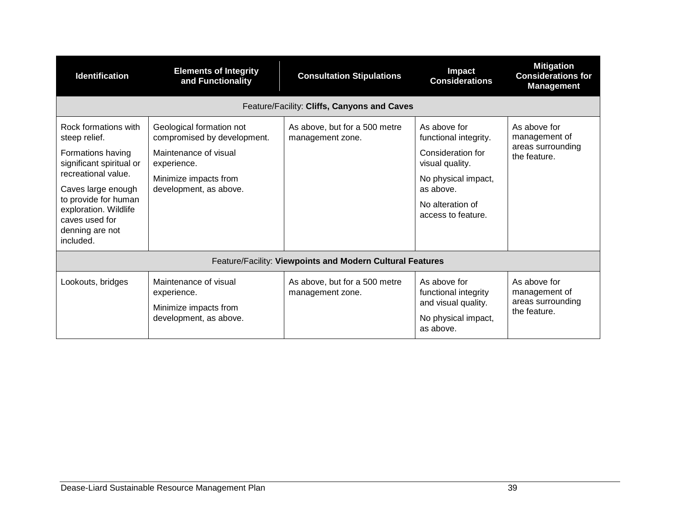| <b>Identification</b>                                                                                                                                                                                                                  | <b>Elements of Integrity</b><br>and Functionality                                                                                                  | <b>Consultation Stipulations</b>                  | Impact<br><b>Considerations</b>                                                                                                                             | <b>Mitigation</b><br><b>Considerations for</b><br><b>Management</b> |
|----------------------------------------------------------------------------------------------------------------------------------------------------------------------------------------------------------------------------------------|----------------------------------------------------------------------------------------------------------------------------------------------------|---------------------------------------------------|-------------------------------------------------------------------------------------------------------------------------------------------------------------|---------------------------------------------------------------------|
|                                                                                                                                                                                                                                        |                                                                                                                                                    | Feature/Facility: Cliffs, Canyons and Caves       |                                                                                                                                                             |                                                                     |
| Rock formations with<br>steep relief.<br>Formations having<br>significant spiritual or<br>recreational value.<br>Caves large enough<br>to provide for human<br>exploration. Wildlife<br>caves used for<br>denning are not<br>included. | Geological formation not<br>compromised by development.<br>Maintenance of visual<br>experience.<br>Minimize impacts from<br>development, as above. | As above, but for a 500 metre<br>management zone. | As above for<br>functional integrity.<br>Consideration for<br>visual quality.<br>No physical impact,<br>as above.<br>No alteration of<br>access to feature. | As above for<br>management of<br>areas surrounding<br>the feature.  |
| Feature/Facility: Viewpoints and Modern Cultural Features                                                                                                                                                                              |                                                                                                                                                    |                                                   |                                                                                                                                                             |                                                                     |
| Lookouts, bridges                                                                                                                                                                                                                      | Maintenance of visual<br>experience.<br>Minimize impacts from<br>development, as above.                                                            | As above, but for a 500 metre<br>management zone. | As above for<br>functional integrity<br>and visual quality.<br>No physical impact,<br>as above.                                                             | As above for<br>management of<br>areas surrounding<br>the feature.  |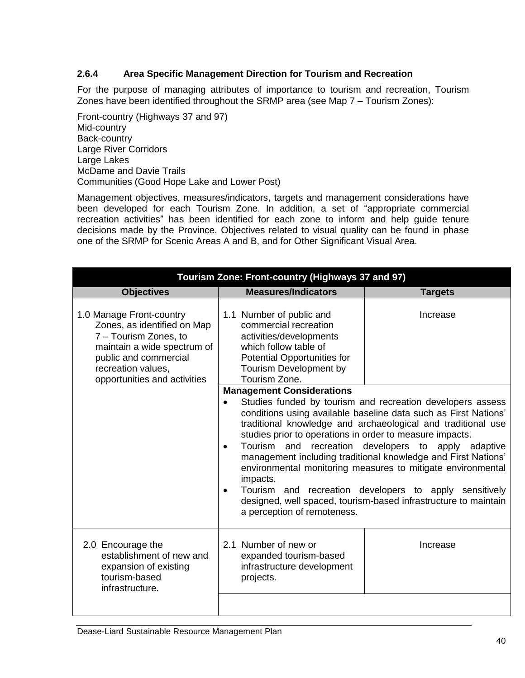# **2.6.4 Area Specific Management Direction for Tourism and Recreation**

For the purpose of managing attributes of importance to tourism and recreation, Tourism Zones have been identified throughout the SRMP area (see Map 7 – Tourism Zones):

Front-country (Highways 37 and 97) Mid-country Back-country Large River Corridors Large Lakes McDame and Davie Trails Communities (Good Hope Lake and Lower Post)

Management objectives, measures/indicators, targets and management considerations have been developed for each Tourism Zone. In addition, a set of "appropriate commercial recreation activities" has been identified for each zone to inform and help guide tenure decisions made by the Province. Objectives related to visual quality can be found in phase one of the SRMP for Scenic Areas A and B, and for Other Significant Visual Area.

| Tourism Zone: Front-country (Highways 37 and 97)                                                                                                                                               |                                                                                                                                                                                                                                                                                                                                                                                                                                                                                                                                                                                                                                                                                                     |                |  |
|------------------------------------------------------------------------------------------------------------------------------------------------------------------------------------------------|-----------------------------------------------------------------------------------------------------------------------------------------------------------------------------------------------------------------------------------------------------------------------------------------------------------------------------------------------------------------------------------------------------------------------------------------------------------------------------------------------------------------------------------------------------------------------------------------------------------------------------------------------------------------------------------------------------|----------------|--|
| <b>Objectives</b>                                                                                                                                                                              | <b>Measures/Indicators</b>                                                                                                                                                                                                                                                                                                                                                                                                                                                                                                                                                                                                                                                                          | <b>Targets</b> |  |
| 1.0 Manage Front-country<br>Zones, as identified on Map<br>7 - Tourism Zones, to<br>maintain a wide spectrum of<br>public and commercial<br>recreation values,<br>opportunities and activities | 1.1 Number of public and<br>Increase<br>commercial recreation<br>activities/developments<br>which follow table of<br>Potential Opportunities for<br>Tourism Development by<br>Tourism Zone.                                                                                                                                                                                                                                                                                                                                                                                                                                                                                                         |                |  |
|                                                                                                                                                                                                | <b>Management Considerations</b><br>Studies funded by tourism and recreation developers assess<br>$\bullet$<br>conditions using available baseline data such as First Nations'<br>traditional knowledge and archaeological and traditional use<br>studies prior to operations in order to measure impacts.<br>Tourism and recreation developers to apply adaptive<br>$\bullet$<br>management including traditional knowledge and First Nations'<br>environmental monitoring measures to mitigate environmental<br>impacts.<br>Tourism and recreation developers to apply sensitively<br>$\bullet$<br>designed, well spaced, tourism-based infrastructure to maintain<br>a perception of remoteness. |                |  |
| 2.0 Encourage the<br>establishment of new and<br>expansion of existing<br>tourism-based<br>infrastructure.                                                                                     | 2.1 Number of new or<br>expanded tourism-based<br>infrastructure development<br>projects.                                                                                                                                                                                                                                                                                                                                                                                                                                                                                                                                                                                                           | Increase       |  |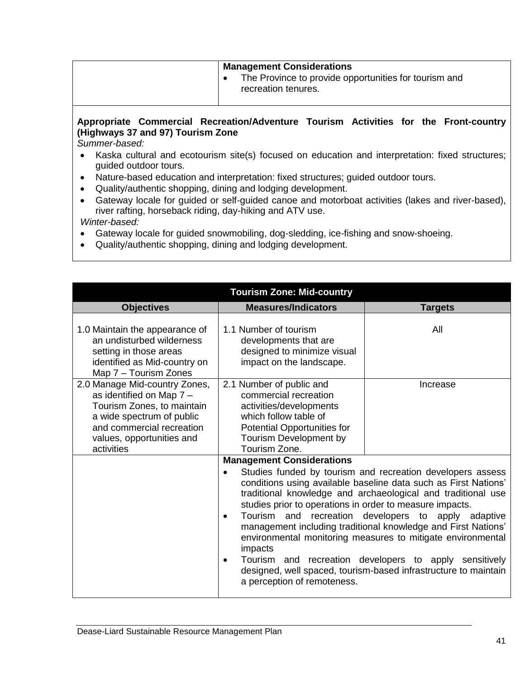## **Management Considerations**

• The Province to provide opportunities for tourism and recreation tenures.

## **Appropriate Commercial Recreation/Adventure Tourism Activities for the Front-country (Highways 37 and 97) Tourism Zone**

*Summer-based:*

- Kaska cultural and ecotourism site(s) focused on education and interpretation: fixed structures; guided outdoor tours.
- Nature-based education and interpretation: fixed structures; guided outdoor tours.
- Quality/authentic shopping, dining and lodging development.
- Gateway locale for guided or self-guided canoe and motorboat activities (lakes and river-based), river rafting, horseback riding, day-hiking and ATV use.

*Winter-based:*

- Gateway locale for guided snowmobiling, dog-sledding, ice-fishing and snow-shoeing.
- Quality/authentic shopping, dining and lodging development.

| <b>Tourism Zone: Mid-country</b>                                                                                                                                                                                                                                                                                                               |                                                                                                                                                                                                                                                                                                                                                                                                                                                |                                                                                                                                                                                                                                                                                                                                                                                                                                                                                                                                      |  |
|------------------------------------------------------------------------------------------------------------------------------------------------------------------------------------------------------------------------------------------------------------------------------------------------------------------------------------------------|------------------------------------------------------------------------------------------------------------------------------------------------------------------------------------------------------------------------------------------------------------------------------------------------------------------------------------------------------------------------------------------------------------------------------------------------|--------------------------------------------------------------------------------------------------------------------------------------------------------------------------------------------------------------------------------------------------------------------------------------------------------------------------------------------------------------------------------------------------------------------------------------------------------------------------------------------------------------------------------------|--|
| <b>Objectives</b>                                                                                                                                                                                                                                                                                                                              | <b>Measures/Indicators</b>                                                                                                                                                                                                                                                                                                                                                                                                                     | <b>Targets</b>                                                                                                                                                                                                                                                                                                                                                                                                                                                                                                                       |  |
| 1.0 Maintain the appearance of<br>an undisturbed wilderness<br>setting in those areas<br>identified as Mid-country on<br>Map 7 - Tourism Zones<br>2.0 Manage Mid-country Zones,<br>as identified on Map 7 -<br>Tourism Zones, to maintain<br>a wide spectrum of public<br>and commercial recreation<br>values, opportunities and<br>activities | 1.1 Number of tourism<br>developments that are<br>designed to minimize visual<br>impact on the landscape.<br>2.1 Number of public and<br>commercial recreation<br>activities/developments<br>which follow table of<br>Potential Opportunities for<br>Tourism Development by<br>Tourism Zone.<br><b>Management Considerations</b><br>$\bullet$<br>studies prior to operations in order to measure impacts.<br>$\bullet$<br>impacts<br>$\bullet$ | All<br>Increase<br>Studies funded by tourism and recreation developers assess<br>conditions using available baseline data such as First Nations'<br>traditional knowledge and archaeological and traditional use<br>Tourism and recreation developers to apply adaptive<br>management including traditional knowledge and First Nations'<br>environmental monitoring measures to mitigate environmental<br>Tourism and recreation developers to apply sensitively<br>designed, well spaced, tourism-based infrastructure to maintain |  |
|                                                                                                                                                                                                                                                                                                                                                | a perception of remoteness.                                                                                                                                                                                                                                                                                                                                                                                                                    |                                                                                                                                                                                                                                                                                                                                                                                                                                                                                                                                      |  |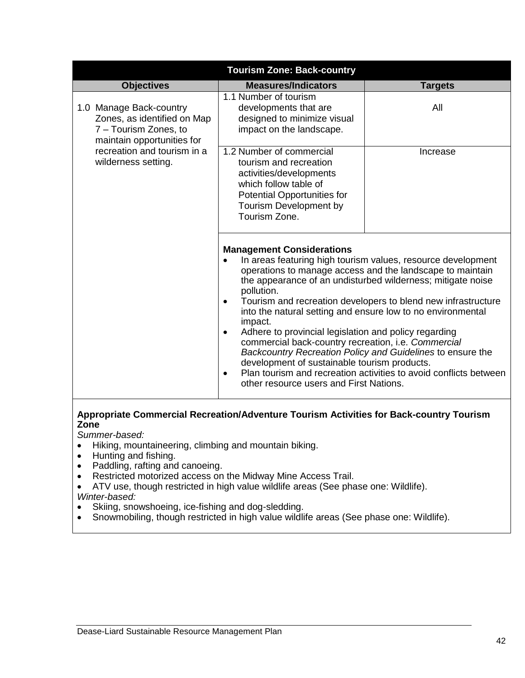| <b>Tourism Zone: Back-country</b>                                                                             |                                                                                                                                                                                                                                                                                                                                                                    |                                                                                                                                                                                                                                                                                                                                                                                              |  |
|---------------------------------------------------------------------------------------------------------------|--------------------------------------------------------------------------------------------------------------------------------------------------------------------------------------------------------------------------------------------------------------------------------------------------------------------------------------------------------------------|----------------------------------------------------------------------------------------------------------------------------------------------------------------------------------------------------------------------------------------------------------------------------------------------------------------------------------------------------------------------------------------------|--|
| <b>Objectives</b>                                                                                             | <b>Measures/Indicators</b>                                                                                                                                                                                                                                                                                                                                         | <b>Targets</b>                                                                                                                                                                                                                                                                                                                                                                               |  |
| 1.0 Manage Back-country<br>Zones, as identified on Map<br>7 - Tourism Zones, to<br>maintain opportunities for | 1.1 Number of tourism<br>developments that are<br>designed to minimize visual<br>impact on the landscape.                                                                                                                                                                                                                                                          | All                                                                                                                                                                                                                                                                                                                                                                                          |  |
| recreation and tourism in a<br>wilderness setting.                                                            | 1.2 Number of commercial<br>tourism and recreation<br>activities/developments<br>which follow table of<br>Potential Opportunities for<br>Tourism Development by<br>Tourism Zone.                                                                                                                                                                                   | Increase                                                                                                                                                                                                                                                                                                                                                                                     |  |
|                                                                                                               | <b>Management Considerations</b><br>pollution.<br>$\bullet$<br>into the natural setting and ensure low to no environmental<br>impact.<br>Adhere to provincial legislation and policy regarding<br>$\bullet$<br>commercial back-country recreation, i.e. Commercial<br>development of sustainable tourism products.<br>٠<br>other resource users and First Nations. | In areas featuring high tourism values, resource development<br>operations to manage access and the landscape to maintain<br>the appearance of an undisturbed wilderness; mitigate noise<br>Tourism and recreation developers to blend new infrastructure<br>Backcountry Recreation Policy and Guidelines to ensure the<br>Plan tourism and recreation activities to avoid conflicts between |  |

# **Appropriate Commercial Recreation/Adventure Tourism Activities for Back-country Tourism Zone**

*Summer-based:* 

- Hiking, mountaineering, climbing and mountain biking.
- Hunting and fishing.
- Paddling, rafting and canoeing.
- Restricted motorized access on the Midway Mine Access Trail.
- ATV use, though restricted in high value wildlife areas (See phase one: Wildlife). *Winter-based:*
- Skiing, snowshoeing, ice-fishing and dog-sledding.
- Snowmobiling, though restricted in high value wildlife areas (See phase one: Wildlife).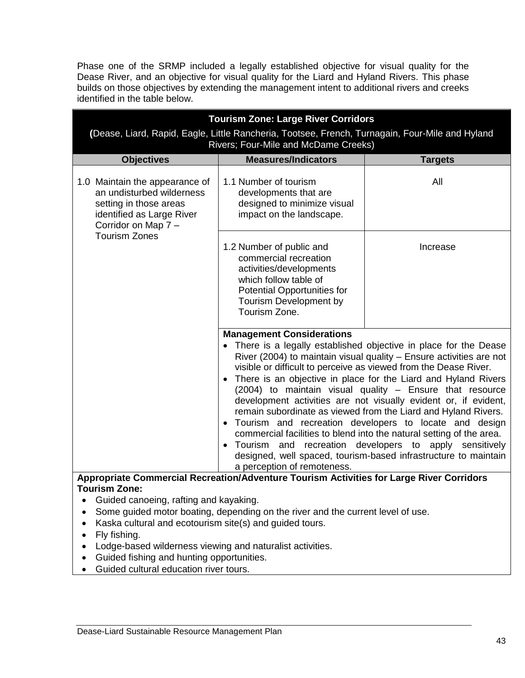Phase one of the SRMP included a legally established objective for visual quality for the Dease River, and an objective for visual quality for the Liard and Hyland Rivers. This phase builds on those objectives by extending the management intent to additional rivers and creeks identified in the table below.

|                                                                                                                                                                                                                                                                                                                                                                                                                                                                                                                                                                                                                                                                                                                                                                                                                                  | <b>Tourism Zone: Large River Corridors</b>                                                                                                                                                         |                |  |  |
|----------------------------------------------------------------------------------------------------------------------------------------------------------------------------------------------------------------------------------------------------------------------------------------------------------------------------------------------------------------------------------------------------------------------------------------------------------------------------------------------------------------------------------------------------------------------------------------------------------------------------------------------------------------------------------------------------------------------------------------------------------------------------------------------------------------------------------|----------------------------------------------------------------------------------------------------------------------------------------------------------------------------------------------------|----------------|--|--|
|                                                                                                                                                                                                                                                                                                                                                                                                                                                                                                                                                                                                                                                                                                                                                                                                                                  | (Dease, Liard, Rapid, Eagle, Little Rancheria, Tootsee, French, Turnagain, Four-Mile and Hyland                                                                                                    |                |  |  |
| <b>Objectives</b>                                                                                                                                                                                                                                                                                                                                                                                                                                                                                                                                                                                                                                                                                                                                                                                                                | Rivers; Four-Mile and McDame Creeks)<br><b>Measures/Indicators</b>                                                                                                                                 |                |  |  |
|                                                                                                                                                                                                                                                                                                                                                                                                                                                                                                                                                                                                                                                                                                                                                                                                                                  |                                                                                                                                                                                                    | <b>Targets</b> |  |  |
| 1.0 Maintain the appearance of<br>an undisturbed wilderness<br>setting in those areas<br>identified as Large River<br>Corridor on Map 7 -<br><b>Tourism Zones</b>                                                                                                                                                                                                                                                                                                                                                                                                                                                                                                                                                                                                                                                                | 1.1 Number of tourism<br>developments that are<br>designed to minimize visual<br>impact on the landscape.                                                                                          | All            |  |  |
|                                                                                                                                                                                                                                                                                                                                                                                                                                                                                                                                                                                                                                                                                                                                                                                                                                  | 1.2 Number of public and<br>Increase<br>commercial recreation<br>activities/developments<br>which follow table of<br><b>Potential Opportunities for</b><br>Tourism Development by<br>Tourism Zone. |                |  |  |
|                                                                                                                                                                                                                                                                                                                                                                                                                                                                                                                                                                                                                                                                                                                                                                                                                                  |                                                                                                                                                                                                    |                |  |  |
| <b>Management Considerations</b><br>• There is a legally established objective in place for the Dease<br>River (2004) to maintain visual quality - Ensure activities are not<br>visible or difficult to perceive as viewed from the Dease River.<br>There is an objective in place for the Liard and Hyland Rivers<br>$\bullet$<br>(2004) to maintain visual quality - Ensure that resource<br>development activities are not visually evident or, if evident,<br>remain subordinate as viewed from the Liard and Hyland Rivers.<br>• Tourism and recreation developers to locate and design<br>commercial facilities to blend into the natural setting of the area.<br>Tourism and recreation developers to apply sensitively<br>designed, well spaced, tourism-based infrastructure to maintain<br>a perception of remoteness. |                                                                                                                                                                                                    |                |  |  |
| <b>Tourism Zone:</b>                                                                                                                                                                                                                                                                                                                                                                                                                                                                                                                                                                                                                                                                                                                                                                                                             | Appropriate Commercial Recreation/Adventure Tourism Activities for Large River Corridors                                                                                                           |                |  |  |
| Guided canoeing, rafting and kayaking.<br>Some guided motor boating, depending on the river and the current level of use.<br>Kaska cultural and ecotourism site(s) and guided tours.<br>Fly fishing.<br>Lodge-based wilderness viewing and naturalist activities.<br>Guided fishing and hunting opportunities.                                                                                                                                                                                                                                                                                                                                                                                                                                                                                                                   |                                                                                                                                                                                                    |                |  |  |

Guided cultural education river tours.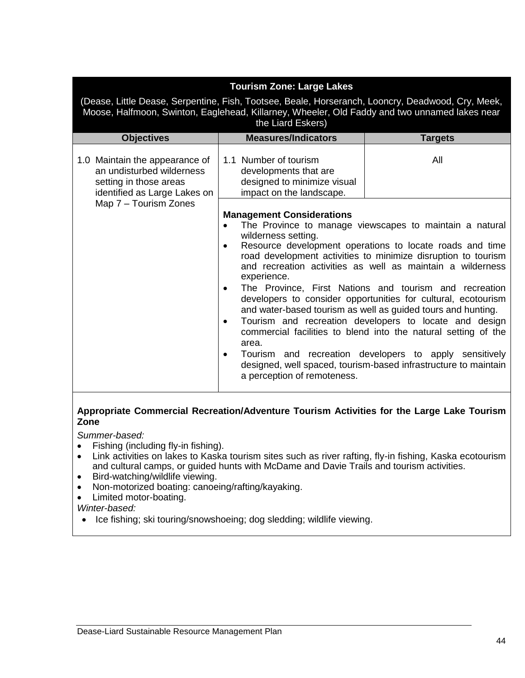| <b>Tourism Zone: Large Lakes</b><br>(Dease, Little Dease, Serpentine, Fish, Tootsee, Beale, Horseranch, Looncry, Deadwood, Cry, Meek,<br>Moose, Halfmoon, Swinton, Eaglehead, Killarney, Wheeler, Old Faddy and two unnamed lakes near<br>the Liard Eskers) |                                                                                                                                                                                                                                                                                                                                                                                                                                                                                                                                                                                                                                                                                                                                                                                                                                                                      |                |  |
|-------------------------------------------------------------------------------------------------------------------------------------------------------------------------------------------------------------------------------------------------------------|----------------------------------------------------------------------------------------------------------------------------------------------------------------------------------------------------------------------------------------------------------------------------------------------------------------------------------------------------------------------------------------------------------------------------------------------------------------------------------------------------------------------------------------------------------------------------------------------------------------------------------------------------------------------------------------------------------------------------------------------------------------------------------------------------------------------------------------------------------------------|----------------|--|
| <b>Objectives</b>                                                                                                                                                                                                                                           | <b>Measures/Indicators</b>                                                                                                                                                                                                                                                                                                                                                                                                                                                                                                                                                                                                                                                                                                                                                                                                                                           | <b>Targets</b> |  |
| 1.0 Maintain the appearance of<br>an undisturbed wilderness<br>setting in those areas<br>identified as Large Lakes on                                                                                                                                       | 1.1 Number of tourism<br>developments that are<br>designed to minimize visual<br>impact on the landscape.                                                                                                                                                                                                                                                                                                                                                                                                                                                                                                                                                                                                                                                                                                                                                            | All            |  |
| Map 7 - Tourism Zones                                                                                                                                                                                                                                       | <b>Management Considerations</b><br>The Province to manage viewscapes to maintain a natural<br>wilderness setting.<br>Resource development operations to locate roads and time<br>$\bullet$<br>road development activities to minimize disruption to tourism<br>and recreation activities as well as maintain a wilderness<br>experience.<br>The Province, First Nations and tourism and recreation<br>$\bullet$<br>developers to consider opportunities for cultural, ecotourism<br>and water-based tourism as well as guided tours and hunting.<br>Tourism and recreation developers to locate and design<br>$\bullet$<br>commercial facilities to blend into the natural setting of the<br>area.<br>Tourism and recreation developers to apply sensitively<br>٠<br>designed, well spaced, tourism-based infrastructure to maintain<br>a perception of remoteness. |                |  |

# **Appropriate Commercial Recreation/Adventure Tourism Activities for the Large Lake Tourism Zone**

*Summer-based:*

- Fishing (including fly-in fishing).<br>• Link activities on lakes to Kaska
- Link activities on lakes to Kaska tourism sites such as river rafting, fly-in fishing, Kaska ecotourism and cultural camps, or guided hunts with McDame and Davie Trails and tourism activities.
- Bird-watching/wildlife viewing.
- Non-motorized boating: canoeing/rafting/kayaking.
- Limited motor-boating.

# *Winter-based:*

• Ice fishing; ski touring/snowshoeing; dog sledding; wildlife viewing.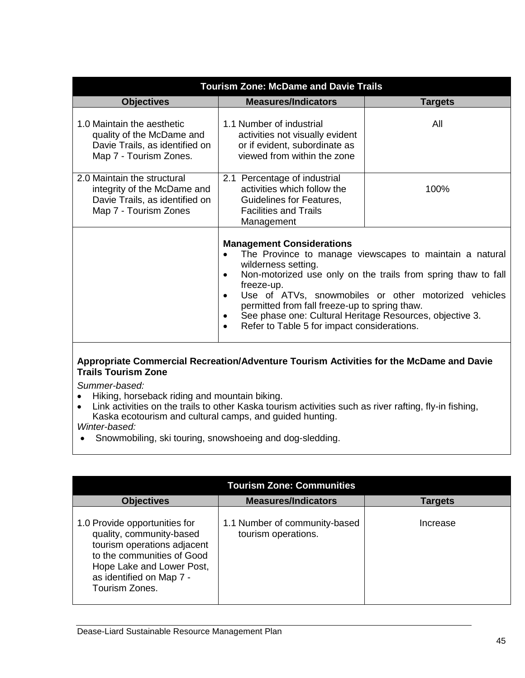| <b>Tourism Zone: McDame and Davie Trails</b>                                                                          |                                                                                                                                                                                                                                                                                                                                                                                                                                                      |                |
|-----------------------------------------------------------------------------------------------------------------------|------------------------------------------------------------------------------------------------------------------------------------------------------------------------------------------------------------------------------------------------------------------------------------------------------------------------------------------------------------------------------------------------------------------------------------------------------|----------------|
| <b>Objectives</b>                                                                                                     | <b>Measures/Indicators</b>                                                                                                                                                                                                                                                                                                                                                                                                                           | <b>Targets</b> |
| 1.0 Maintain the aesthetic<br>quality of the McDame and<br>Davie Trails, as identified on<br>Map 7 - Tourism Zones.   | 1.1 Number of industrial<br>activities not visually evident<br>or if evident, subordinate as<br>viewed from within the zone                                                                                                                                                                                                                                                                                                                          | All            |
| 2.0 Maintain the structural<br>integrity of the McDame and<br>Davie Trails, as identified on<br>Map 7 - Tourism Zones | 2.1 Percentage of industrial<br>activities which follow the<br>Guidelines for Features,<br><b>Facilities and Trails</b><br>Management                                                                                                                                                                                                                                                                                                                | 100%           |
|                                                                                                                       | <b>Management Considerations</b><br>The Province to manage viewscapes to maintain a natural<br>wilderness setting.<br>Non-motorized use only on the trails from spring thaw to fall<br>$\bullet$<br>freeze-up.<br>Use of ATVs, snowmobiles or other motorized vehicles<br>$\bullet$<br>permitted from fall freeze-up to spring thaw.<br>See phase one: Cultural Heritage Resources, objective 3.<br>Refer to Table 5 for impact considerations.<br>٠ |                |
| Appropriate Commercial Recreation/Adventure Tourism Activities for the McDame and Davie<br><b>Trails Tourism Zone</b> |                                                                                                                                                                                                                                                                                                                                                                                                                                                      |                |

*Summer-based:*

- Hiking, horseback riding and mountain biking.
- Link activities on the trails to other Kaska tourism activities such as river rafting, fly-in fishing, Kaska ecotourism and cultural camps, and guided hunting. *Winter-based:*
- Snowmobiling, ski touring, snowshoeing and dog-sledding.

| <b>Tourism Zone: Communities</b>                                                                                                                                                                  |                                                      |          |
|---------------------------------------------------------------------------------------------------------------------------------------------------------------------------------------------------|------------------------------------------------------|----------|
| <b>Objectives</b>                                                                                                                                                                                 | <b>Measures/Indicators</b>                           | Targets  |
| 1.0 Provide opportunities for<br>quality, community-based<br>tourism operations adjacent<br>to the communities of Good<br>Hope Lake and Lower Post,<br>as identified on Map 7 -<br>Tourism Zones. | 1.1 Number of community-based<br>tourism operations. | Increase |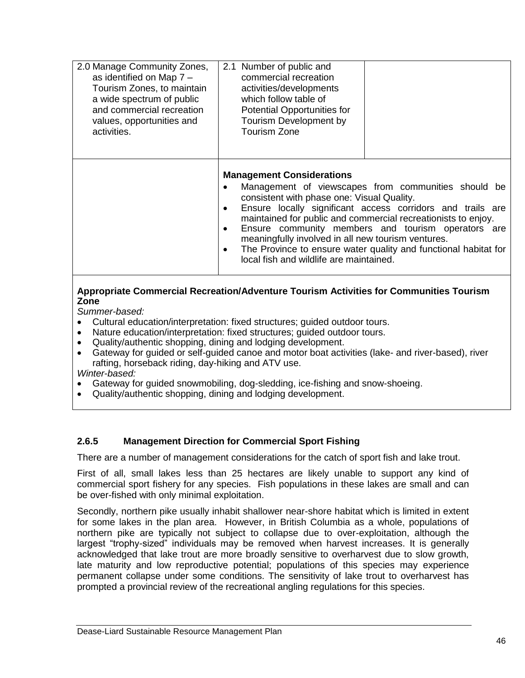| 2.0 Manage Community Zones,<br>as identified on Map 7 -<br>Tourism Zones, to maintain<br>a wide spectrum of public<br>and commercial recreation<br>values, opportunities and<br>activities. | 2.1 Number of public and<br>commercial recreation<br>activities/developments<br>which follow table of<br>Potential Opportunities for<br>Tourism Development by<br>Tourism Zone       |                                                                                                                                                                                                                                                                                                             |
|---------------------------------------------------------------------------------------------------------------------------------------------------------------------------------------------|--------------------------------------------------------------------------------------------------------------------------------------------------------------------------------------|-------------------------------------------------------------------------------------------------------------------------------------------------------------------------------------------------------------------------------------------------------------------------------------------------------------|
|                                                                                                                                                                                             | <b>Management Considerations</b><br>٠<br>consistent with phase one: Visual Quality.<br>meaningfully involved in all new tourism ventures.<br>local fish and wildlife are maintained. | Management of viewscapes from communities should be<br>Ensure locally significant access corridors and trails are<br>maintained for public and commercial recreationists to enjoy.<br>Ensure community members and tourism operators are<br>The Province to ensure water quality and functional habitat for |

## **Appropriate Commercial Recreation/Adventure Tourism Activities for Communities Tourism Zone**

*Summer-based:* 

- Cultural education/interpretation: fixed structures; guided outdoor tours.
- Nature education/interpretation: fixed structures; guided outdoor tours.
- Quality/authentic shopping, dining and lodging development.
- Gateway for guided or self-guided canoe and motor boat activities (lake- and river-based), river rafting, horseback riding, day-hiking and ATV use.

*Winter-based:* 

- Gateway for guided snowmobiling, dog-sledding, ice-fishing and snow-shoeing.
- Quality/authentic shopping, dining and lodging development.

# **2.6.5 Management Direction for Commercial Sport Fishing**

There are a number of management considerations for the catch of sport fish and lake trout.

First of all, small lakes less than 25 hectares are likely unable to support any kind of commercial sport fishery for any species. Fish populations in these lakes are small and can be over-fished with only minimal exploitation.

Secondly, northern pike usually inhabit shallower near-shore habitat which is limited in extent for some lakes in the plan area. However, in British Columbia as a whole, populations of northern pike are typically not subject to collapse due to over-exploitation, although the largest "trophy-sized" individuals may be removed when harvest increases. It is generally acknowledged that lake trout are more broadly sensitive to overharvest due to slow growth, late maturity and low reproductive potential; populations of this species may experience permanent collapse under some conditions. The sensitivity of lake trout to overharvest has prompted a provincial review of the recreational angling regulations for this species.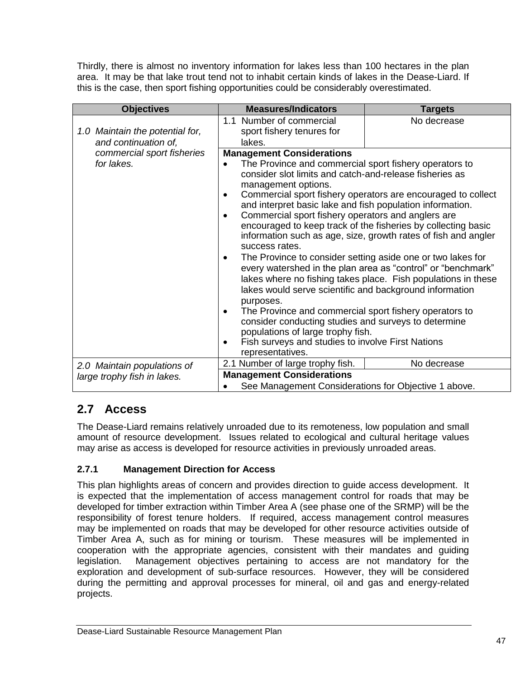Thirdly, there is almost no inventory information for lakes less than 100 hectares in the plan area. It may be that lake trout tend not to inhabit certain kinds of lakes in the Dease-Liard. If this is the case, then sport fishing opportunities could be considerably overestimated.

| <b>Objectives</b>                                       | <b>Measures/Indicators</b>                                                                                                                                                                                                                                                                                                                                                                                                                                                                                                                                                                                                                                                                                                                                                                                                                     | <b>Targets</b> |  |
|---------------------------------------------------------|------------------------------------------------------------------------------------------------------------------------------------------------------------------------------------------------------------------------------------------------------------------------------------------------------------------------------------------------------------------------------------------------------------------------------------------------------------------------------------------------------------------------------------------------------------------------------------------------------------------------------------------------------------------------------------------------------------------------------------------------------------------------------------------------------------------------------------------------|----------------|--|
| 1.0 Maintain the potential for,<br>and continuation of, | 1.1 Number of commercial<br>sport fishery tenures for<br>lakes.                                                                                                                                                                                                                                                                                                                                                                                                                                                                                                                                                                                                                                                                                                                                                                                | No decrease    |  |
| commercial sport fisheries                              | <b>Management Considerations</b>                                                                                                                                                                                                                                                                                                                                                                                                                                                                                                                                                                                                                                                                                                                                                                                                               |                |  |
| for lakes.                                              | The Province and commercial sport fishery operators to<br>٠<br>consider slot limits and catch-and-release fisheries as<br>management options.<br>Commercial sport fishery operators are encouraged to collect<br>٠<br>and interpret basic lake and fish population information.<br>Commercial sport fishery operators and anglers are<br>$\bullet$<br>encouraged to keep track of the fisheries by collecting basic<br>information such as age, size, growth rates of fish and angler<br>success rates.<br>The Province to consider setting aside one or two lakes for<br>٠<br>every watershed in the plan area as "control" or "benchmark"<br>lakes where no fishing takes place. Fish populations in these<br>lakes would serve scientific and background information<br>purposes.<br>The Province and commercial sport fishery operators to |                |  |
|                                                         | consider conducting studies and surveys to determine                                                                                                                                                                                                                                                                                                                                                                                                                                                                                                                                                                                                                                                                                                                                                                                           |                |  |
|                                                         | populations of large trophy fish.<br>Fish surveys and studies to involve First Nations<br>٠<br>representatives.                                                                                                                                                                                                                                                                                                                                                                                                                                                                                                                                                                                                                                                                                                                                |                |  |
| 2.0 Maintain populations of                             | 2.1 Number of large trophy fish.                                                                                                                                                                                                                                                                                                                                                                                                                                                                                                                                                                                                                                                                                                                                                                                                               | No decrease    |  |
| large trophy fish in lakes.                             | <b>Management Considerations</b>                                                                                                                                                                                                                                                                                                                                                                                                                                                                                                                                                                                                                                                                                                                                                                                                               |                |  |
|                                                         | See Management Considerations for Objective 1 above.                                                                                                                                                                                                                                                                                                                                                                                                                                                                                                                                                                                                                                                                                                                                                                                           |                |  |

# **2.7 Access**

The Dease-Liard remains relatively unroaded due to its remoteness, low population and small amount of resource development. Issues related to ecological and cultural heritage values may arise as access is developed for resource activities in previously unroaded areas.

# **2.7.1 Management Direction for Access**

This plan highlights areas of concern and provides direction to guide access development. It is expected that the implementation of access management control for roads that may be developed for timber extraction within Timber Area A (see phase one of the SRMP) will be the responsibility of forest tenure holders. If required, access management control measures may be implemented on roads that may be developed for other resource activities outside of Timber Area A, such as for mining or tourism. These measures will be implemented in cooperation with the appropriate agencies, consistent with their mandates and guiding legislation. Management objectives pertaining to access are not mandatory for the exploration and development of sub-surface resources. However, they will be considered during the permitting and approval processes for mineral, oil and gas and energy-related projects.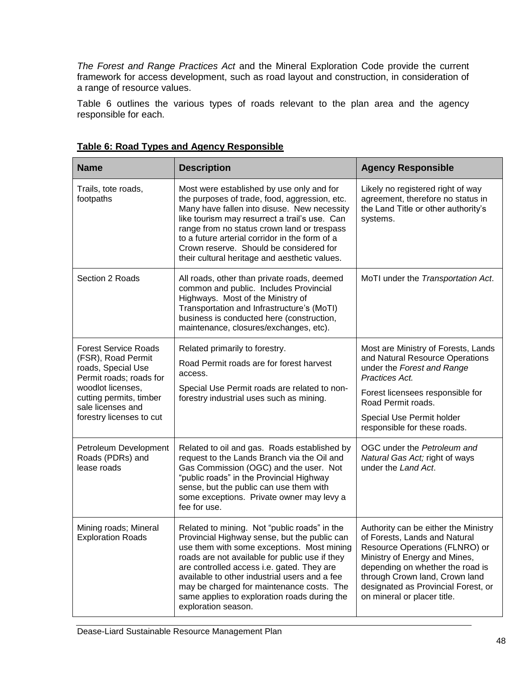*The Forest and Range Practices Act* and the Mineral Exploration Code provide the current framework for access development, such as road layout and construction, in consideration of a range of resource values.

Table 6 outlines the various types of roads relevant to the plan area and the agency responsible for each.

| <b>Name</b>                                                                                                                                                                                         | <b>Description</b>                                                                                                                                                                                                                                                                                                                                                                                              | <b>Agency Responsible</b>                                                                                                                                                                                                                                                            |
|-----------------------------------------------------------------------------------------------------------------------------------------------------------------------------------------------------|-----------------------------------------------------------------------------------------------------------------------------------------------------------------------------------------------------------------------------------------------------------------------------------------------------------------------------------------------------------------------------------------------------------------|--------------------------------------------------------------------------------------------------------------------------------------------------------------------------------------------------------------------------------------------------------------------------------------|
| Trails, tote roads,<br>footpaths                                                                                                                                                                    | Most were established by use only and for<br>the purposes of trade, food, aggression, etc.<br>Many have fallen into disuse. New necessity<br>like tourism may resurrect a trail's use. Can<br>range from no status crown land or trespass<br>to a future arterial corridor in the form of a<br>Crown reserve. Should be considered for<br>their cultural heritage and aesthetic values.                         | Likely no registered right of way<br>agreement, therefore no status in<br>the Land Title or other authority's<br>systems.                                                                                                                                                            |
| Section 2 Roads                                                                                                                                                                                     | All roads, other than private roads, deemed<br>common and public. Includes Provincial<br>Highways. Most of the Ministry of<br>Transportation and Infrastructure's (MoTI)<br>business is conducted here (construction,<br>maintenance, closures/exchanges, etc).                                                                                                                                                 | MoTI under the Transportation Act.                                                                                                                                                                                                                                                   |
| <b>Forest Service Roads</b><br>(FSR), Road Permit<br>roads, Special Use<br>Permit roads; roads for<br>woodlot licenses,<br>cutting permits, timber<br>sale licenses and<br>forestry licenses to cut | Related primarily to forestry.<br>Road Permit roads are for forest harvest<br>access.<br>Special Use Permit roads are related to non-<br>forestry industrial uses such as mining.                                                                                                                                                                                                                               | Most are Ministry of Forests, Lands<br>and Natural Resource Operations<br>under the Forest and Range<br>Practices Act.<br>Forest licensees responsible for<br>Road Permit roads.<br>Special Use Permit holder<br>responsible for these roads.                                        |
| Petroleum Development<br>Roads (PDRs) and<br>lease roads                                                                                                                                            | Related to oil and gas. Roads established by<br>request to the Lands Branch via the Oil and<br>Gas Commission (OGC) and the user. Not<br>"public roads" in the Provincial Highway<br>sense, but the public can use them with<br>some exceptions. Private owner may levy a<br>fee for use.                                                                                                                       | OGC under the Petroleum and<br>Natural Gas Act; right of ways<br>under the Land Act.                                                                                                                                                                                                 |
| Mining roads; Mineral<br><b>Exploration Roads</b>                                                                                                                                                   | Related to mining. Not "public roads" in the<br>Provincial Highway sense, but the public can<br>use them with some exceptions. Most mining<br>roads are not available for public use if they<br>are controlled access i.e. gated. They are<br>available to other industrial users and a fee<br>may be charged for maintenance costs. The<br>same applies to exploration roads during the<br>exploration season. | Authority can be either the Ministry<br>of Forests, Lands and Natural<br>Resource Operations (FLNRO) or<br>Ministry of Energy and Mines,<br>depending on whether the road is<br>through Crown land, Crown land<br>designated as Provincial Forest, or<br>on mineral or placer title. |

**Table 6: Road Types and Agency Responsible**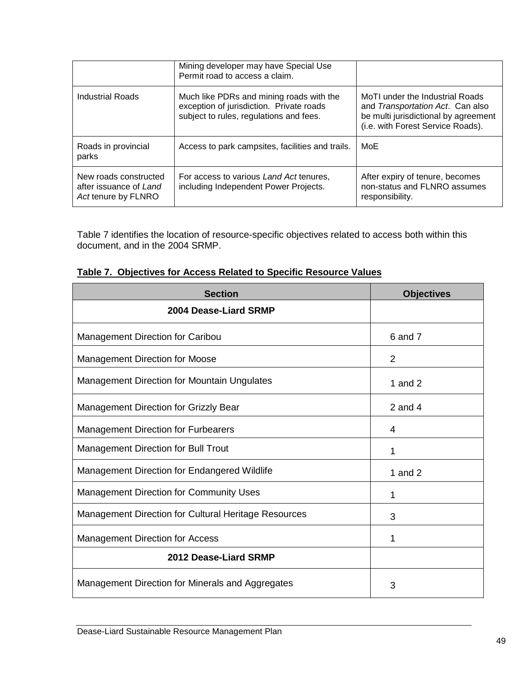|                                                                        | Mining developer may have Special Use<br>Permit road to access a claim.                                                         |                                                                                                                                                  |
|------------------------------------------------------------------------|---------------------------------------------------------------------------------------------------------------------------------|--------------------------------------------------------------------------------------------------------------------------------------------------|
| Industrial Roads                                                       | Much like PDRs and mining roads with the<br>exception of jurisdiction. Private roads<br>subject to rules, regulations and fees. | MoTI under the Industrial Roads<br>and Transportation Act. Can also<br>be multi jurisdictional by agreement<br>(i.e. with Forest Service Roads). |
| Roads in provincial<br>parks                                           | Access to park campsites, facilities and trails.                                                                                | MoE                                                                                                                                              |
| New roads constructed<br>after issuance of Land<br>Act tenure by FLNRO | For access to various Land Act tenures,<br>including Independent Power Projects.                                                | After expiry of tenure, becomes<br>non-status and FLNRO assumes<br>responsibility.                                                               |

Table 7 identifies the location of resource-specific objectives related to access both within this document, and in the 2004 SRMP.

| <b>Section</b>                                              | <b>Objectives</b> |
|-------------------------------------------------------------|-------------------|
| 2004 Dease-Liard SRMP                                       |                   |
| Management Direction for Caribou                            | 6 and 7           |
| Management Direction for Moose                              | $\overline{2}$    |
| <b>Management Direction for Mountain Ungulates</b>          | 1 and $2$         |
| <b>Management Direction for Grizzly Bear</b>                | 2 and 4           |
| <b>Management Direction for Furbearers</b>                  | 4                 |
| <b>Management Direction for Bull Trout</b>                  | 1                 |
| Management Direction for Endangered Wildlife                | 1 and $2$         |
| <b>Management Direction for Community Uses</b>              | 1                 |
| <b>Management Direction for Cultural Heritage Resources</b> | 3                 |
| <b>Management Direction for Access</b>                      | 1                 |
| 2012 Dease-Liard SRMP                                       |                   |
| Management Direction for Minerals and Aggregates            | 3                 |

# **Table 7. Objectives for Access Related to Specific Resource Values**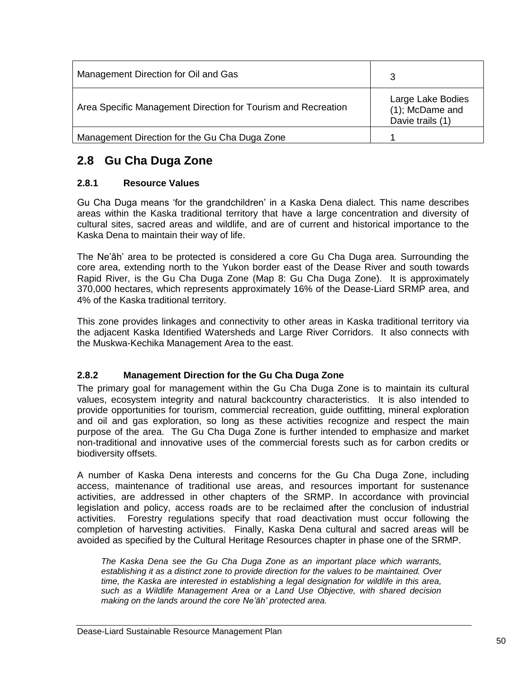| Management Direction for Oil and Gas                          | 3                                                        |
|---------------------------------------------------------------|----------------------------------------------------------|
| Area Specific Management Direction for Tourism and Recreation | Large Lake Bodies<br>(1); McDame and<br>Davie trails (1) |
| Management Direction for the Gu Cha Duga Zone                 |                                                          |

# **2.8 Gu Cha Duga Zone**

# **2.8.1 Resource Values**

Gu Cha Duga means "for the grandchildren" in a Kaska Dena dialect. This name describes areas within the Kaska traditional territory that have a large concentration and diversity of cultural sites, sacred areas and wildlife, and are of current and historical importance to the Kaska Dena to maintain their way of life.

The Ne"āh" area to be protected is considered a core Gu Cha Duga area. Surrounding the core area, extending north to the Yukon border east of the Dease River and south towards Rapid River, is the Gu Cha Duga Zone (Map 8: Gu Cha Duga Zone). It is approximately 370,000 hectares, which represents approximately 16% of the Dease-Liard SRMP area, and 4% of the Kaska traditional territory.

This zone provides linkages and connectivity to other areas in Kaska traditional territory via the adjacent Kaska Identified Watersheds and Large River Corridors. It also connects with the Muskwa-Kechika Management Area to the east.

# **2.8.2 Management Direction for the Gu Cha Duga Zone**

The primary goal for management within the Gu Cha Duga Zone is to maintain its cultural values, ecosystem integrity and natural backcountry characteristics. It is also intended to provide opportunities for tourism, commercial recreation, guide outfitting, mineral exploration and oil and gas exploration, so long as these activities recognize and respect the main purpose of the area. The Gu Cha Duga Zone is further intended to emphasize and market non-traditional and innovative uses of the commercial forests such as for carbon credits or biodiversity offsets.

A number of Kaska Dena interests and concerns for the Gu Cha Duga Zone, including access, maintenance of traditional use areas, and resources important for sustenance activities, are addressed in other chapters of the SRMP. In accordance with provincial legislation and policy, access roads are to be reclaimed after the conclusion of industrial activities. Forestry regulations specify that road deactivation must occur following the completion of harvesting activities. Finally, Kaska Dena cultural and sacred areas will be avoided as specified by the Cultural Heritage Resources chapter in phase one of the SRMP.

*The Kaska Dena see the Gu Cha Duga Zone as an important place which warrants, establishing it as a distinct zone to provide direction for the values to be maintained. Over time, the Kaska are interested in establishing a legal designation for wildlife in this area, such as a Wildlife Management Area or a Land Use Objective, with shared decision making on the lands around the core Ne'āh' protected area.*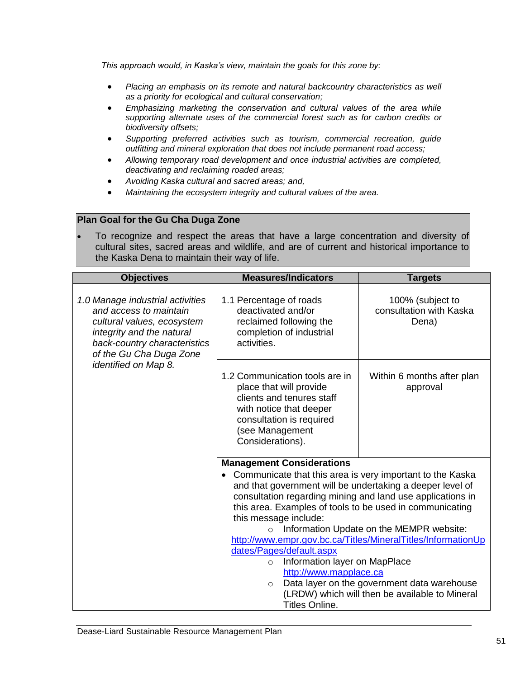*This approach would, in Kaska's view, maintain the goals for this zone by:*

- *Placing an emphasis on its remote and natural backcountry characteristics as well as a priority for ecological and cultural conservation;*
- *Emphasizing marketing the conservation and cultural values of the area while supporting alternate uses of the commercial forest such as for carbon credits or biodiversity offsets;*
- *Supporting preferred activities such as tourism, commercial recreation, guide outfitting and mineral exploration that does not include permanent road access;*
- *Allowing temporary road development and once industrial activities are completed, deactivating and reclaiming roaded areas;*
- *Avoiding Kaska cultural and sacred areas; and,*
- *Maintaining the ecosystem integrity and cultural values of the area.*

#### **Plan Goal for the Gu Cha Duga Zone**

 To recognize and respect the areas that have a large concentration and diversity of cultural sites, sacred areas and wildlife, and are of current and historical importance to the Kaska Dena to maintain their way of life.

| <b>Objectives</b>                                                                                                                                                                | <b>Measures/Indicators</b>                                                                                                                                                                                                                                                                                                                                                                                                                                     | <b>Targets</b>                                                                                                                                                                                            |
|----------------------------------------------------------------------------------------------------------------------------------------------------------------------------------|----------------------------------------------------------------------------------------------------------------------------------------------------------------------------------------------------------------------------------------------------------------------------------------------------------------------------------------------------------------------------------------------------------------------------------------------------------------|-----------------------------------------------------------------------------------------------------------------------------------------------------------------------------------------------------------|
| 1.0 Manage industrial activities<br>and access to maintain<br>cultural values, ecosystem<br>integrity and the natural<br>back-country characteristics<br>of the Gu Cha Duga Zone | 1.1 Percentage of roads<br>deactivated and/or<br>reclaimed following the<br>completion of industrial<br>activities.                                                                                                                                                                                                                                                                                                                                            | 100% (subject to<br>consultation with Kaska<br>Dena)                                                                                                                                                      |
| identified on Map 8.                                                                                                                                                             | 1.2 Communication tools are in<br>place that will provide<br>clients and tenures staff<br>with notice that deeper<br>consultation is required<br>(see Management<br>Considerations).                                                                                                                                                                                                                                                                           | Within 6 months after plan<br>approval                                                                                                                                                                    |
|                                                                                                                                                                                  | <b>Management Considerations</b><br>Communicate that this area is very important to the Kaska<br>and that government will be undertaking a deeper level of<br>consultation regarding mining and land use applications in<br>this area. Examples of tools to be used in communicating<br>this message include:<br>$\circ$<br>dates/Pages/default.aspx<br>Information layer on MapPlace<br>$\circ$<br>http://www.mapplace.ca<br>$\circ$<br><b>Titles Online.</b> | Information Update on the MEMPR website:<br>http://www.empr.gov.bc.ca/Titles/MineralTitles/InformationUp<br>Data layer on the government data warehouse<br>(LRDW) which will then be available to Mineral |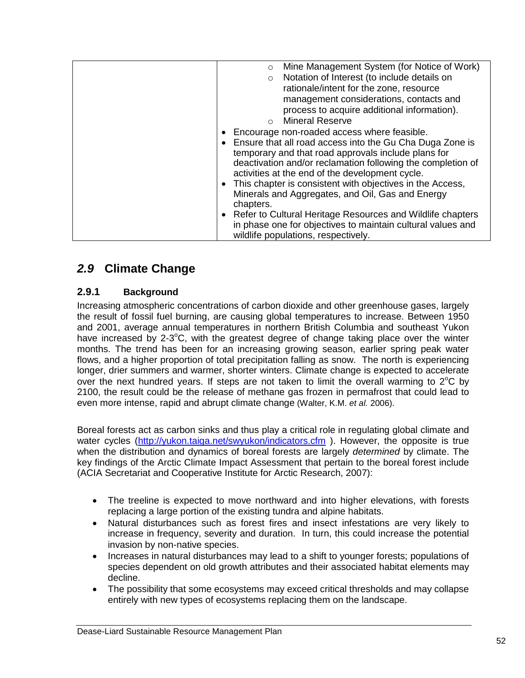| Mine Management System (for Notice of Work)<br>$\circ$                                                                                                                                                                                                                                                                                                                                                           |
|------------------------------------------------------------------------------------------------------------------------------------------------------------------------------------------------------------------------------------------------------------------------------------------------------------------------------------------------------------------------------------------------------------------|
| Notation of Interest (to include details on<br>$\circ$                                                                                                                                                                                                                                                                                                                                                           |
| rationale/intent for the zone, resource                                                                                                                                                                                                                                                                                                                                                                          |
| management considerations, contacts and                                                                                                                                                                                                                                                                                                                                                                          |
| process to acquire additional information).                                                                                                                                                                                                                                                                                                                                                                      |
| <b>Mineral Reserve</b><br>$\Omega$                                                                                                                                                                                                                                                                                                                                                                               |
| Encourage non-roaded access where feasible.<br>• Ensure that all road access into the Gu Cha Duga Zone is<br>temporary and that road approvals include plans for<br>deactivation and/or reclamation following the completion of<br>activities at the end of the development cycle.<br>This chapter is consistent with objectives in the Access,<br>$\bullet$<br>Minerals and Aggregates, and Oil, Gas and Energy |
| chapters.<br>Refer to Cultural Heritage Resources and Wildlife chapters<br>$\bullet$<br>in phase one for objectives to maintain cultural values and<br>wildlife populations, respectively.                                                                                                                                                                                                                       |

# *2.9* **Climate Change**

# **2.9.1 Background**

Increasing atmospheric concentrations of carbon dioxide and other greenhouse gases, largely the result of fossil fuel burning, are causing global temperatures to increase. Between 1950 and 2001, average annual temperatures in northern British Columbia and southeast Yukon have increased by 2-3°C, with the greatest degree of change taking place over the winter months. The trend has been for an increasing growing season, earlier spring peak water flows, and a higher proportion of total precipitation falling as snow. The north is experiencing longer, drier summers and warmer, shorter winters. Climate change is expected to accelerate over the next hundred years. If steps are not taken to limit the overall warming to  $2^{\circ}C$  by 2100, the result could be the release of methane gas frozen in permafrost that could lead to even more intense, rapid and abrupt climate change (Walter, K.M. *et al.* 2006).

Boreal forests act as carbon sinks and thus play a critical role in regulating global climate and water cycles [\(http://yukon.taiga.net/swyukon/indicators.cfm](http://yukon.taiga.net/swyukon/indicators.cfm)). However, the opposite is true when the distribution and dynamics of boreal forests are largely *determined* by climate. The key findings of the Arctic Climate Impact Assessment that pertain to the boreal forest include (ACIA Secretariat and Cooperative Institute for Arctic Research, 2007):

- The treeline is expected to move northward and into higher elevations, with forests replacing a large portion of the existing tundra and alpine habitats.
- Natural disturbances such as forest fires and insect infestations are very likely to increase in frequency, severity and duration. In turn, this could increase the potential invasion by non-native species.
- Increases in natural disturbances may lead to a shift to younger forests; populations of species dependent on old growth attributes and their associated habitat elements may decline.
- The possibility that some ecosystems may exceed critical thresholds and may collapse entirely with new types of ecosystems replacing them on the landscape.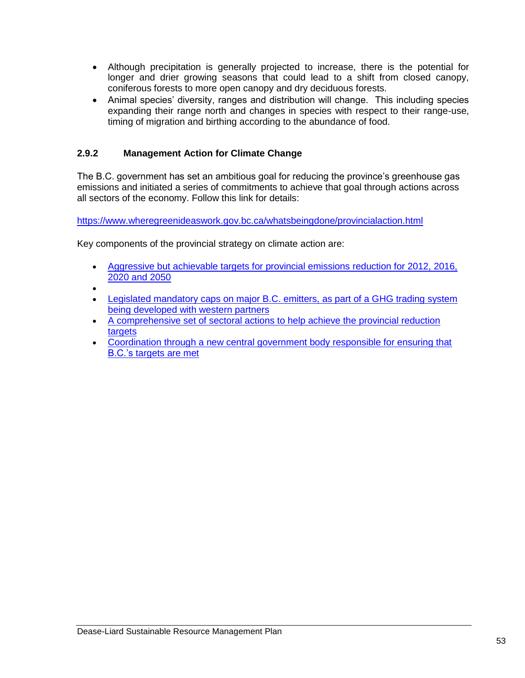- Although precipitation is generally projected to increase, there is the potential for longer and drier growing seasons that could lead to a shift from closed canopy, coniferous forests to more open canopy and dry deciduous forests.
- Animal species' diversity, ranges and distribution will change. This including species expanding their range north and changes in species with respect to their range-use, timing of migration and birthing according to the abundance of food.

# **2.9.2 Management Action for Climate Change**

The B.C. government has set an ambitious goal for reducing the province"s greenhouse gas emissions and initiated a series of commitments to achieve that goal through actions across all sectors of the economy. Follow this link for details:

<https://www.wheregreenideaswork.gov.bc.ca/whatsbeingdone/provincialaction.html>

Key components of the provincial strategy on climate action are:

- [Aggressive but achievable targets for provincial emissions reduction for 2012, 2016,](https://www.wheregreenideaswork.gov.bc.ca/whatsbeingdone/targets.html)  [2020 and 2050](https://www.wheregreenideaswork.gov.bc.ca/whatsbeingdone/targets.html)
- $\bullet$
- [Legislated mandatory caps on major B.C. emitters, as part of a GHG trading system](https://www.wheregreenideaswork.gov.bc.ca/whatsbeingdone/capandtrade.html)  [being developed with western partners](https://www.wheregreenideaswork.gov.bc.ca/whatsbeingdone/capandtrade.html)
- [A comprehensive set of sectoral actions to help achieve the provincial reduction](https://www.wheregreenideaswork.gov.bc.ca/whatsbeingdone/actionplan.html)  targets
- [Coordination through a new central government body responsible for ensuring that](https://www.wheregreenideaswork.gov.bc.ca/whatsbeingdone/secretariat.html)  [B.C."s targets are met](https://www.wheregreenideaswork.gov.bc.ca/whatsbeingdone/secretariat.html)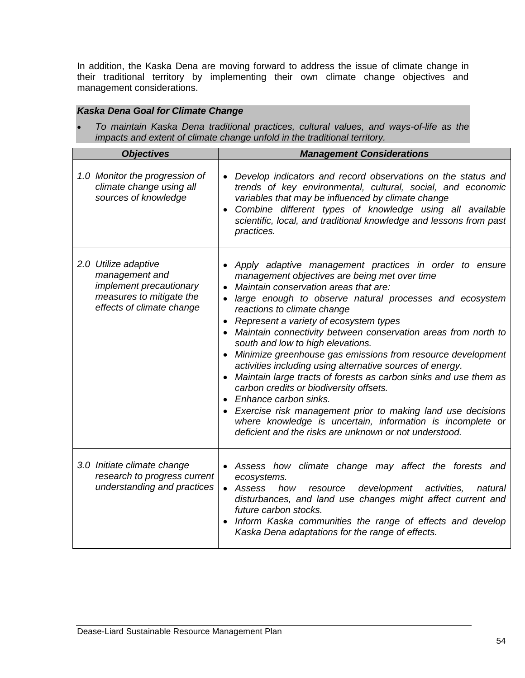In addition, the Kaska Dena are moving forward to address the issue of climate change in their traditional territory by implementing their own climate change objectives and management considerations.

# *Kaska Dena Goal for Climate Change*

 *To maintain Kaska Dena traditional practices, cultural values, and ways-of-life as the impacts and extent of climate change unfold in the traditional territory.* 

| <b>Objectives</b>                                                                                                                 | <b>Management Considerations</b>                                                                                                                                                                                                                                                                                                                                                                                                                                                                                                                                                                                                                                                                                                                                                                                                                         |
|-----------------------------------------------------------------------------------------------------------------------------------|----------------------------------------------------------------------------------------------------------------------------------------------------------------------------------------------------------------------------------------------------------------------------------------------------------------------------------------------------------------------------------------------------------------------------------------------------------------------------------------------------------------------------------------------------------------------------------------------------------------------------------------------------------------------------------------------------------------------------------------------------------------------------------------------------------------------------------------------------------|
| 1.0 Monitor the progression of<br>climate change using all<br>sources of knowledge                                                | • Develop indicators and record observations on the status and<br>trends of key environmental, cultural, social, and economic<br>variables that may be influenced by climate change<br>Combine different types of knowledge using all available<br>scientific, local, and traditional knowledge and lessons from past<br>practices.                                                                                                                                                                                                                                                                                                                                                                                                                                                                                                                      |
| 2.0 Utilize adaptive<br>management and<br><i>implement precautionary</i><br>measures to mitigate the<br>effects of climate change | Apply adaptive management practices in order to ensure<br>management objectives are being met over time<br>Maintain conservation areas that are:<br>large enough to observe natural processes and ecosystem<br>reactions to climate change<br>Represent a variety of ecosystem types<br>• Maintain connectivity between conservation areas from north to<br>south and low to high elevations.<br>Minimize greenhouse gas emissions from resource development<br>activities including using alternative sources of energy.<br>Maintain large tracts of forests as carbon sinks and use them as<br>carbon credits or biodiversity offsets.<br>Enhance carbon sinks.<br>Exercise risk management prior to making land use decisions<br>where knowledge is uncertain, information is incomplete or<br>deficient and the risks are unknown or not understood. |
| 3.0 Initiate climate change<br>research to progress current<br>understanding and practices                                        | • Assess how climate change may affect the forests and<br>ecosystems.<br>development<br>• Assess<br>activities,<br>how<br>resource<br>natural<br>disturbances, and land use changes might affect current and<br>future carbon stocks.<br>Inform Kaska communities the range of effects and develop<br>Kaska Dena adaptations for the range of effects.                                                                                                                                                                                                                                                                                                                                                                                                                                                                                                   |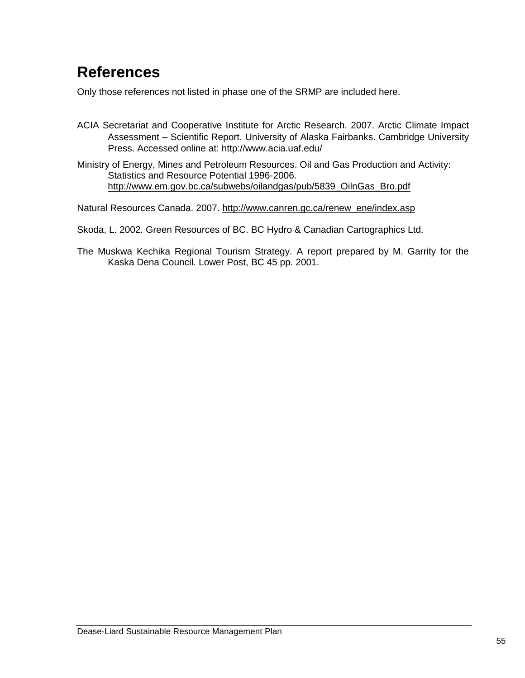# **References**

Only those references not listed in phase one of the SRMP are included here.

- ACIA Secretariat and Cooperative Institute for Arctic Research. 2007. Arctic Climate Impact Assessment – Scientific Report. University of Alaska Fairbanks. Cambridge University Press. Accessed online at: http://www.acia.uaf.edu/
- Ministry of Energy, Mines and Petroleum Resources. Oil and Gas Production and Activity: Statistics and Resource Potential 1996-2006. http://www.em.gov.bc.ca/subwebs/oilandgas/pub/5839\_OilnGas\_Bro.pdf

Natural Resources Canada. 2007. http://www.canren.gc.ca/renew\_ene/index.asp

Skoda, L. 2002. Green Resources of BC. BC Hydro & Canadian Cartographics Ltd.

The Muskwa Kechika Regional Tourism Strategy. A report prepared by M. Garrity for the Kaska Dena Council. Lower Post, BC 45 pp. 2001.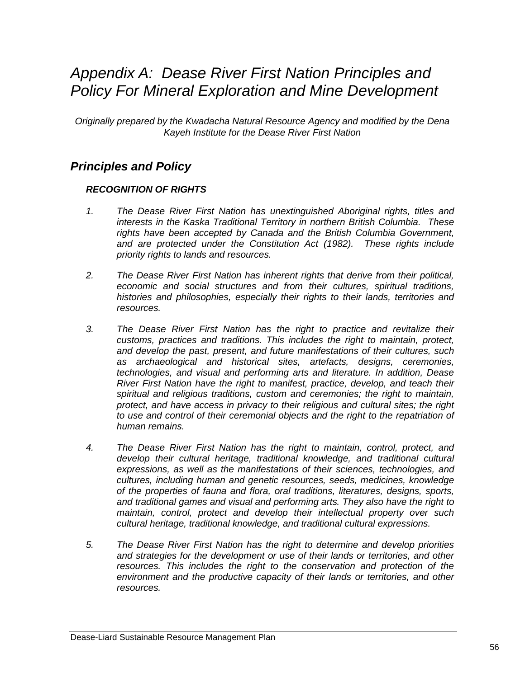# *Appendix A: Dease River First Nation Principles and Policy For Mineral Exploration and Mine Development*

*Originally prepared by the Kwadacha Natural Resource Agency and modified by the Dena Kayeh Institute for the Dease River First Nation*

# *Principles and Policy*

## *RECOGNITION OF RIGHTS*

- *1. The Dease River First Nation has unextinguished Aboriginal rights, titles and interests in the Kaska Traditional Territory in northern British Columbia. These rights have been accepted by Canada and the British Columbia Government, and are protected under the Constitution Act (1982). These rights include priority rights to lands and resources.*
- *2. The Dease River First Nation has inherent rights that derive from their political, economic and social structures and from their cultures, spiritual traditions, histories and philosophies, especially their rights to their lands, territories and resources.*
- *3. The Dease River First Nation has the right to practice and revitalize their customs, practices and traditions. This includes the right to maintain, protect, and develop the past, present, and future manifestations of their cultures, such as archaeological and historical sites, artefacts, designs, ceremonies, technologies, and visual and performing arts and literature. In addition, Dease River First Nation have the right to manifest, practice, develop, and teach their spiritual and religious traditions, custom and ceremonies; the right to maintain, protect, and have access in privacy to their religious and cultural sites; the right to use and control of their ceremonial objects and the right to the repatriation of human remains.*
- *4. The Dease River First Nation has the right to maintain, control, protect, and develop their cultural heritage, traditional knowledge, and traditional cultural expressions, as well as the manifestations of their sciences, technologies, and cultures, including human and genetic resources, seeds, medicines, knowledge of the properties of fauna and flora, oral traditions, literatures, designs, sports, and traditional games and visual and performing arts. They also have the right to maintain, control, protect and develop their intellectual property over such cultural heritage, traditional knowledge, and traditional cultural expressions.*
- *5. The Dease River First Nation has the right to determine and develop priorities and strategies for the development or use of their lands or territories, and other resources. This includes the right to the conservation and protection of the environment and the productive capacity of their lands or territories, and other resources.*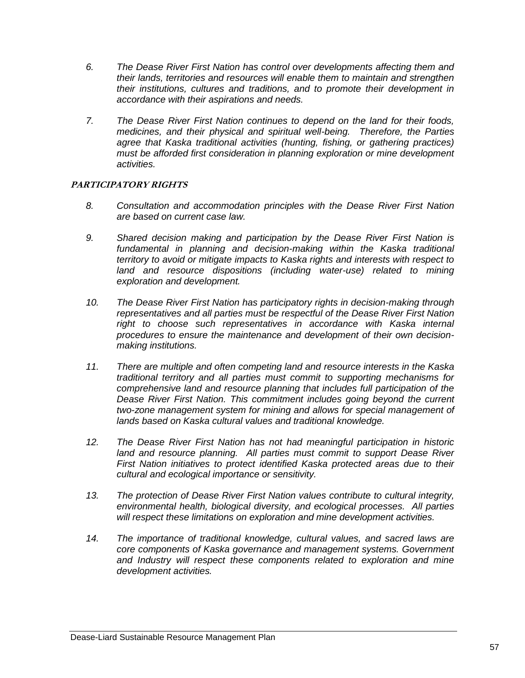- *6. The Dease River First Nation has control over developments affecting them and their lands, territories and resources will enable them to maintain and strengthen their institutions, cultures and traditions, and to promote their development in accordance with their aspirations and needs.*
- *7. The Dease River First Nation continues to depend on the land for their foods, medicines, and their physical and spiritual well-being. Therefore, the Parties agree that Kaska traditional activities (hunting, fishing, or gathering practices) must be afforded first consideration in planning exploration or mine development activities.*

### **PARTICIPATORY RIGHTS**

- *8. Consultation and accommodation principles with the Dease River First Nation are based on current case law.*
- *9. Shared decision making and participation by the Dease River First Nation is*  fundamental in planning and decision-making within the Kaska traditional *territory to avoid or mitigate impacts to Kaska rights and interests with respect to land and resource dispositions (including water-use) related to mining exploration and development.*
- *10. The Dease River First Nation has participatory rights in decision-making through representatives and all parties must be respectful of the Dease River First Nation right to choose such representatives in accordance with Kaska internal procedures to ensure the maintenance and development of their own decisionmaking institutions.*
- *11. There are multiple and often competing land and resource interests in the Kaska traditional territory and all parties must commit to supporting mechanisms for comprehensive land and resource planning that includes full participation of the Dease River First Nation. This commitment includes going beyond the current two-zone management system for mining and allows for special management of lands based on Kaska cultural values and traditional knowledge.*
- *12. The Dease River First Nation has not had meaningful participation in historic*  land and resource planning. All parties must commit to support Dease River *First Nation initiatives to protect identified Kaska protected areas due to their cultural and ecological importance or sensitivity.*
- *13. The protection of Dease River First Nation values contribute to cultural integrity, environmental health, biological diversity, and ecological processes. All parties will respect these limitations on exploration and mine development activities.*
- *14. The importance of traditional knowledge, cultural values, and sacred laws are core components of Kaska governance and management systems. Government and Industry will respect these components related to exploration and mine development activities.*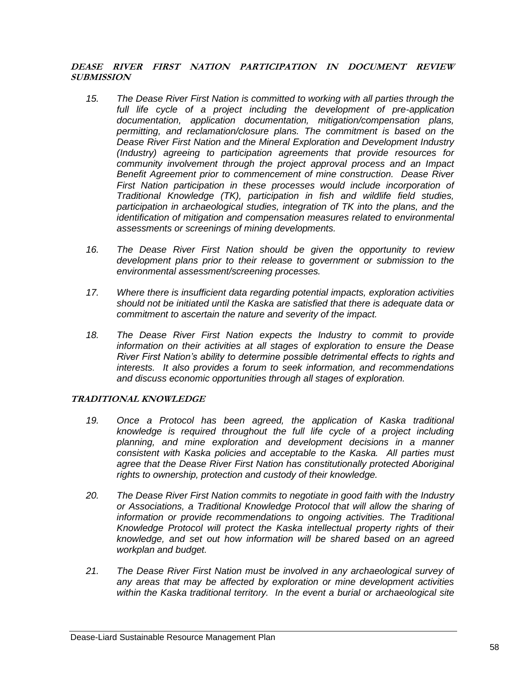### **DEASE RIVER FIRST NATION PARTICIPATION IN DOCUMENT REVIEW SUBMISSION**

- *15. The Dease River First Nation is committed to working with all parties through the*  full life cycle of a project including the development of pre-application *documentation, application documentation, mitigation/compensation plans, permitting, and reclamation/closure plans. The commitment is based on the Dease River First Nation and the Mineral Exploration and Development Industry (Industry) agreeing to participation agreements that provide resources for community involvement through the project approval process and an Impact Benefit Agreement prior to commencement of mine construction. Dease River*  First Nation participation in these processes would include incorporation of *Traditional Knowledge (TK), participation in fish and wildlife field studies, participation in archaeological studies, integration of TK into the plans, and the identification of mitigation and compensation measures related to environmental assessments or screenings of mining developments.*
- *16. The Dease River First Nation should be given the opportunity to review development plans prior to their release to government or submission to the environmental assessment/screening processes.*
- *17. Where there is insufficient data regarding potential impacts, exploration activities should not be initiated until the Kaska are satisfied that there is adequate data or commitment to ascertain the nature and severity of the impact.*
- *18. The Dease River First Nation expects the Industry to commit to provide information on their activities at all stages of exploration to ensure the Dease River First Nation's ability to determine possible detrimental effects to rights and interests. It also provides a forum to seek information, and recommendations and discuss economic opportunities through all stages of exploration.*

#### **TRADITIONAL KNOWLEDGE**

- *19. Once a Protocol has been agreed, the application of Kaska traditional knowledge is required throughout the full life cycle of a project including planning, and mine exploration and development decisions in a manner consistent with Kaska policies and acceptable to the Kaska. All parties must*  agree that the Dease River First Nation has constitutionally protected Aboriginal *rights to ownership, protection and custody of their knowledge.*
- *20. The Dease River First Nation commits to negotiate in good faith with the Industry or Associations, a Traditional Knowledge Protocol that will allow the sharing of information or provide recommendations to ongoing activities. The Traditional Knowledge Protocol will protect the Kaska intellectual property rights of their knowledge, and set out how information will be shared based on an agreed workplan and budget.*
- *21. The Dease River First Nation must be involved in any archaeological survey of any areas that may be affected by exploration or mine development activities within the Kaska traditional territory. In the event a burial or archaeological site*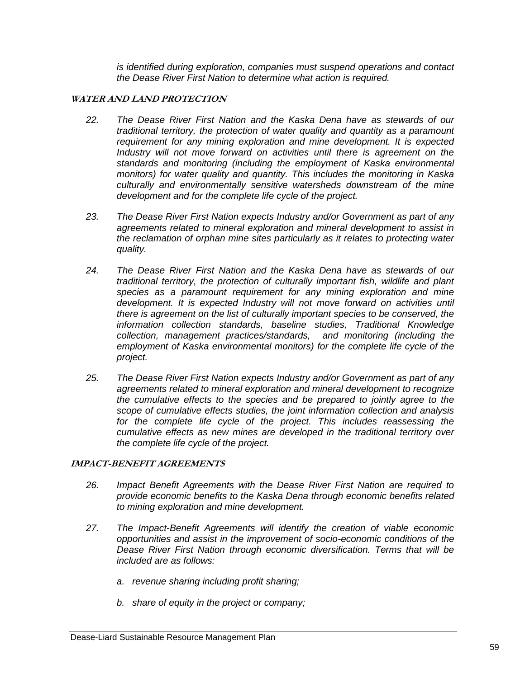*is identified during exploration, companies must suspend operations and contact the Dease River First Nation to determine what action is required.*

### **WATER AND LAND PROTECTION**

- *22. The Dease River First Nation and the Kaska Dena have as stewards of our traditional territory, the protection of water quality and quantity as a paramount requirement for any mining exploration and mine development. It is expected Industry will not move forward on activities until there is agreement on the standards and monitoring (including the employment of Kaska environmental monitors) for water quality and quantity. This includes the monitoring in Kaska culturally and environmentally sensitive watersheds downstream of the mine development and for the complete life cycle of the project.*
- *23. The Dease River First Nation expects Industry and/or Government as part of any agreements related to mineral exploration and mineral development to assist in the reclamation of orphan mine sites particularly as it relates to protecting water quality.*
- *24. The Dease River First Nation and the Kaska Dena have as stewards of our traditional territory, the protection of culturally important fish, wildlife and plant species as a paramount requirement for any mining exploration and mine development. It is expected Industry will not move forward on activities until there is agreement on the list of culturally important species to be conserved, the information collection standards, baseline studies, Traditional Knowledge collection, management practices/standards, and monitoring (including the employment of Kaska environmental monitors) for the complete life cycle of the project.*
- *25. The Dease River First Nation expects Industry and/or Government as part of any agreements related to mineral exploration and mineral development to recognize the cumulative effects to the species and be prepared to jointly agree to the scope of cumulative effects studies, the joint information collection and analysis*  for the complete life cycle of the project. This includes reassessing the *cumulative effects as new mines are developed in the traditional territory over the complete life cycle of the project.*

### **IMPACT-BENEFIT AGREEMENTS**

- *26. Impact Benefit Agreements with the Dease River First Nation are required to provide economic benefits to the Kaska Dena through economic benefits related to mining exploration and mine development.*
- *27. The Impact-Benefit Agreements will identify the creation of viable economic opportunities and assist in the improvement of socio-economic conditions of the Dease River First Nation through economic diversification. Terms that will be included are as follows:*
	- *a. revenue sharing including profit sharing;*
	- *b. share of equity in the project or company;*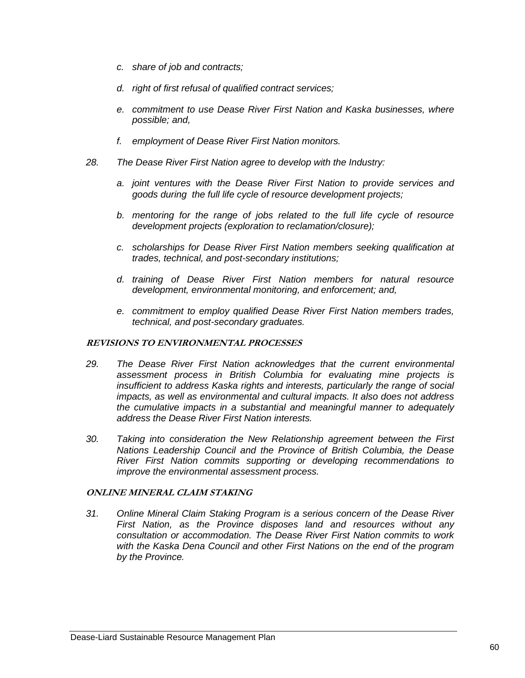- *c. share of job and contracts;*
- *d. right of first refusal of qualified contract services;*
- *e. commitment to use Dease River First Nation and Kaska businesses, where possible; and,*
- *f. employment of Dease River First Nation monitors.*
- *28. The Dease River First Nation agree to develop with the Industry:*
	- *a. joint ventures with the Dease River First Nation to provide services and goods during the full life cycle of resource development projects;*
	- *b. mentoring for the range of jobs related to the full life cycle of resource development projects (exploration to reclamation/closure);*
	- *c. scholarships for Dease River First Nation members seeking qualification at trades, technical, and post-secondary institutions;*
	- *d. training of Dease River First Nation members for natural resource development, environmental monitoring, and enforcement; and,*
	- *e. commitment to employ qualified Dease River First Nation members trades, technical, and post-secondary graduates.*

### **REVISIONS TO ENVIRONMENTAL PROCESSES**

- *29. The Dease River First Nation acknowledges that the current environmental assessment process in British Columbia for evaluating mine projects is insufficient to address Kaska rights and interests, particularly the range of social impacts, as well as environmental and cultural impacts. It also does not address the cumulative impacts in a substantial and meaningful manner to adequately address the Dease River First Nation interests.*
- *30. Taking into consideration the New Relationship agreement between the First Nations Leadership Council and the Province of British Columbia, the Dease River First Nation commits supporting or developing recommendations to improve the environmental assessment process.*

### **ONLINE MINERAL CLAIM STAKING**

*31. Online Mineral Claim Staking Program is a serious concern of the Dease River First Nation, as the Province disposes land and resources without any consultation or accommodation. The Dease River First Nation commits to work with the Kaska Dena Council and other First Nations on the end of the program by the Province.*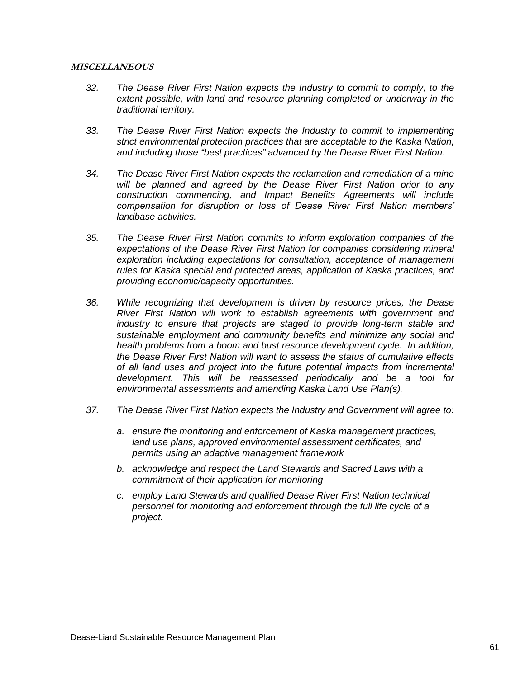#### **MISCELLANEOUS**

- *32. The Dease River First Nation expects the Industry to commit to comply, to the extent possible, with land and resource planning completed or underway in the traditional territory.*
- *33. The Dease River First Nation expects the Industry to commit to implementing strict environmental protection practices that are acceptable to the Kaska Nation, and including those "best practices" advanced by the Dease River First Nation.*
- *34. The Dease River First Nation expects the reclamation and remediation of a mine will be planned and agreed by the Dease River First Nation prior to any construction commencing, and Impact Benefits Agreements will include compensation for disruption or loss of Dease River First Nation members' landbase activities.*
- *35. The Dease River First Nation commits to inform exploration companies of the expectations of the Dease River First Nation for companies considering mineral exploration including expectations for consultation, acceptance of management rules for Kaska special and protected areas, application of Kaska practices, and providing economic/capacity opportunities.*
- *36. While recognizing that development is driven by resource prices, the Dease River First Nation will work to establish agreements with government and industry to ensure that projects are staged to provide long-term stable and sustainable employment and community benefits and minimize any social and health problems from a boom and bust resource development cycle. In addition, the Dease River First Nation will want to assess the status of cumulative effects of all land uses and project into the future potential impacts from incremental development. This will be reassessed periodically and be a tool for environmental assessments and amending Kaska Land Use Plan(s).*
- *37. The Dease River First Nation expects the Industry and Government will agree to:*
	- *a. ensure the monitoring and enforcement of Kaska management practices, land use plans, approved environmental assessment certificates, and permits using an adaptive management framework*
	- *b. acknowledge and respect the Land Stewards and Sacred Laws with a commitment of their application for monitoring*
	- *c. employ Land Stewards and qualified Dease River First Nation technical personnel for monitoring and enforcement through the full life cycle of a project.*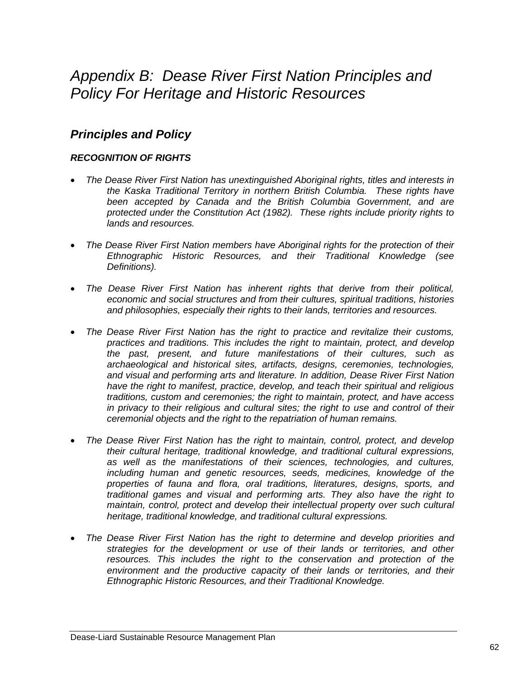# *Appendix B: Dease River First Nation Principles and Policy For Heritage and Historic Resources*

# *Principles and Policy*

## *RECOGNITION OF RIGHTS*

- *The Dease River First Nation has unextinguished Aboriginal rights, titles and interests in the Kaska Traditional Territory in northern British Columbia. These rights have been accepted by Canada and the British Columbia Government, and are protected under the Constitution Act (1982). These rights include priority rights to lands and resources.*
- *The Dease River First Nation members have Aboriginal rights for the protection of their Ethnographic Historic Resources, and their Traditional Knowledge (see Definitions).*
- *The Dease River First Nation has inherent rights that derive from their political, economic and social structures and from their cultures, spiritual traditions, histories and philosophies, especially their rights to their lands, territories and resources.*
- *The Dease River First Nation has the right to practice and revitalize their customs, practices and traditions. This includes the right to maintain, protect, and develop the past, present, and future manifestations of their cultures, such as archaeological and historical sites, artifacts, designs, ceremonies, technologies, and visual and performing arts and literature. In addition, Dease River First Nation have the right to manifest, practice, develop, and teach their spiritual and religious traditions, custom and ceremonies; the right to maintain, protect, and have access in privacy to their religious and cultural sites; the right to use and control of their ceremonial objects and the right to the repatriation of human remains.*
- *The Dease River First Nation has the right to maintain, control, protect, and develop their cultural heritage, traditional knowledge, and traditional cultural expressions, as well as the manifestations of their sciences, technologies, and cultures, including human and genetic resources, seeds, medicines, knowledge of the properties of fauna and flora, oral traditions, literatures, designs, sports, and traditional games and visual and performing arts. They also have the right to maintain, control, protect and develop their intellectual property over such cultural heritage, traditional knowledge, and traditional cultural expressions.*
- *The Dease River First Nation has the right to determine and develop priorities and strategies for the development or use of their lands or territories, and other resources. This includes the right to the conservation and protection of the environment and the productive capacity of their lands or territories, and their Ethnographic Historic Resources, and their Traditional Knowledge.*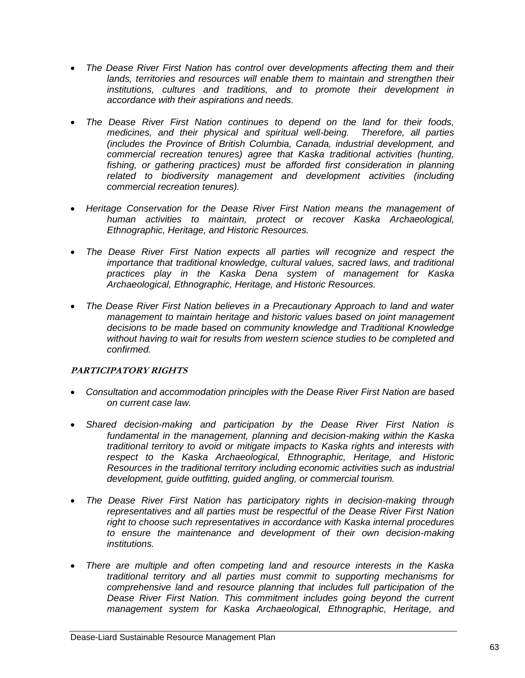- *The Dease River First Nation has control over developments affecting them and their*  lands, territories and resources will enable them to maintain and strengthen their *institutions, cultures and traditions, and to promote their development in accordance with their aspirations and needs.*
- *The Dease River First Nation continues to depend on the land for their foods, medicines, and their physical and spiritual well-being. Therefore, all parties (includes the Province of British Columbia, Canada, industrial development, and commercial recreation tenures) agree that Kaska traditional activities (hunting, fishing, or gathering practices) must be afforded first consideration in planning*  related to biodiversity management and development activities (including *commercial recreation tenures).*
- **Heritage Conservation for the Dease River First Nation means the management of** *human activities to maintain, protect or recover Kaska Archaeological, Ethnographic, Heritage, and Historic Resources.*
- The Dease River First Nation expects all parties will recognize and respect the *importance that traditional knowledge, cultural values, sacred laws, and traditional practices play in the Kaska Dena system of management for Kaska Archaeological, Ethnographic, Heritage, and Historic Resources.*
- *The Dease River First Nation believes in a Precautionary Approach to land and water management to maintain heritage and historic values based on joint management decisions to be made based on community knowledge and Traditional Knowledge without having to wait for results from western science studies to be completed and confirmed.*

### **PARTICIPATORY RIGHTS**

- *Consultation and accommodation principles with the Dease River First Nation are based on current case law.*
- *Shared decision-making and participation by the Dease River First Nation is fundamental in the management, planning and decision-making within the Kaska traditional territory to avoid or mitigate impacts to Kaska rights and interests with respect to the Kaska Archaeological, Ethnographic, Heritage, and Historic Resources in the traditional territory including economic activities such as industrial development, guide outfitting, guided angling, or commercial tourism.*
- *The Dease River First Nation has participatory rights in decision-making through representatives and all parties must be respectful of the Dease River First Nation right to choose such representatives in accordance with Kaska internal procedures to ensure the maintenance and development of their own decision-making institutions.*
- *There are multiple and often competing land and resource interests in the Kaska traditional territory and all parties must commit to supporting mechanisms for comprehensive land and resource planning that includes full participation of the Dease River First Nation. This commitment includes going beyond the current management system for Kaska Archaeological, Ethnographic, Heritage, and*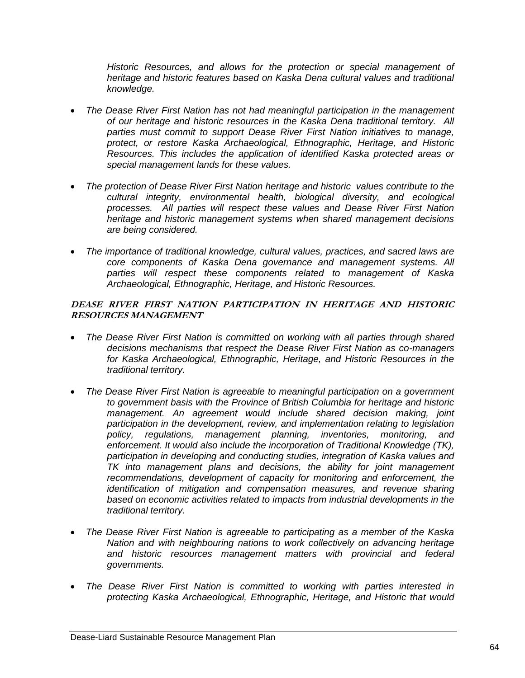*Historic Resources, and allows for the protection or special management of heritage and historic features based on Kaska Dena cultural values and traditional knowledge.* 

- *The Dease River First Nation has not had meaningful participation in the management of our heritage and historic resources in the Kaska Dena traditional territory. All parties must commit to support Dease River First Nation initiatives to manage, protect, or restore Kaska Archaeological, Ethnographic, Heritage, and Historic Resources. This includes the application of identified Kaska protected areas or special management lands for these values.*
- *The protection of Dease River First Nation heritage and historic values contribute to the cultural integrity, environmental health, biological diversity, and ecological processes. All parties will respect these values and Dease River First Nation heritage and historic management systems when shared management decisions are being considered.*
- *The importance of traditional knowledge, cultural values, practices, and sacred laws are core components of Kaska Dena governance and management systems. All parties will respect these components related to management of Kaska Archaeological, Ethnographic, Heritage, and Historic Resources.*

**DEASE RIVER FIRST NATION PARTICIPATION IN HERITAGE AND HISTORIC RESOURCES MANAGEMENT** 

- *The Dease River First Nation is committed on working with all parties through shared decisions mechanisms that respect the Dease River First Nation as co-managers for Kaska Archaeological, Ethnographic, Heritage, and Historic Resources in the traditional territory.*
- *The Dease River First Nation is agreeable to meaningful participation on a government to government basis with the Province of British Columbia for heritage and historic management. An agreement would include shared decision making, joint participation in the development, review, and implementation relating to legislation policy, regulations, management planning, inventories, monitoring, and enforcement. It would also include the incorporation of Traditional Knowledge (TK), participation in developing and conducting studies, integration of Kaska values and TK into management plans and decisions, the ability for joint management recommendations, development of capacity for monitoring and enforcement, the identification of mitigation and compensation measures, and revenue sharing based on economic activities related to impacts from industrial developments in the traditional territory.*
- *The Dease River First Nation is agreeable to participating as a member of the Kaska Nation and with neighbouring nations to work collectively on advancing heritage and historic resources management matters with provincial and federal governments.*
- *The Dease River First Nation is committed to working with parties interested in protecting Kaska Archaeological, Ethnographic, Heritage, and Historic that would*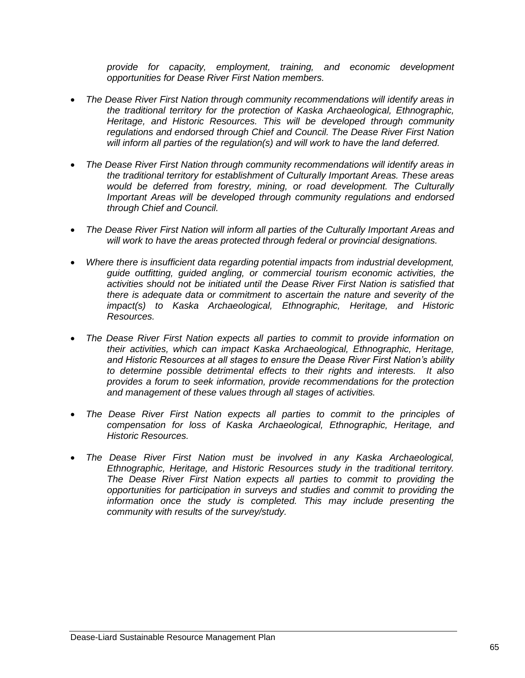*provide for capacity, employment, training, and economic development opportunities for Dease River First Nation members.* 

- *The Dease River First Nation through community recommendations will identify areas in the traditional territory for the protection of Kaska Archaeological, Ethnographic, Heritage, and Historic Resources. This will be developed through community regulations and endorsed through Chief and Council. The Dease River First Nation will inform all parties of the regulation(s) and will work to have the land deferred.*
- *The Dease River First Nation through community recommendations will identify areas in the traditional territory for establishment of Culturally Important Areas. These areas would be deferred from forestry, mining, or road development. The Culturally Important Areas will be developed through community regulations and endorsed through Chief and Council.*
- *The Dease River First Nation will inform all parties of the Culturally Important Areas and will work to have the areas protected through federal or provincial designations.*
- *Where there is insufficient data regarding potential impacts from industrial development, guide outfitting, guided angling, or commercial tourism economic activities, the activities should not be initiated until the Dease River First Nation is satisfied that there is adequate data or commitment to ascertain the nature and severity of the impact(s) to Kaska Archaeological, Ethnographic, Heritage, and Historic Resources.*
- *The Dease River First Nation expects all parties to commit to provide information on their activities, which can impact Kaska Archaeological, Ethnographic, Heritage, and Historic Resources at all stages to ensure the Dease River First Nation's ability to determine possible detrimental effects to their rights and interests. It also provides a forum to seek information, provide recommendations for the protection and management of these values through all stages of activities.*
- *The Dease River First Nation expects all parties to commit to the principles of compensation for loss of Kaska Archaeological, Ethnographic, Heritage, and Historic Resources.*
- *The Dease River First Nation must be involved in any Kaska Archaeological, Ethnographic, Heritage, and Historic Resources study in the traditional territory. The Dease River First Nation expects all parties to commit to providing the opportunities for participation in surveys and studies and commit to providing the*  information once the study is completed. This may include presenting the *community with results of the survey/study.*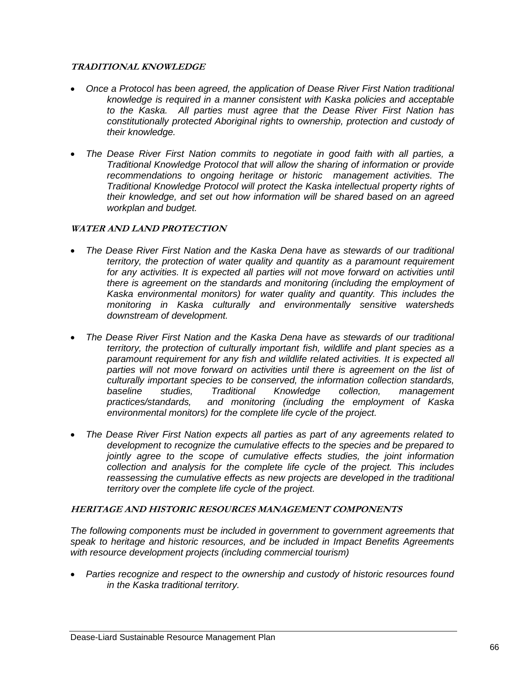### **TRADITIONAL KNOWLEDGE**

- *Once a Protocol has been agreed, the application of Dease River First Nation traditional knowledge is required in a manner consistent with Kaska policies and acceptable to the Kaska. All parties must agree that the Dease River First Nation has constitutionally protected Aboriginal rights to ownership, protection and custody of their knowledge.*
- *The Dease River First Nation commits to negotiate in good faith with all parties, a Traditional Knowledge Protocol that will allow the sharing of information or provide recommendations to ongoing heritage or historic management activities. The Traditional Knowledge Protocol will protect the Kaska intellectual property rights of their knowledge, and set out how information will be shared based on an agreed workplan and budget.*

### **WATER AND LAND PROTECTION**

- *The Dease River First Nation and the Kaska Dena have as stewards of our traditional territory, the protection of water quality and quantity as a paramount requirement*  for any activities. It is expected all parties will not move forward on activities until *there is agreement on the standards and monitoring (including the employment of Kaska environmental monitors) for water quality and quantity. This includes the monitoring in Kaska culturally and environmentally sensitive watersheds downstream of development.*
- *The Dease River First Nation and the Kaska Dena have as stewards of our traditional territory, the protection of culturally important fish, wildlife and plant species as a paramount requirement for any fish and wildlife related activities. It is expected all*  parties will not move forward on activities until there is agreement on the list of *culturally important species to be conserved, the information collection standards, baseline studies, Traditional Knowledge collection, management practices/standards, and monitoring (including the employment of Kaska environmental monitors) for the complete life cycle of the project.*
- *The Dease River First Nation expects all parties as part of any agreements related to development to recognize the cumulative effects to the species and be prepared to jointly agree to the scope of cumulative effects studies, the joint information collection and analysis for the complete life cycle of the project. This includes reassessing the cumulative effects as new projects are developed in the traditional territory over the complete life cycle of the project.*

### **HERITAGE AND HISTORIC RESOURCES MANAGEMENT COMPONENTS**

*The following components must be included in government to government agreements that speak to heritage and historic resources, and be included in Impact Benefits Agreements with resource development projects (including commercial tourism)* 

 *Parties recognize and respect to the ownership and custody of historic resources found in the Kaska traditional territory.*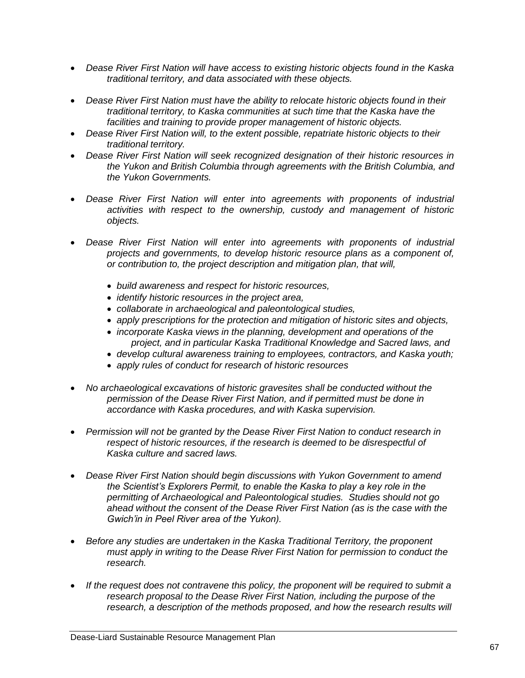- *Dease River First Nation will have access to existing historic objects found in the Kaska traditional territory, and data associated with these objects.*
- *Dease River First Nation must have the ability to relocate historic objects found in their traditional territory, to Kaska communities at such time that the Kaska have the facilities and training to provide proper management of historic objects.*
- *Dease River First Nation will, to the extent possible, repatriate historic objects to their traditional territory.*
- *Dease River First Nation will seek recognized designation of their historic resources in the Yukon and British Columbia through agreements with the British Columbia, and the Yukon Governments.*
- *Dease River First Nation will enter into agreements with proponents of industrial activities with respect to the ownership, custody and management of historic objects.*
- *Dease River First Nation will enter into agreements with proponents of industrial projects and governments, to develop historic resource plans as a component of, or contribution to, the project description and mitigation plan, that will,*
	- *build awareness and respect for historic resources,*
	- *identify historic resources in the project area,*
	- *collaborate in archaeological and paleontological studies,*
	- *apply prescriptions for the protection and mitigation of historic sites and objects,*
	- *incorporate Kaska views in the planning, development and operations of the project, and in particular Kaska Traditional Knowledge and Sacred laws, and*
	- *develop cultural awareness training to employees, contractors, and Kaska youth;*
	- *apply rules of conduct for research of historic resources*
- *No archaeological excavations of historic gravesites shall be conducted without the permission of the Dease River First Nation, and if permitted must be done in accordance with Kaska procedures, and with Kaska supervision.*
- *Permission will not be granted by the Dease River First Nation to conduct research in respect of historic resources, if the research is deemed to be disrespectful of Kaska culture and sacred laws.*
- *Dease River First Nation should begin discussions with Yukon Government to amend the Scientist's Explorers Permit, to enable the Kaska to play a key role in the permitting of Archaeological and Paleontological studies. Studies should not go ahead without the consent of the Dease River First Nation (as is the case with the Gwich'in in Peel River area of the Yukon).*
- *Before any studies are undertaken in the Kaska Traditional Territory, the proponent must apply in writing to the Dease River First Nation for permission to conduct the research.*
- *If the request does not contravene this policy, the proponent will be required to submit a research proposal to the Dease River First Nation, including the purpose of the research, a description of the methods proposed, and how the research results will*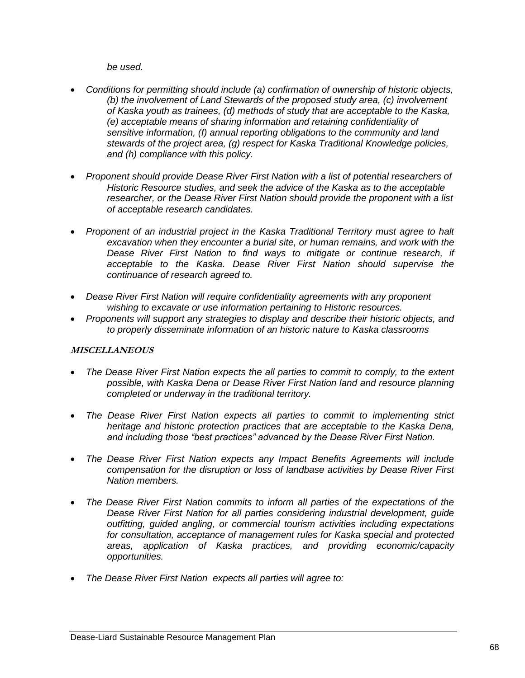*be used.*

- *Conditions for permitting should include (a) confirmation of ownership of historic objects, (b) the involvement of Land Stewards of the proposed study area, (c) involvement of Kaska youth as trainees, (d) methods of study that are acceptable to the Kaska, (e) acceptable means of sharing information and retaining confidentiality of sensitive information, (f) annual reporting obligations to the community and land stewards of the project area, (g) respect for Kaska Traditional Knowledge policies, and (h) compliance with this policy.*
- *Proponent should provide Dease River First Nation with a list of potential researchers of Historic Resource studies, and seek the advice of the Kaska as to the acceptable researcher, or the Dease River First Nation should provide the proponent with a list of acceptable research candidates.*
- *Proponent of an industrial project in the Kaska Traditional Territory must agree to halt excavation when they encounter a burial site, or human remains, and work with the Dease River First Nation to find ways to mitigate or continue research, if acceptable to the Kaska. Dease River First Nation should supervise the continuance of research agreed to.*
- *Dease River First Nation will require confidentiality agreements with any proponent wishing to excavate or use information pertaining to Historic resources.*
- *Proponents will support any strategies to display and describe their historic objects, and to properly disseminate information of an historic nature to Kaska classrooms*

# **MISCELLANEOUS**

- *The Dease River First Nation expects the all parties to commit to comply, to the extent possible, with Kaska Dena or Dease River First Nation land and resource planning completed or underway in the traditional territory.*
- *The Dease River First Nation expects all parties to commit to implementing strict heritage and historic protection practices that are acceptable to the Kaska Dena, and including those "best practices" advanced by the Dease River First Nation.*
- *The Dease River First Nation expects any Impact Benefits Agreements will include compensation for the disruption or loss of landbase activities by Dease River First Nation members.*
- *The Dease River First Nation commits to inform all parties of the expectations of the Dease River First Nation for all parties considering industrial development, guide outfitting, guided angling, or commercial tourism activities including expectations for consultation, acceptance of management rules for Kaska special and protected areas, application of Kaska practices, and providing economic/capacity opportunities.*
- *The Dease River First Nation expects all parties will agree to:*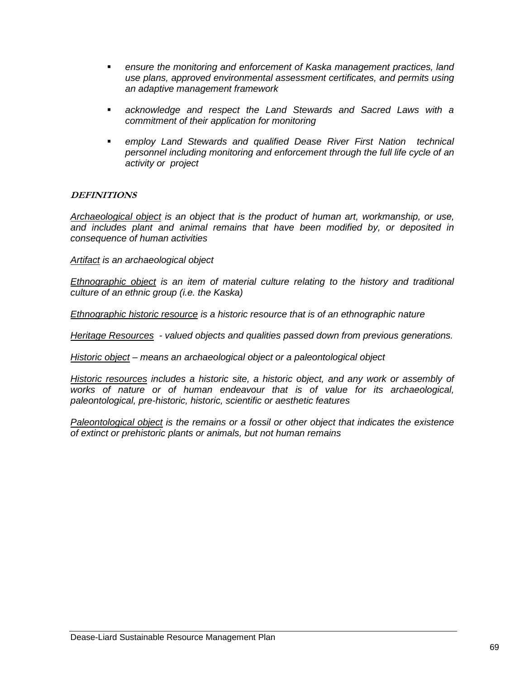- *ensure the monitoring and enforcement of Kaska management practices, land use plans, approved environmental assessment certificates, and permits using an adaptive management framework*
- *acknowledge and respect the Land Stewards and Sacred Laws with a commitment of their application for monitoring*
- *employ Land Stewards and qualified Dease River First Nation technical personnel including monitoring and enforcement through the full life cycle of an activity or project*

# **DEFINITIONS**

*Archaeological object is an object that is the product of human art, workmanship, or use, and includes plant and animal remains that have been modified by, or deposited in consequence of human activities*

*Artifact is an archaeological object*

*Ethnographic object is an item of material culture relating to the history and traditional culture of an ethnic group (i.e. the Kaska)*

*Ethnographic historic resource is a historic resource that is of an ethnographic nature*

*Heritage Resources - valued objects and qualities passed down from previous generations.*

*Historic object – means an archaeological object or a paleontological object*

*Historic resources includes a historic site, a historic object, and any work or assembly of works of nature or of human endeavour that is of value for its archaeological, paleontological, pre-historic, historic, scientific or aesthetic features*

*Paleontological object is the remains or a fossil or other object that indicates the existence of extinct or prehistoric plants or animals, but not human remains*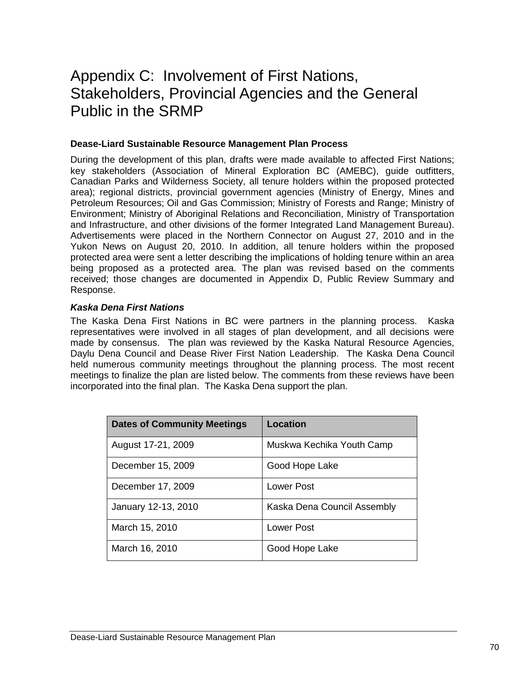# Appendix C: Involvement of First Nations, Stakeholders, Provincial Agencies and the General Public in the SRMP

# **Dease-Liard Sustainable Resource Management Plan Process**

During the development of this plan, drafts were made available to affected First Nations; key stakeholders (Association of Mineral Exploration BC (AMEBC), guide outfitters, Canadian Parks and Wilderness Society, all tenure holders within the proposed protected area); regional districts, provincial government agencies (Ministry of Energy, Mines and Petroleum Resources; Oil and Gas Commission; Ministry of Forests and Range; Ministry of Environment; Ministry of Aboriginal Relations and Reconciliation, Ministry of Transportation and Infrastructure, and other divisions of the former Integrated Land Management Bureau). Advertisements were placed in the Northern Connector on August 27, 2010 and in the Yukon News on August 20, 2010. In addition, all tenure holders within the proposed protected area were sent a letter describing the implications of holding tenure within an area being proposed as a protected area. The plan was revised based on the comments received; those changes are documented in Appendix D, Public Review Summary and Response.

# *Kaska Dena First Nations*

The Kaska Dena First Nations in BC were partners in the planning process. Kaska representatives were involved in all stages of plan development, and all decisions were made by consensus. The plan was reviewed by the Kaska Natural Resource Agencies, Daylu Dena Council and Dease River First Nation Leadership. The Kaska Dena Council held numerous community meetings throughout the planning process. The most recent meetings to finalize the plan are listed below. The comments from these reviews have been incorporated into the final plan. The Kaska Dena support the plan.

| <b>Dates of Community Meetings</b> | <b>Location</b>             |
|------------------------------------|-----------------------------|
| August 17-21, 2009                 | Muskwa Kechika Youth Camp   |
| December 15, 2009                  | Good Hope Lake              |
| December 17, 2009                  | <b>Lower Post</b>           |
| January 12-13, 2010                | Kaska Dena Council Assembly |
| March 15, 2010                     | Lower Post                  |
| March 16, 2010                     | Good Hope Lake              |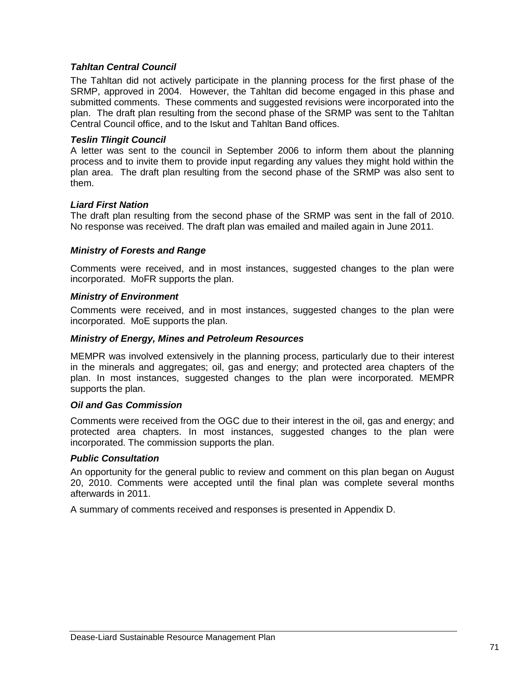## *Tahltan Central Council*

The Tahltan did not actively participate in the planning process for the first phase of the SRMP, approved in 2004. However, the Tahltan did become engaged in this phase and submitted comments. These comments and suggested revisions were incorporated into the plan. The draft plan resulting from the second phase of the SRMP was sent to the Tahltan Central Council office, and to the Iskut and Tahltan Band offices.

#### *Teslin Tlingit Council*

A letter was sent to the council in September 2006 to inform them about the planning process and to invite them to provide input regarding any values they might hold within the plan area. The draft plan resulting from the second phase of the SRMP was also sent to them.

### *Liard First Nation*

The draft plan resulting from the second phase of the SRMP was sent in the fall of 2010. No response was received. The draft plan was emailed and mailed again in June 2011.

### *Ministry of Forests and Range*

Comments were received, and in most instances, suggested changes to the plan were incorporated. MoFR supports the plan.

#### *Ministry of Environment*

Comments were received, and in most instances, suggested changes to the plan were incorporated. MoE supports the plan.

#### *Ministry of Energy, Mines and Petroleum Resources*

MEMPR was involved extensively in the planning process, particularly due to their interest in the minerals and aggregates; oil, gas and energy; and protected area chapters of the plan. In most instances, suggested changes to the plan were incorporated. MEMPR supports the plan.

#### *Oil and Gas Commission*

Comments were received from the OGC due to their interest in the oil, gas and energy; and protected area chapters. In most instances, suggested changes to the plan were incorporated. The commission supports the plan.

#### *Public Consultation*

An opportunity for the general public to review and comment on this plan began on August 20, 2010. Comments were accepted until the final plan was complete several months afterwards in 2011.

A summary of comments received and responses is presented in Appendix D.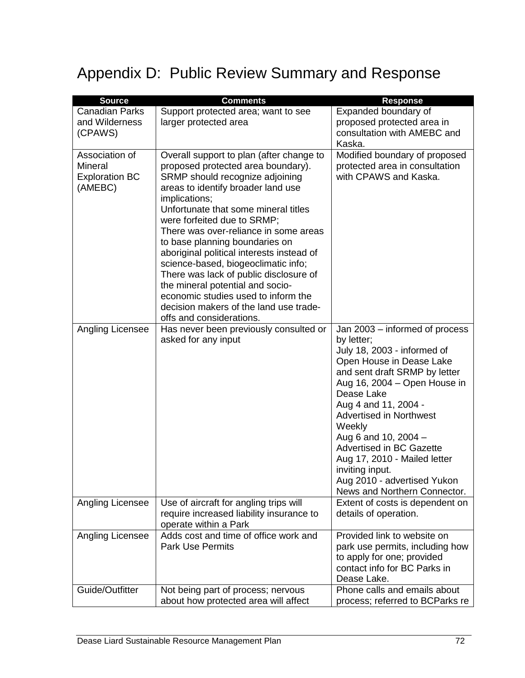# Appendix D: Public Review Summary and Response

| <b>Source</b>             | <b>Comments</b>                                                                | <b>Response</b>                                                 |
|---------------------------|--------------------------------------------------------------------------------|-----------------------------------------------------------------|
| <b>Canadian Parks</b>     | Support protected area; want to see                                            | Expanded boundary of                                            |
| and Wilderness            | larger protected area                                                          | proposed protected area in                                      |
| (CPAWS)                   |                                                                                | consultation with AMEBC and                                     |
|                           |                                                                                | Kaska.                                                          |
| Association of<br>Mineral | Overall support to plan (after change to<br>proposed protected area boundary). | Modified boundary of proposed<br>protected area in consultation |
| <b>Exploration BC</b>     | SRMP should recognize adjoining                                                | with CPAWS and Kaska.                                           |
| (AMEBC)                   | areas to identify broader land use                                             |                                                                 |
|                           | implications;                                                                  |                                                                 |
|                           | Unfortunate that some mineral titles<br>were forfeited due to SRMP;            |                                                                 |
|                           | There was over-reliance in some areas                                          |                                                                 |
|                           | to base planning boundaries on                                                 |                                                                 |
|                           | aboriginal political interests instead of                                      |                                                                 |
|                           | science-based, biogeoclimatic info;                                            |                                                                 |
|                           | There was lack of public disclosure of<br>the mineral potential and socio-     |                                                                 |
|                           | economic studies used to inform the                                            |                                                                 |
|                           | decision makers of the land use trade-                                         |                                                                 |
|                           | offs and considerations.                                                       |                                                                 |
| Angling Licensee          | Has never been previously consulted or                                         | Jan 2003 – informed of process                                  |
|                           | asked for any input                                                            | by letter;<br>July 18, 2003 - informed of                       |
|                           |                                                                                | Open House in Dease Lake                                        |
|                           |                                                                                | and sent draft SRMP by letter                                   |
|                           |                                                                                | Aug 16, 2004 – Open House in                                    |
|                           |                                                                                | Dease Lake                                                      |
|                           |                                                                                | Aug 4 and 11, 2004 -<br><b>Advertised in Northwest</b>          |
|                           |                                                                                | Weekly                                                          |
|                           |                                                                                | Aug 6 and 10, 2004 -                                            |
|                           |                                                                                | Advertised in BC Gazette                                        |
|                           |                                                                                | Aug 17, 2010 - Mailed letter                                    |
|                           |                                                                                | inviting input.<br>Aug 2010 - advertised Yukon                  |
|                           |                                                                                | News and Northern Connector.                                    |
| Angling Licensee          | Use of aircraft for angling trips will                                         | Extent of costs is dependent on                                 |
|                           | require increased liability insurance to                                       | details of operation.                                           |
| Angling Licensee          | operate within a Park<br>Adds cost and time of office work and                 | Provided link to website on                                     |
|                           | <b>Park Use Permits</b>                                                        | park use permits, including how                                 |
|                           |                                                                                | to apply for one; provided                                      |
|                           |                                                                                | contact info for BC Parks in                                    |
| Guide/Outfitter           | Not being part of process; nervous                                             | Dease Lake.<br>Phone calls and emails about                     |
|                           | about how protected area will affect                                           | process; referred to BCParks re                                 |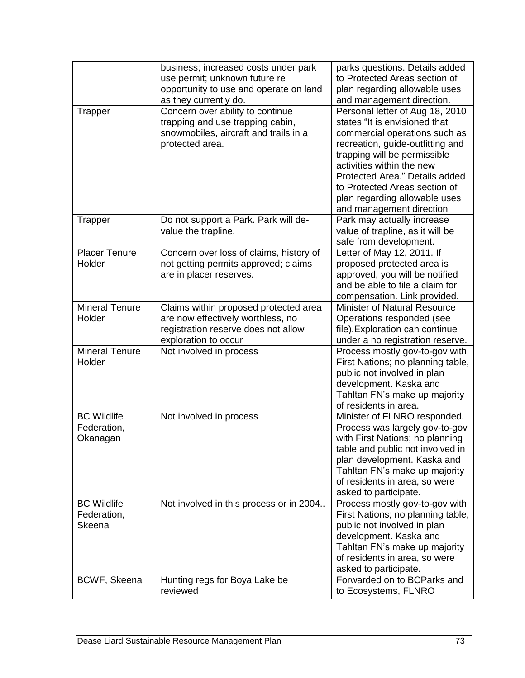|                                               | business; increased costs under park<br>use permit; unknown future re<br>opportunity to use and operate on land<br>as they currently do.  | parks questions. Details added<br>to Protected Areas section of<br>plan regarding allowable uses<br>and management direction.                                                                                                                                                                                                      |
|-----------------------------------------------|-------------------------------------------------------------------------------------------------------------------------------------------|------------------------------------------------------------------------------------------------------------------------------------------------------------------------------------------------------------------------------------------------------------------------------------------------------------------------------------|
| Trapper                                       | Concern over ability to continue<br>trapping and use trapping cabin,<br>snowmobiles, aircraft and trails in a<br>protected area.          | Personal letter of Aug 18, 2010<br>states "It is envisioned that<br>commercial operations such as<br>recreation, guide-outfitting and<br>trapping will be permissible<br>activities within the new<br>Protected Area." Details added<br>to Protected Areas section of<br>plan regarding allowable uses<br>and management direction |
| Trapper                                       | Do not support a Park. Park will de-<br>value the trapline.                                                                               | Park may actually increase<br>value of trapline, as it will be<br>safe from development.                                                                                                                                                                                                                                           |
| <b>Placer Tenure</b><br>Holder                | Concern over loss of claims, history of<br>not getting permits approved; claims<br>are in placer reserves.                                | Letter of May 12, 2011. If<br>proposed protected area is<br>approved, you will be notified<br>and be able to file a claim for<br>compensation. Link provided.                                                                                                                                                                      |
| <b>Mineral Tenure</b><br>Holder               | Claims within proposed protected area<br>are now effectively worthless, no<br>registration reserve does not allow<br>exploration to occur | <b>Minister of Natural Resource</b><br>Operations responded (see<br>file). Exploration can continue<br>under a no registration reserve.                                                                                                                                                                                            |
| <b>Mineral Tenure</b><br>Holder               | Not involved in process                                                                                                                   | Process mostly gov-to-gov with<br>First Nations; no planning table,<br>public not involved in plan<br>development. Kaska and<br>Tahltan FN's make up majority<br>of residents in area.                                                                                                                                             |
| <b>BC Wildlife</b><br>Federation,<br>Okanagan | Not involved in process                                                                                                                   | Minister of FLNRO responded.<br>Process was largely gov-to-gov<br>with First Nations; no planning<br>table and public not involved in<br>plan development. Kaska and<br>Tahltan FN's make up majority<br>of residents in area, so were<br>asked to participate.                                                                    |
| <b>BC Wildlife</b><br>Federation,<br>Skeena   | Not involved in this process or in 2004                                                                                                   | Process mostly gov-to-gov with<br>First Nations; no planning table,<br>public not involved in plan<br>development. Kaska and<br>Tahltan FN's make up majority<br>of residents in area, so were<br>asked to participate.                                                                                                            |
| BCWF, Skeena                                  | Hunting regs for Boya Lake be<br>reviewed                                                                                                 | Forwarded on to BCParks and<br>to Ecosystems, FLNRO                                                                                                                                                                                                                                                                                |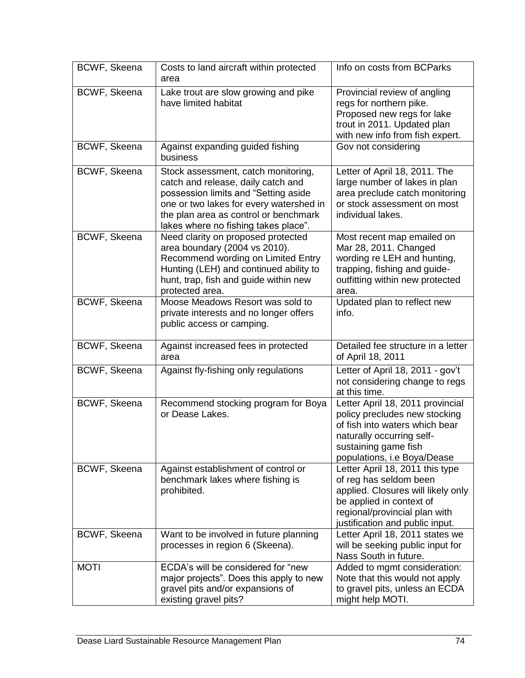| BCWF, Skeena        | Costs to land aircraft within protected<br>area                                                                                                                                                                                               | Info on costs from BCParks                                                                                                                                                                      |
|---------------------|-----------------------------------------------------------------------------------------------------------------------------------------------------------------------------------------------------------------------------------------------|-------------------------------------------------------------------------------------------------------------------------------------------------------------------------------------------------|
| BCWF, Skeena        | Lake trout are slow growing and pike<br>have limited habitat                                                                                                                                                                                  | Provincial review of angling<br>regs for northern pike.<br>Proposed new regs for lake<br>trout in 2011. Updated plan<br>with new info from fish expert.                                         |
| BCWF, Skeena        | Against expanding guided fishing<br>business                                                                                                                                                                                                  | Gov not considering                                                                                                                                                                             |
| BCWF, Skeena        | Stock assessment, catch monitoring,<br>catch and release, daily catch and<br>possession limits and "Setting aside<br>one or two lakes for every watershed in<br>the plan area as control or benchmark<br>lakes where no fishing takes place". | Letter of April 18, 2011. The<br>large number of lakes in plan<br>area preclude catch monitoring<br>or stock assessment on most<br>individual lakes.                                            |
| BCWF, Skeena        | Need clarity on proposed protected<br>area boundary (2004 vs 2010).<br>Recommend wording on Limited Entry<br>Hunting (LEH) and continued ability to<br>hunt, trap, fish and guide within new<br>protected area.                               | Most recent map emailed on<br>Mar 28, 2011. Changed<br>wording re LEH and hunting,<br>trapping, fishing and guide-<br>outfitting within new protected<br>area.                                  |
| <b>BCWF, Skeena</b> | Moose Meadows Resort was sold to<br>private interests and no longer offers<br>public access or camping.                                                                                                                                       | Updated plan to reflect new<br>info.                                                                                                                                                            |
| BCWF, Skeena        | Against increased fees in protected<br>area                                                                                                                                                                                                   | Detailed fee structure in a letter<br>of April 18, 2011                                                                                                                                         |
| BCWF, Skeena        | Against fly-fishing only regulations                                                                                                                                                                                                          | Letter of April 18, 2011 - gov't<br>not considering change to regs<br>at this time.                                                                                                             |
| BCWF, Skeena        | Recommend stocking program for Boya<br>or Dease Lakes.                                                                                                                                                                                        | Letter April 18, 2011 provincial<br>policy precludes new stocking<br>of fish into waters which bear<br>naturally occurring self-<br>sustaining game fish<br>populations, i.e Boya/Dease         |
| BCWF, Skeena        | Against establishment of control or<br>benchmark lakes where fishing is<br>prohibited.                                                                                                                                                        | Letter April 18, 2011 this type<br>of reg has seldom been<br>applied. Closures will likely only<br>be applied in context of<br>regional/provincial plan with<br>justification and public input. |
| BCWF, Skeena        | Want to be involved in future planning<br>processes in region 6 (Skeena).                                                                                                                                                                     | Letter April 18, 2011 states we<br>will be seeking public input for<br>Nass South in future.                                                                                                    |
| <b>MOTI</b>         | ECDA's will be considered for "new<br>major projects". Does this apply to new<br>gravel pits and/or expansions of<br>existing gravel pits?                                                                                                    | Added to mgmt consideration:<br>Note that this would not apply<br>to gravel pits, unless an ECDA<br>might help MOTI.                                                                            |